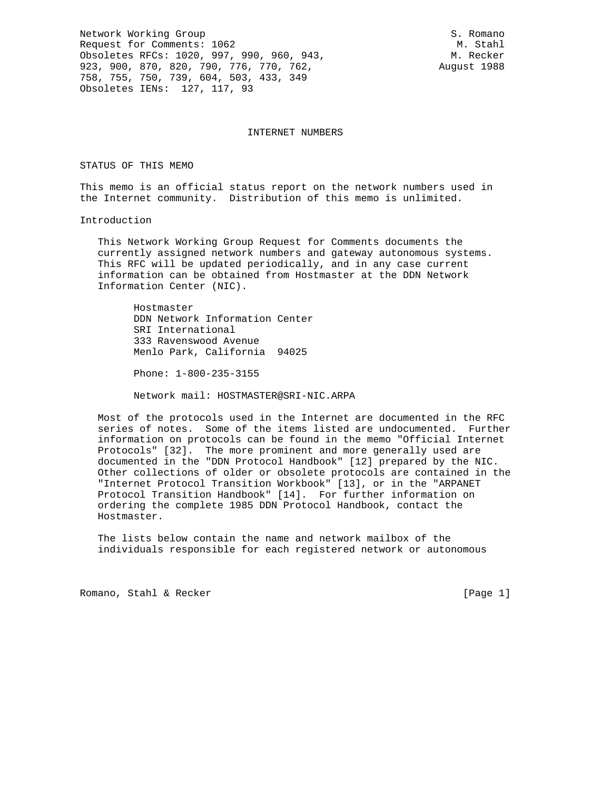Network Working Group S. Romano Request for Comments: 1062 M. Stahl Obsoletes RFCs: 1020, 997, 990, 960, 943, A. Recker 923, 900, 870, 820, 790, 776, 770, 762, Rugust 1988 758, 755, 750, 739, 604, 503, 433, 349 Obsoletes IENs: 127, 117, 93

INTERNET NUMBERS

#### STATUS OF THIS MEMO

This memo is an official status report on the network numbers used in the Internet community. Distribution of this memo is unlimited.

Introduction

 This Network Working Group Request for Comments documents the currently assigned network numbers and gateway autonomous systems. This RFC will be updated periodically, and in any case current information can be obtained from Hostmaster at the DDN Network Information Center (NIC).

 Hostmaster DDN Network Information Center SRI International 333 Ravenswood Avenue Menlo Park, California 94025

Phone: 1-800-235-3155

Network mail: HOSTMASTER@SRI-NIC.ARPA

 Most of the protocols used in the Internet are documented in the RFC series of notes. Some of the items listed are undocumented. Further information on protocols can be found in the memo "Official Internet Protocols" [32]. The more prominent and more generally used are documented in the "DDN Protocol Handbook" [12] prepared by the NIC. Other collections of older or obsolete protocols are contained in the "Internet Protocol Transition Workbook" [13], or in the "ARPANET Protocol Transition Handbook" [14]. For further information on ordering the complete 1985 DDN Protocol Handbook, contact the Hostmaster.

 The lists below contain the name and network mailbox of the individuals responsible for each registered network or autonomous

Romano, Stahl & Recker [Page 1]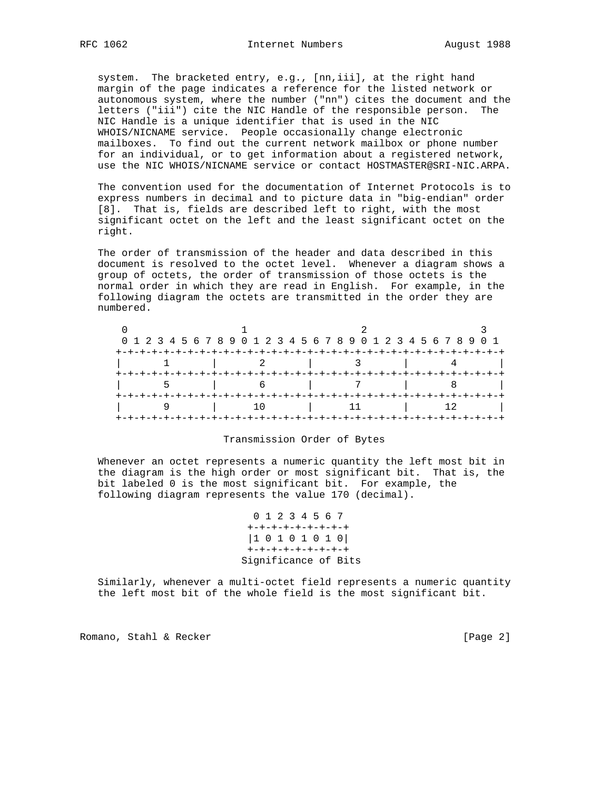system. The bracketed entry, e.g., [nn,iii], at the right hand margin of the page indicates a reference for the listed network or autonomous system, where the number ("nn") cites the document and the letters ("iii") cite the NIC Handle of the responsible person. The NIC Handle is a unique identifier that is used in the NIC WHOIS/NICNAME service. People occasionally change electronic mailboxes. To find out the current network mailbox or phone number for an individual, or to get information about a registered network, use the NIC WHOIS/NICNAME service or contact HOSTMASTER@SRI-NIC.ARPA.

 The convention used for the documentation of Internet Protocols is to express numbers in decimal and to picture data in "big-endian" order [8]. That is, fields are described left to right, with the most significant octet on the left and the least significant octet on the right.

 The order of transmission of the header and data described in this document is resolved to the octet level. Whenever a diagram shows a group of octets, the order of transmission of those octets is the normal order in which they are read in English. For example, in the following diagram the octets are transmitted in the order they are numbered.

|  | 0 1 2 3 4 5 6 7 8 9 0 1 2 3 4 5 6 7 8 9 0 1 2 3 4 5 6 7 8 9 0 1 |  |
|--|-----------------------------------------------------------------|--|
|  |                                                                 |  |
|  |                                                                 |  |
|  |                                                                 |  |
|  |                                                                 |  |
|  | -+-+-+-+-+-+-+-+-+-+-+-+-+-+-                                   |  |
|  |                                                                 |  |
|  |                                                                 |  |

## Transmission Order of Bytes

 Whenever an octet represents a numeric quantity the left most bit in the diagram is the high order or most significant bit. That is, the bit labeled 0 is the most significant bit. For example, the following diagram represents the value 170 (decimal).

> 0 1 2 3 4 5 6 7 +-+-+-+-+-+-+-+-+ |1 0 1 0 1 0 1 0| +-+-+-+-+-+-+-+-+ Significance of Bits

 Similarly, whenever a multi-octet field represents a numeric quantity the left most bit of the whole field is the most significant bit.

Romano, Stahl & Recker [Page 2]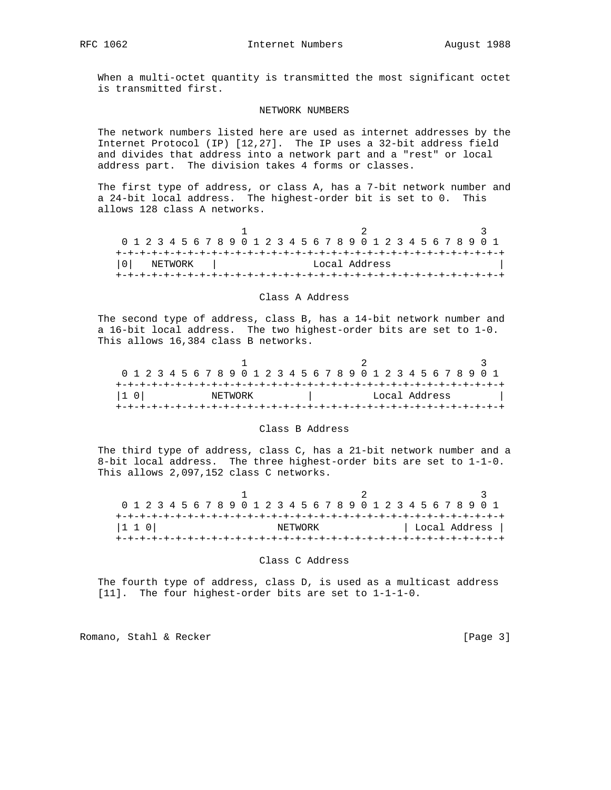When a multi-octet quantity is transmitted the most significant octet is transmitted first.

#### NETWORK NUMBERS

 The network numbers listed here are used as internet addresses by the Internet Protocol (IP) [12,27]. The IP uses a 32-bit address field and divides that address into a network part and a "rest" or local address part. The division takes 4 forms or classes.

 The first type of address, or class A, has a 7-bit network number and a 24-bit local address. The highest-order bit is set to 0. This allows 128 class A networks.

| 0 1 2 3 4 5 6 7 8 9 0 1 2 3 4 5 6 7 8 9 0 1 2 3 4 5 6 7 8 9 0 1 |  |         |  |  |  |  |  |  |  |               |  |  |  |  |  |  |
|-----------------------------------------------------------------|--|---------|--|--|--|--|--|--|--|---------------|--|--|--|--|--|--|
|                                                                 |  |         |  |  |  |  |  |  |  |               |  |  |  |  |  |  |
|                                                                 |  | NETWORK |  |  |  |  |  |  |  | Local Address |  |  |  |  |  |  |
|                                                                 |  |         |  |  |  |  |  |  |  |               |  |  |  |  |  |  |

### Class A Address

 The second type of address, class B, has a 14-bit network number and a 16-bit local address. The two highest-order bits are set to 1-0. This allows 16,384 class B networks.

| 0 1 2 3 4 5 6 7 8 9 0 1 2 3 4 5 6 7 8 9 0 1 2 3 4 5 6 7 8 9 0 1 |  |  |  |         |  |  |  |  |  |  |  |               |  |  |  |  |
|-----------------------------------------------------------------|--|--|--|---------|--|--|--|--|--|--|--|---------------|--|--|--|--|
|                                                                 |  |  |  |         |  |  |  |  |  |  |  |               |  |  |  |  |
| 10                                                              |  |  |  | NETWORK |  |  |  |  |  |  |  | Local Address |  |  |  |  |
|                                                                 |  |  |  |         |  |  |  |  |  |  |  |               |  |  |  |  |

### Class B Address

 The third type of address, class C, has a 21-bit network number and a 8-bit local address. The three highest-order bits are set to 1-1-0. This allows 2,097,152 class C networks.

| 0 1 2 3 4 5 6 7 8 9 0 1 2 3 4 5 6 7 8 9 0 1 2 3 4 5 6 7 8 9 0 1 |  |  |  |  |  |  |         |  |  |  |  |  |  |  |  |               |
|-----------------------------------------------------------------|--|--|--|--|--|--|---------|--|--|--|--|--|--|--|--|---------------|
|                                                                 |  |  |  |  |  |  |         |  |  |  |  |  |  |  |  |               |
| $ 1\;1\;0 $                                                     |  |  |  |  |  |  | NETWORK |  |  |  |  |  |  |  |  | Local Address |
|                                                                 |  |  |  |  |  |  |         |  |  |  |  |  |  |  |  |               |

### Class C Address

 The fourth type of address, class D, is used as a multicast address [11]. The four highest-order bits are set to 1-1-1-0.

Romano, Stahl & Recker [Page 3]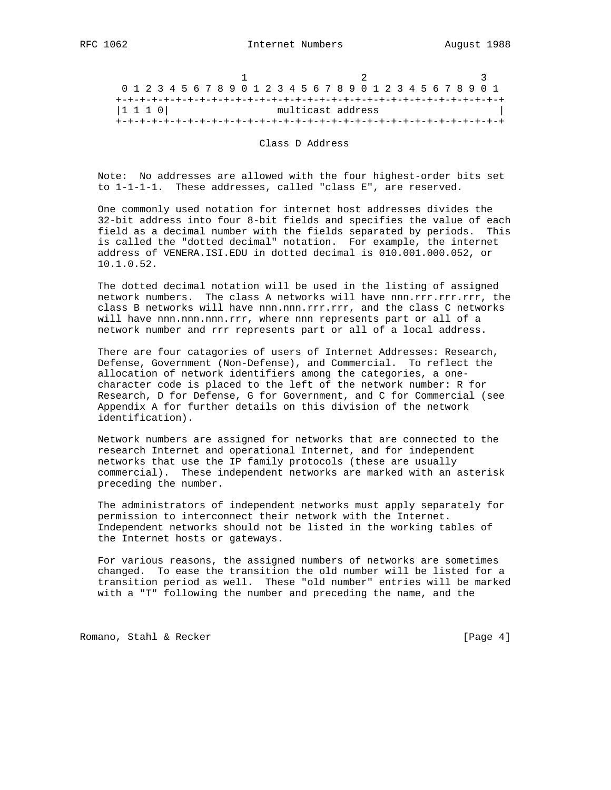| 0 1 2 3 4 5 6 7 8 9 0 1 2 3 4 5 6 7 8 9 0 1 2 3 4 5 6 7 8 9 0 1 |  |  |  |  |  |  |                   |  |  |  |  |  |  |  |  |  |
|-----------------------------------------------------------------|--|--|--|--|--|--|-------------------|--|--|--|--|--|--|--|--|--|
|                                                                 |  |  |  |  |  |  |                   |  |  |  |  |  |  |  |  |  |
| $ 1\;1\;1\;0 $                                                  |  |  |  |  |  |  | multicast address |  |  |  |  |  |  |  |  |  |
|                                                                 |  |  |  |  |  |  |                   |  |  |  |  |  |  |  |  |  |

Class D Address

 Note: No addresses are allowed with the four highest-order bits set to 1-1-1-1. These addresses, called "class E", are reserved.

 One commonly used notation for internet host addresses divides the 32-bit address into four 8-bit fields and specifies the value of each field as a decimal number with the fields separated by periods. This is called the "dotted decimal" notation. For example, the internet address of VENERA.ISI.EDU in dotted decimal is 010.001.000.052, or 10.1.0.52.

 The dotted decimal notation will be used in the listing of assigned network numbers. The class A networks will have nnn.rrr.rrr.rrr, the class B networks will have nnn.nnn.rrr.rrr, and the class C networks will have nnn.nnn.nnn.rrr, where nnn represents part or all of a network number and rrr represents part or all of a local address.

 There are four catagories of users of Internet Addresses: Research, Defense, Government (Non-Defense), and Commercial. To reflect the allocation of network identifiers among the categories, a one character code is placed to the left of the network number: R for Research, D for Defense, G for Government, and C for Commercial (see Appendix A for further details on this division of the network identification).

 Network numbers are assigned for networks that are connected to the research Internet and operational Internet, and for independent networks that use the IP family protocols (these are usually commercial). These independent networks are marked with an asterisk preceding the number.

 The administrators of independent networks must apply separately for permission to interconnect their network with the Internet. Independent networks should not be listed in the working tables of the Internet hosts or gateways.

 For various reasons, the assigned numbers of networks are sometimes changed. To ease the transition the old number will be listed for a transition period as well. These "old number" entries will be marked with a "T" following the number and preceding the name, and the

Romano, Stahl & Recker [Page 4]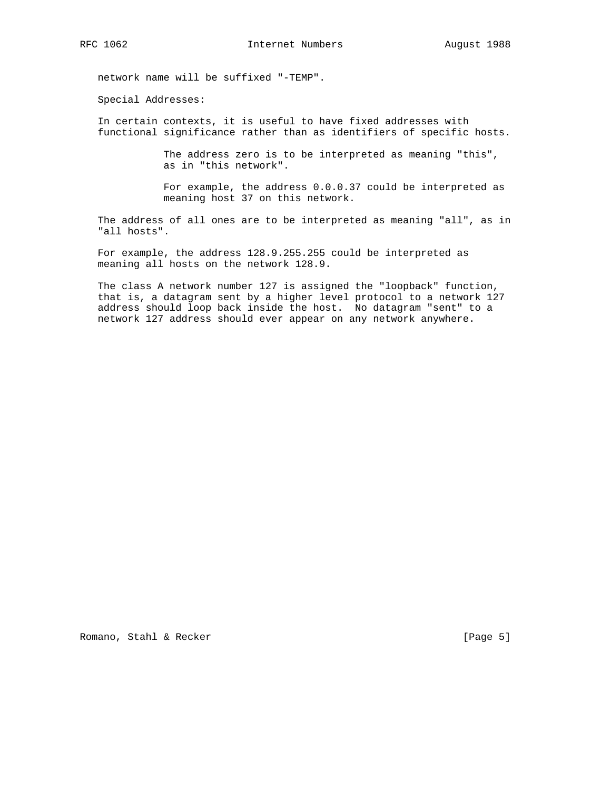network name will be suffixed "-TEMP".

Special Addresses:

 In certain contexts, it is useful to have fixed addresses with functional significance rather than as identifiers of specific hosts.

> The address zero is to be interpreted as meaning "this", as in "this network".

 For example, the address 0.0.0.37 could be interpreted as meaning host 37 on this network.

 The address of all ones are to be interpreted as meaning "all", as in "all hosts".

 For example, the address 128.9.255.255 could be interpreted as meaning all hosts on the network 128.9.

 The class A network number 127 is assigned the "loopback" function, that is, a datagram sent by a higher level protocol to a network 127 address should loop back inside the host. No datagram "sent" to a network 127 address should ever appear on any network anywhere.

Romano, Stahl & Recker [Page 5]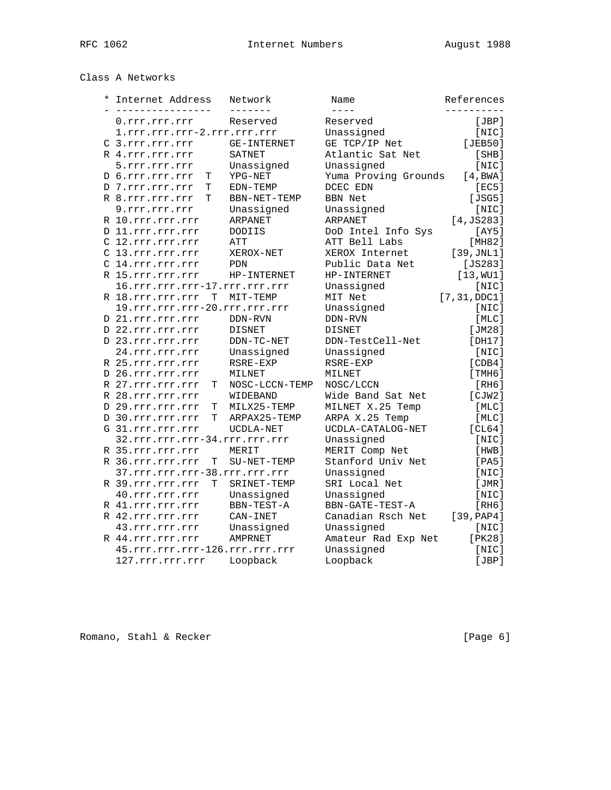# Class A Networks

| $\ast$ | Internet Address<br>-------------- | Network        | Name                  | References      |
|--------|------------------------------------|----------------|-----------------------|-----------------|
|        | 0.rrr.rrr.rrr                      | Reserved       | $- - - -$<br>Reserved | [JBP]           |
|        | 1.rrr.rrr.rrr-2.rrr.rrr.rrr        |                | Unassigned            | [NIC]           |
|        | C 3.rrr.rrr.rrr                    | GE-INTERNET    | GE TCP/IP Net         | [JEB50]         |
|        | R 4.rrr.rrr.rrr                    | <b>SATNET</b>  | Atlantic Sat Net      | [SHB]           |
|        | 5.rrr.rrr.rrr                      | Unassigned     | Unassigned            | [NIC]           |
|        | D 6.rrr.rrr.rrr<br>Т               | YPG-NET        | Yuma Proving Grounds  | [4, BWA]        |
|        | D 7.rrr.rrr.rrr<br>Т               | EDN-TEMP       | DCEC EDN              | [EC5]           |
|        | R 8.rrr.rrr.rrr<br>T               | BBN-NET-TEMP   | <b>BBN Net</b>        | [JSG5]          |
|        | 9.rrr.rrr.rrr                      | Unassigned     | Unassigned            | [NIC]           |
|        | R 10.rrr.rrr.rrr                   | ARPANET        | ARPANET               | [4, JS283]      |
|        | D 11.rrr.rrr.rrr                   | <b>DODIIS</b>  | DoD Intel Info Sys    | [AY5]           |
|        | C 12.rrr.rrr.rrr                   | ATT            | ATT Bell Labs         | [MHz2]          |
|        | C 13.rrr.rrr.rrr                   | XEROX-NET      | XEROX Internet        | [39, JNL1]      |
|        | C 14.rrr.rrr.rrr                   | PDN            | Public Data Net       | [JS283]         |
|        | R 15.rrr.rrr.rrr                   | HP-INTERNET    | HP-INTERNET           | [13, WU1]       |
|        | 16.rrr.rrr.rrr-17.rrr.rrr.rrr      |                | Unassigned            | [NIC]           |
|        | T<br>R 18.rrr.rrr.rrr              | MIT-TEMP       | MIT Net               | [7, 31, DDC1]   |
|        | 19.rrr.rrr.rrr-20.rrr.rrr.rrr      |                | Unassigned            | [NIC]           |
|        | D 21.rrr.rrr.rrr                   | DDN-RVN        | DDN-RVN               | [MLC]           |
|        | D 22.rrr.rrr.rrr                   | <b>DISNET</b>  | <b>DISNET</b>         | [JM28]          |
|        | D 23.rrr.rrr.rrr                   | DDN-TC-NET     | DDN-TestCell-Net      | [DH17]          |
|        | 24.rrr.rrr.rrr                     | Unassigned     | Unassigned            | [NIC]           |
|        | R 25.rrr.rrr.rrr                   | RSRE-EXP       | RSRE-EXP              | [CDB4]          |
|        | D 26.rrr.rrr.rrr                   | MILNET         | MILNET                | [THH6]          |
|        | R 27.rrr.rrr.rrr<br>Т              | NOSC-LCCN-TEMP | NOSC/LCCN             | [RH6]           |
|        | R 28.rrr.rrr.rrr                   | WIDEBAND       | Wide Band Sat Net     | [CIW2]          |
|        | Т                                  | MILX25-TEMP    | MILNET X.25 Temp      | [MLC]           |
|        | D 29.rrr.rrr.rrr<br>T              | ARPAX25-TEMP   | ARPA X.25 Temp        | [MLC]           |
|        | D 30.rrr.rrr.rrr                   |                |                       |                 |
|        | G 31.rrr.rrr.rrr                   | UCDLA-NET      | UCDLA-CATALOG-NET     | [CL64]<br>[NIC] |
|        | 32.rrr.rrr.rrr-34.rrr.rrr.rrr      |                | Unassigned            |                 |
|        | R 35.rrr.rrr.rrr                   | MERIT          | MERIT Comp Net        | [HWB]           |
|        | Т<br>R 36.rrr.rrr.rrr              | SU-NET-TEMP    | Stanford Univ Net     | [PA5]           |
|        | 37.rrr.rrr.rrr-38.rrr.rrr.rrr      |                | Unassigned            | [NIC]           |
|        | R 39.rrr.rrr.rrr<br>T              | SRINET-TEMP    | SRI Local Net         | [JMR]           |
|        | 40.rrr.rrr.rrr                     | Unassigned     | Unassigned            | [NIC]           |
|        | R 41.rrr.rrr.rrr                   | BBN-TEST-A     | BBN-GATE-TEST-A       | [RH6]           |
|        | R 42.rrr.rrr.rrr                   | CAN-INET       | Canadian Rsch Net     | [39, PAP4]      |
|        | 43.rrr.rrr.rrr                     | Unassigned     | Unassigned            | [NIC]           |
|        | R 44.rrr.rrr.rrr                   | <b>AMPRNET</b> | Amateur Rad Exp Net   | [PK28]          |
|        | 45.rrr.rrr.rrr-126.rrr.rrr.rrr     |                | Unassigned            | [NIC]           |
|        | 127.rrr.rrr.rrr                    | Loopback       | Loopback              | [JBP]           |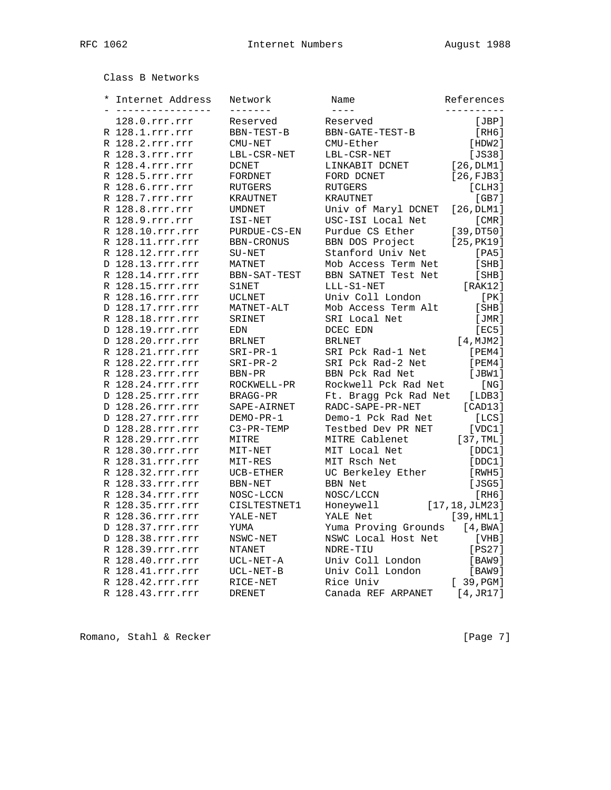Class B Networks

| $^\star$ | Internet Address<br>__________________ | Network<br>-------- | Name<br>$- - - -$     | References      |
|----------|----------------------------------------|---------------------|-----------------------|-----------------|
|          | 128.0.rrr.rrr                          | Reserved            | Reserved              | [JBP]           |
|          | R 128.1.rrr.rrr                        | BBN-TEST-B          | BBN-GATE-TEST-B       | [RH6]           |
|          | R 128.2.rrr.rrr                        | CMU-NET             | CMU-Ether             | [HDW2]          |
|          | R 128.3.rrr.rrr                        | LBL-CSR-NET         | LBL-CSR-NET           | [JS38]          |
|          | R 128.4.rrr.rrr                        | <b>DCNET</b>        | LINKABIT DCNET        | [26, DLM1]      |
|          | R 128.5.rrr.rrr                        | FORDNET             | FORD DCNET            | [26, FJB3]      |
|          | R 128.6.rrr.rrr                        | RUTGERS             | <b>RUTGERS</b>        | [CHH3]          |
|          | R 128.7.rrr.rrr                        | KRAUTNET            | <b>KRAUTNET</b>       | [GB7]           |
|          | R 128.8.rrr.rrr                        | <b>UMDNET</b>       | Univ of Maryl DCNET   | [26, DLM1]      |
|          | R 128.9.rrr.rrr                        | ISI-NET             | USC-ISI Local Net     | [CMR]           |
|          | R 128.10.rrr.rrr                       | PURDUE-CS-EN        | Purdue CS Ether       | [39,DT50]       |
|          | R 128.11.rrr.rrr                       | BBN-CRONUS          | BBN DOS Project       | [25, PK19]      |
|          | R 128.12.rrr.rrr                       | $SU-NET$            | Stanford Univ Net     | [PA5]           |
|          | D 128.13.rrr.rrr                       | MATNET              | Mob Access Term Net   | [SHB]           |
|          | R 128.14.rrr.rrr                       | BBN-SAT-TEST        | BBN SATNET Test Net   | [SHB]           |
|          | R 128.15.rrr.rrr                       | S1NET               | LLL-S1-NET            | [RAK12]         |
|          | R 128.16.rrr.rrr                       | <b>UCLNET</b>       | Univ Coll London      | [PK]            |
|          | D 128.17.rrr.rrr                       | MATNET-ALT          | Mob Access Term Alt   | [SHB]           |
|          | R 128.18.rrr.rrr                       | SRINET              | SRI Local Net         | [JMR]           |
|          | D 128.19.rrr.rrr                       | EDN                 | DCEC EDN              | [EC5]           |
|          | D 128.20.rrr.rrr                       | <b>BRLNET</b>       | <b>BRLNET</b>         | [4, MJM2]       |
|          | R 128.21.rrr.rrr                       | $SRI-PR-1$          | SRI Pck Rad-1 Net     | [PEM4]          |
|          | R 128.22.rrr.rrr                       | $SRI-PR-2$          | SRI Pck Rad-2 Net     | [PEM4]          |
|          | R 128.23.rrr.rrr                       | BBN-PR              | BBN Pck Rad Net       | [JBW1]          |
|          | R 128.24.rrr.rrr                       | ROCKWELL-PR         | Rockwell Pck Rad Net  | [NG]            |
|          | D 128.25.rrr.rrr                       | BRAGG-PR            | Ft. Bragg Pck Rad Net | [LDB3]          |
|          | D 128.26.rrr.rrr                       | SAPE-AIRNET         | RADC-SAPE-PR-NET      | [CAD13]         |
|          | D 128.27.rrr.rrr                       | DEMO-PR-1           | Demo-1 Pck Rad Net    | [LCS]           |
|          | D 128.28.rrr.rrr                       | C3-PR-TEMP          | Testbed Dev PR NET    | [VDC1]          |
|          | R 128.29.rrr.rrr                       | MITRE               | MITRE Cablenet        | [37, TML]       |
|          | R 128.30.rrr.rrr                       | MIT-NET             | MIT Local Net         | [DDC1]          |
|          | R 128.31.rrr.rrr                       | MIT-RES             | MIT Rsch Net          | [DDC1]          |
|          | R 128.32.rrr.rrr                       | UCB-ETHER           | UC Berkeley Ether     | [RWH5]          |
|          | R 128.33.rrr.rrr                       | BBN-NET             | <b>BBN Net</b>        | [JSG5]          |
|          | R 128.34.rrr.rrr                       | NOSC-LCCN           | NOSC/LCCN             | [RH6]           |
|          | R 128.35.rrr.rrr                       | CISLTESTNET1        | Honeywell             | [17, 18, JLM23] |
|          | R 128.36.rrr.rrr                       | YALE-NET            | YALE Net              | [39, HML1]      |
|          | D 128.37.rrr.rrr                       | YUMA                | Yuma Proving Grounds  | [4, BWA]        |
|          | D 128.38.rrr.rrr                       | NSWC-NET            | NSWC Local Host Net   | [VHB]           |
|          | R 128.39.rrr.rrr                       | <b>NTANET</b>       | NDRE-TIU              | [PS27]          |
|          | R 128.40.rrr.rrr                       | UCL-NET-A           | Univ Coll London      | [BAW9]          |
|          | R 128.41.rrr.rrr                       | UCL-NET-B           | Univ Coll London      | [BAW9]          |
|          | R 128.42.rrr.rrr                       | RICE-NET            | Rice Univ             | [39,PGM]        |
|          | R 128.43.rrr.rrr                       | <b>DRENET</b>       | Canada REF ARPANET    | [4, JR17]       |
|          |                                        |                     |                       |                 |

Romano, Stahl & Recker [Page 7]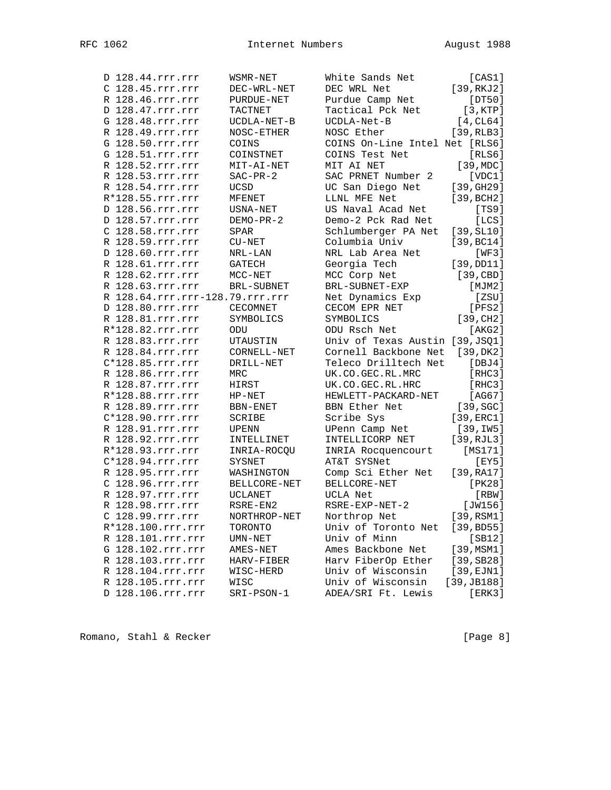| D 128.44.rrr.rrr                       | WSMR-NET        | White Sands Net                     | [CAS1]               |
|----------------------------------------|-----------------|-------------------------------------|----------------------|
| C 128.45.rrr.rrr                       | DEC-WRL-NET     | DEC WRL Net                         | [39, RKJ2]           |
| R 128.46.rrr.rrr                       | PURDUE-NET      | Purdue Camp Net                     | [DT50]               |
| D 128.47.rrr.rrr                       | TACTNET         | Tactical Pck Net                    | [3,KTP]              |
| G 128.48.rrr.rrr                       | UCDLA-NET-B     | UCDLA-Net-B                         | $[4$ , CL64]         |
| R 128.49.rrr.rrr                       | NOSC-ETHER      | NOSC Ether                          | [39, RLB3]           |
| G 128.50.rrr.rrr                       | COINS           | COINS On-Line Intel Net [RLS6]      |                      |
| G 128.51.rrr.rrr                       | COINSTNET       | COINS Test Net                      | [RLS6]               |
| R 128.52.rrr.rrr                       | MIT-AI-NET      | MIT AI NET                          | [39, MDC]            |
| R 128.53.rrr.rrr                       | $SAC-PR-2$      | SAC PRNET Number 2                  | [VDC1]               |
| R 128.54.rrr.rrr                       | UCSD            | UC San Diego Net                    | [39, GHz9]           |
| R*128.55.rrr.rrr                       | MFENET          | LLNL MFE Net                        | [39, BCH2]           |
| D 128.56.rrr.rrr                       | USNA-NET        | US Naval Acad Net                   | [TS9]                |
| D 128.57.rrr.rrr                       | DEMO-PR-2       | Demo-2 Pck Rad Net                  | [LCS]                |
| C 128.58.rrr.rrr                       | SPAR            | Schlumberger PA Net                 | [39, SL10]           |
| R 128.59.rrr.rrr                       | $CU-NET$        | Columbia Univ                       | [39, BC14]           |
| D 128.60.rrr.rrr                       | NRL-LAN         | NRL Lab Area Net                    | [WF3]                |
| R 128.61.rrr.rrr                       | GATECH          | Georgia Tech                        | [39,DD11]            |
| R 128.62.rrr.rrr                       | $MCC-NET$       | MCC Corp Net                        | [39, CBD]            |
| R 128.63.rrr.rrr                       | BRL-SUBNET      | BRL-SUBNET-EXP                      | [MJM2]               |
| R 128.64.rrr.rrr-128.79.rrr.rrr        |                 | Net Dynamics Exp                    | [ZSU]                |
| D 128.80.rrr.rrr                       | <b>CECOMNET</b> | CECOM EPR NET                       | [PFS2]               |
| R 128.81.rrr.rrr                       | SYMBOLICS       | SYMBOLICS                           | [39, CH2]            |
| R*128.82.rrr.rrr                       | ODU             | ODU Rsch Net                        | [AKG2]               |
| R 128.83.rrr.rrr                       | UTAUSTIN        | Univ of Texas Austin [39, JSQ1]     |                      |
| R 128.84.rrr.rrr                       | CORNELL-NET     | Cornell Backbone Net [39, DK2]      |                      |
| C*128.85.rrr.rrr                       | DRILL-NET       | Teleco Drilltech Net                | [DBJ4]               |
| R 128.86.rrr.rrr                       | MRC             | UK.CO.GEC.RL.MRC                    | [RHC3]               |
| R 128.87.rrr.rrr                       | HIRST           | UK.CO.GEC.RL.HRC                    | [RHC3]               |
| R*128.88.rrr.rrr                       | $HP-NET$        | HEWLETT-PACKARD-NET                 | [AG67]               |
| R 128.89.rrr.rrr                       | BBN-ENET        | BBN Ether Net                       | $[39, \texttt{SGC}]$ |
| C*128.90.rrr.rrr                       | SCRIBE          | Scribe Sys                          | [39, ERC1]           |
| R 128.91.rrr.rrr                       | UPENN           | UPenn Camp Net                      | [39,IW5]             |
| R 128.92.rrr.rrr                       | INTELLINET      | INTELLICORP NET                     | [39, RJL3]           |
| R*128.93.rrr.rrr                       | INRIA-ROCQU     | INRIA Rocquencourt                  | [MS171]              |
| C*128.94.rrr.rrr                       | SYSNET          | AT&T SYSNet                         | [EY5]                |
| R 128.95.rrr.rrr                       | WASHINGTON      | Comp Sci Ether Net                  | [39, RA17]           |
| C 128.96.rrr.rrr                       | BELLCORE-NET    | BELLCORE-NET                        | [PK28]               |
| R 128.97.rrr.rrr                       | UCLANET         | UCLA Net                            | [RBW]                |
| R 128.98.rrr.rrr                       | RSRE-EN2        | RSRE-EXP-NET-2                      | [JW156]              |
|                                        | NORTHROP-NET    |                                     | [39, RSM1]           |
| C 128.99.rrr.rrr                       |                 | Northrop Net<br>Univ of Toronto Net |                      |
| R*128.100.rrr.rrr                      | TORONTO         | Univ of Minn                        | [39, BD55]           |
| R 128.101.rrr.rrr<br>G 128.102.rrr.rrr | $UMN-NET$       | Ames Backbone Net                   | [SB12]               |
|                                        | AMES-NET        |                                     | [39, MSM1]           |
| R 128.103.rrr.rrr                      | HARV-FIBER      | Harv FiberOp Ether                  | [39, SB28]           |
| R 128.104.rrr.rrr                      | WISC-HERD       | Univ of Wisconsin                   | $[39, \text{EJN1}]$  |
| R 128.105.rrr.rrr                      | WISC            | Univ of Wisconsin                   | [39, JB188]          |
| D 128.106.rrr.rrr                      | SRI-PSON-1      | ADEA/SRI Ft. Lewis                  | [ERK3]               |

Romano, Stahl & Recker [Page 8]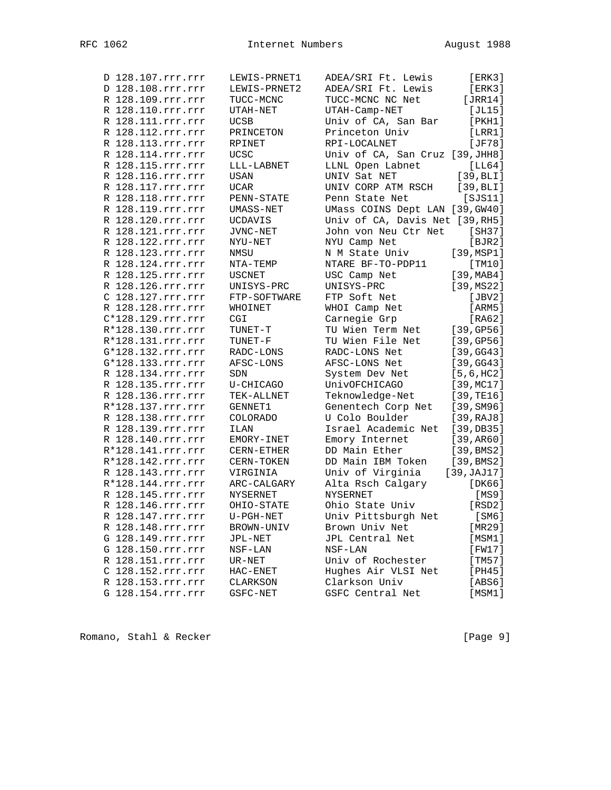| D 128.107.rrr.rrr                      | LEWIS-PRNET1                | ADEA/SRI Ft. Lewis                  | [ERK3]               |
|----------------------------------------|-----------------------------|-------------------------------------|----------------------|
| D 128.108.rrr.rrr                      | LEWIS-PRNET2                | ADEA/SRI Ft. Lewis                  | [ERK3]               |
| R 128.109.rrr.rrr                      | TUCC-MCNC                   | TUCC-MCNC NC Net                    | [JRR14]              |
| R 128.110.rrr.rrr                      | UTAH-NET                    | UTAH-Camp-NET                       | [JL15]               |
| R 128.111.rrr.rrr                      | <b>UCSB</b>                 | Univ of CA, San Bar                 | [PKH1]               |
| R 128.112.rrr.rrr                      | PRINCETON                   | Princeton Univ                      | [LRR1]               |
| R 128.113.rrr.rrr                      | RPINET                      | RPI-LOCALNET                        | [JF78]               |
| R 128.114.rrr.rrr                      | UCSC                        | Univ of CA, San Cruz [39, JHH8]     |                      |
| R 128.115.rrr.rrr                      | $LLL-LABNET \label{eq:LLL}$ | LLNL Open Labnet                    | [LL64]               |
| R 128.116.rrr.rrr                      | USAN                        | UNIV Sat NET                        | [39, BLI]            |
| R 128.117.rrr.rrr                      | <b>UCAR</b>                 | UNIV CORP ATM RSCH                  | [39, BLI]            |
| R 128.118.rrr.rrr                      | PENN-STATE                  | Penn State Net                      | [ <i>SJS11</i> ]     |
| R 128.119.rrr.rrr                      | UMASS-NET                   | UMass COINS Dept LAN [39, GW40]     |                      |
| R 128.120.rrr.rrr                      | UCDAVIS                     | Univ of CA, Davis Net [39, RH5]     |                      |
| R 128.121.rrr.rrr                      | JVNC-NET                    | John von Neu Ctr Net                | [SH37]               |
| R 128.122.rrr.rrr<br>R 128.123.rrr.rrr | NYU-NET                     | NYU Camp Net                        | [BJR2]               |
| R 128.124.rrr.rrr                      | NMSU                        | N M State Univ<br>NTARE BF-TO-PDP11 | [39, MSP1]<br>[TM10] |
| R 128.125.rrr.rrr                      | NTA-TEMP<br><b>USCNET</b>   | USC Camp Net                        | [39, MAB4]           |
| R 128.126.rrr.rrr                      | UNISYS-PRC                  | UNISYS-PRC                          | [39, MS22]           |
| C 128.127.rrr.rrr                      | FTP-SOFTWARE                | FTP Soft Net                        | [JBV2]               |
| R 128.128.rrr.rrr                      | WHOINET                     | WHOI Camp Net                       | [ARM5]               |
| C*128.129.rrr.rrr                      | CGI                         | Carnegie Grp                        | [RA62]               |
| R*128.130.rrr.rrr                      | TUNET-T                     | TU Wien Term Net                    | [39, GP56]           |
| R*128.131.rrr.rrr                      | TUNET-F                     | TU Wien File Net                    | [39, GPS6]           |
| G*128.132.rrr.rrr                      | RADC-LONS                   | RADC-LONS Net                       | [39, GG43]           |
| G*128.133.rrr.rrr                      | AFSC-LONS                   | AFSC-LONS Net                       | [39, GG43]           |
| R 128.134.rrr.rrr                      | SDN                         | System Dev Net                      | [5, 6, HC2]          |
| R 128.135.rrr.rrr                      | U-CHICAGO                   | UnivOFCHICAGO                       | [39, MCl7]           |
| R 128.136.rrr.rrr                      | TEK-ALLNET                  | Teknowledge-Net                     | [39, TE16]           |
| R*128.137.rrr.rrr                      | GENNET1                     | Genentech Corp Net                  | [39, SM96]           |
| R 128.138.rrr.rrr                      | <b>COLORADO</b>             | U Colo Boulder                      | [39,RAJ8]            |
| R 128.139.rrr.rrr                      | ILAN                        | Israel Academic Net                 | [39, DB35]           |
| R 128.140.rrr.rrr                      | EMORY-INET                  | Emory Internet                      | [39, AR60]           |
| R*128.141.rrr.rrr                      | CERN-ETHER                  | DD Main Ether                       | [39, BMS2]           |
| R*128.142.rrr.rrr                      | CERN-TOKEN                  | DD Main IBM Token                   | [39, BMS2]           |
| R 128.143.rrr.rrr                      | VIRGINIA                    | Univ of Virginia                    | [39, JAJ17]          |
| R*128.144.rrr.rrr                      | ARC-CALGARY                 | Alta Rsch Calgary                   | [DK66]               |
| R 128.145.rrr.rrr                      | <b>NYSERNET</b>             | <b>NYSERNET</b>                     | [MS9]                |
| R 128.146.rrr.rrr                      | OHIO-STATE                  | Ohio State Univ                     | [RSD2]               |
| R 128.147.rrr.rrr                      | $U-PGH-NET$                 | Univ Pittsburgh Net                 | [SM6]                |
| R 128.148.rrr.rrr                      | BROWN-UNIV                  | Brown Univ Net                      | [MR29]               |
| G 128.149.rrr.rrr                      | JPL-NET                     | JPL Central Net                     | [MSM1]               |
| G 128.150.rrr.rrr                      | $NSF-LAN$                   | $NSF-LAN$                           | [FW17]               |
| R 128.151.rrr.rrr                      | UR-NET                      | Univ of Rochester                   | [TM57]               |
| C 128.152.rrr.rrr                      | $HAC-ENET$                  | Hughes Air VLSI Net                 | [PH45]               |
| R 128.153.rrr.rrr                      | CLARKSON                    | Clarkson Univ                       | [ABS6]               |
| G 128.154.rrr.rrr                      | GSFC-NET                    | GSFC Central Net                    | [MSM1]               |

Romano, Stahl & Recker [Page 9]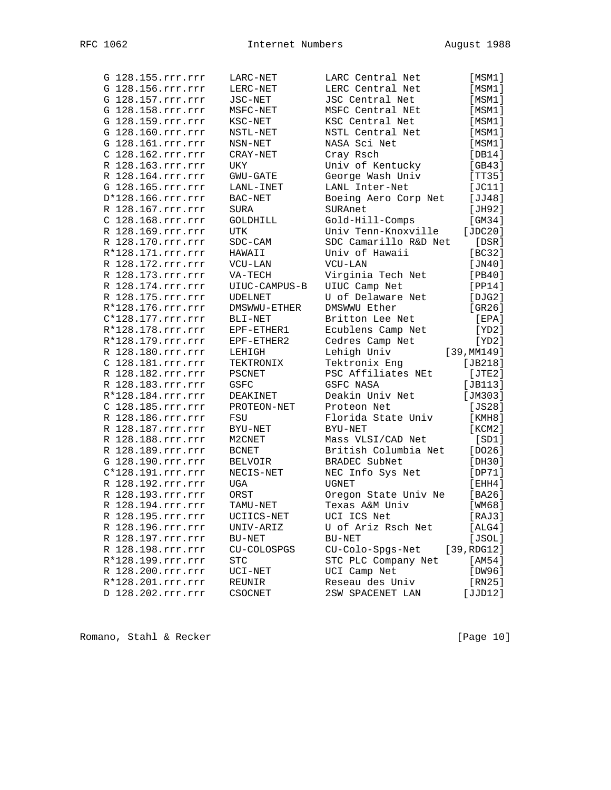| G 128.155.rrr.rrr | LARC-NET       | LARC Central Net      | [MSM1]      |
|-------------------|----------------|-----------------------|-------------|
| G 128.156.rrr.rrr | LERC-NET       | LERC Central Net      | [MSM1]      |
| G 128.157.rrr.rrr | JSC-NET        | JSC Central Net       | [MSM1]      |
| G 128.158.rrr.rrr | MSFC-NET       | MSFC Central NEt      | [MSM1]      |
| G 128.159.rrr.rrr | KSC-NET        | KSC Central Net       | [MSM1]      |
| G 128.160.rrr.rrr | NSTL-NET       | NSTL Central Net      | [MSM1]      |
| G 128.161.rrr.rrr | NSN-NET        | NASA Sci Net          | [MSM1]      |
| C 128.162.rrr.rrr | CRAY-NET       | Cray Rsch             | [DB14]      |
| R 128.163.rrr.rrr | UKY            | Univ of Kentucky      | [GB43]      |
| R 128.164.rrr.rrr | $GWU - GATE$   | George Wash Univ      | [TT35]      |
| G 128.165.rrr.rrr | LANL-INET      | LANL Inter-Net        | [JC11]      |
| D*128.166.rrr.rrr | BAC-NET        | Boeing Aero Corp Net  | [JJ48]      |
| R 128.167.rrr.rrr | SURA           | SURAnet               | [JH92]      |
| C 128.168.rrr.rrr | GOLDHILL       | Gold-Hill-Comps       | [GM34]      |
| R 128.169.rrr.rrr | UTK            | Univ Tenn-Knoxville   | [ $JDC20$ ] |
| R 128.170.rrr.rrr | $SDC-CAM$      | SDC Camarillo R&D Net | [DSR]       |
| R*128.171.rrr.rrr | HAWAII         | Univ of Hawaii        | [BC32]      |
| R 128.172.rrr.rrr | $VCU-LAN$      | VCU-LAN               | [JN40]      |
| R 128.173.rrr.rrr | VA-TECH        | Virginia Tech Net     | [PB40]      |
| R 128.174.rrr.rrr | UIUC-CAMPUS-B  | UIUC Camp Net         | [PP14]      |
| R 128.175.rrr.rrr | <b>UDELNET</b> | U of Delaware Net     | [DJG2]      |
| R*128.176.rrr.rrr | DMSWWU-ETHER   | DMSWWU Ether          | [GR26]      |
| C*128.177.rrr.rrr | BLI-NET        | Britton Lee Net       | [EPA]       |
| R*128.178.rrr.rrr | EPF-ETHER1     | Ecublens Camp Net     | [YD2]       |
| R*128.179.rrr.rrr | EPF-ETHER2     | Cedres Camp Net       | [YD2]       |
| R 128.180.rrr.rrr | LEHIGH         | Lehigh Univ           | [39, MM149] |
| C 128.181.rrr.rrr | TEKTRONIX      | Tektronix Eng         | $[JB218]$   |
| R 128.182.rrr.rrr | PSCNET         | PSC Affiliates NEt    | [JTE2]      |
| R 128.183.rrr.rrr | GSFC           | GSFC NASA             | $[JB113]$   |
| R*128.184.rrr.rrr | DEAKINET       | Deakin Univ Net       | [JM303]     |
| C 128.185.rrr.rrr | PROTEON-NET    | Proteon Net           | [JS28]      |
| R 128.186.rrr.rrr | FSU            | Florida State Univ    | [KMH8]      |
| R 128.187.rrr.rrr | BYU-NET        | BYU-NET               | [KCM2]      |
| R 128.188.rrr.rrr | M2CNET         | Mass VLSI/CAD Net     | [SD1]       |
| R 128.189.rrr.rrr | <b>BCNET</b>   | British Columbia Net  | [DO26]      |
| G 128.190.rrr.rrr | <b>BELVOIR</b> | BRADEC SubNet         | [DH30]      |
| C*128.191.rrr.rrr | NECIS-NET      | NEC Info Sys Net      | [DP71]      |
| R 128.192.rrr.rrr | UGA            | <b>UGNET</b>          | [EHH4]      |
| R 128.193.rrr.rrr | ORST           | Oregon State Univ Ne  | [BA26]      |
| R 128.194.rrr.rrr | TAMU-NET       | Texas A&M Univ        | [WM68]      |
| R 128.195.rrr.rrr | UCIICS-NET     | UCI ICS Net           | [RAJ3]      |
| R 128.196.rrr.rrr | UNIV-ARIZ      | U of Ariz Rsch Net    | [ALG4]      |
| R 128.197.rrr.rrr | BU-NET         | BU-NET                | [JSOL]      |
| R 128.198.rrr.rrr | CU-COLOSPGS    | CU-Colo-Spgs-Net      | [39, RDG12] |
| R*128.199.rrr.rrr | <b>STC</b>     | STC PLC Company Net   | [AM54]      |
| R 128.200.rrr.rrr | UCI-NET        | UCI Camp Net          | [DW96]      |
| R*128.201.rrr.rrr | REUNIR         | Reseau des Univ       | [RN25]      |
| D 128.202.rrr.rrr | CSOCNET        | 2SW SPACENET LAN      | [JJD12]     |

Romano, Stahl & Recker [Page 10]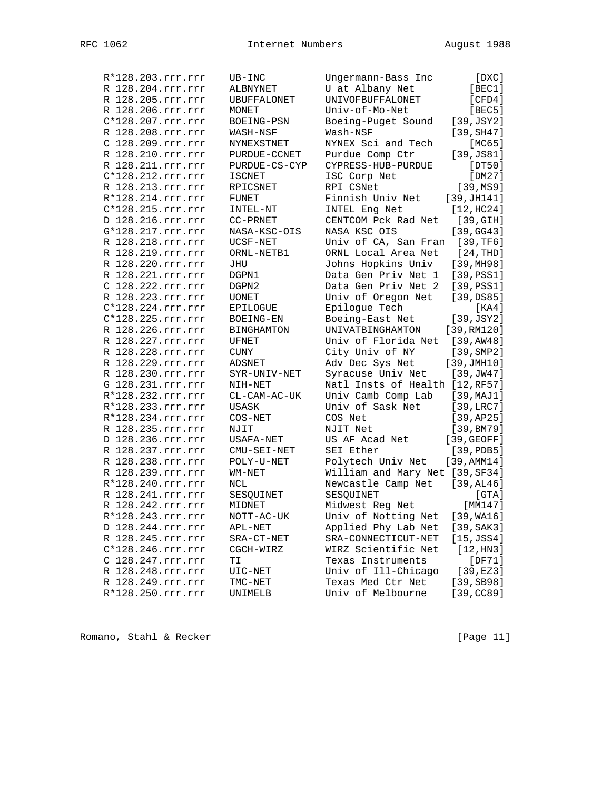R\*128.203.rrr.rrr UB-INC Ungermann-Bass Inc [DXC] R 128.204.rrr.rrr ALBNYNET U at Albany Net [BEC1] R 128.205.rrr.rrr UBUFFALONET UNIVOFBUFFALONET [CFD4] R 128.206.rrr.rrr MONET Univ-of-Mo-Net [BEC5] C\*128.207.rrr.rrr BOEING-PSN Boeing-Puget Sound [39,JSY2] R 128.208.rrr.rrr WASH-NSF Wash-NSF [39,SH47] C 128.209.rrr.rrr NYNEXSTNET NYNEX Sci and Tech [MC65] R 128.210.rrr.rrr PURDUE-CCNET Purdue Comp Ctr [39,JS81] R 128.211.rrr.rrr PURDUE-CS-CYP CYPRESS-HUB-PURDUE [DT50] C\*128.212.rrr.rrr ISCNET ISC Corp Net [DM27] R 128.213.rrr.rrr RPICSNET RPI CSNet [39,MS9] R\*128.214.rrr.rrr FUNET Finnish Univ Net [39,JH141] C\*128.215.rrr.rrr INTEL-NT INTEL Eng Net [12,HC24] D 128.216.rrr.rrr CC-PRNET CENTCOM Pck Rad Net [39,GIH] G\*128.217.rrr.rrr NASA-KSC-OIS NASA KSC OIS [39,GG43] R 128.218.rrr.rrr UCSF-NET Univ of CA, San Fran [39,TF6] R 128.219.rrr.rrr ORNL-NETB1 ORNL Local Area Net [24,THD] R 128.220.rrr.rrr JHU Johns Hopkins Univ [39,MH98] R 128.221.rrr.rrr DGPN1 Data Gen Priv Net 1 [39,PSS1] C 128.222.rrr.rrr DGPN2 Data Gen Priv Net 2 [39,PSS1] R 128.223.rrr.rrr UONET Univ of Oregon Net [39,DS85] C\*128.224.rrr.rrr EPILOGUE Epilogue Tech [KA4] C\*128.225.rrr.rrr BOEING-EN Boeing-East Net [39,JSY2] R 128.226.rrr.rrr BINGHAMTON UNIVATBINGHAMTON [39,RM120] R 128.227.rrr.rrr UFNET Univ of Florida Net [39,AW48] R 128.228.rrr.rrr CUNY City Univ of NY [39,SMP2] R 128.229.rrr.rrr ADSNET Adv Dec Sys Net [39,JMH10] R 128.230.rrr.rrr SYR-UNIV-NET Syracuse Univ Net [39,JW47] G 128.231.rrr.rrr NIH-NET Natl Insts of Health [12,RF57] R\*128.232.rrr.rrr CL-CAM-AC-UK Univ Camb Comp Lab [39,MAJ1] R\*128.233.rrr.rrr USASK Univ of Sask Net [39,LRC7] R\*128.234.rrr.rrr COS-NET COS Net [39,AP25] R 128.235.rrr.rrr NJIT NJIT NUIT Net [39,BM79] D 128.236.rrr.rrr USAFA-NET US AF Acad Net [39,GEOFF] R 128.237.rrr.rrr CMU-SEI-NET SEI Ether [39,PDB5] R 128.238.rrr.rrr POLY-U-NET Polytech Univ Net [39,AMM14] R 128.239.rrr.rrr WM-NET William and Mary Net [39,SF34] R\*128.240.rrr.rrr NCL Newcastle Camp Net [39,AL46] R 128.241.rrr.rrr SESQUINET SESQUINET [GTA] R 128.242.rrr.rrr MIDNET Midwest Reg Net [MM147] R\*128.243.rrr.rrr NOTT-AC-UK Univ of Notting Net [39,WA16] D 128.244.rrr.rrr APL-NET Applied Phy Lab Net [39,SAK3] R 128.245.rrr.rrr SRA-CT-NET SRA-CONNECTICUT-NET [15,JSS4] C\*128.246.rrr.rrr CGCH-WIRZ WIRZ Scientific Net [12,HN3] C 128.247.rrr.rrr TI Texas Instruments [DF71] R 128.248.rrr.rrr UIC-NET Univ of Ill-Chicago [39,EZ3] R 128.249.rrr.rrr TMC-NET Texas Med Ctr Net [39,SB98] R\*128.250.rrr.rrr UNIMELB Univ of Melbourne [39,CC89]

Romano, Stahl & Recker [Page 11]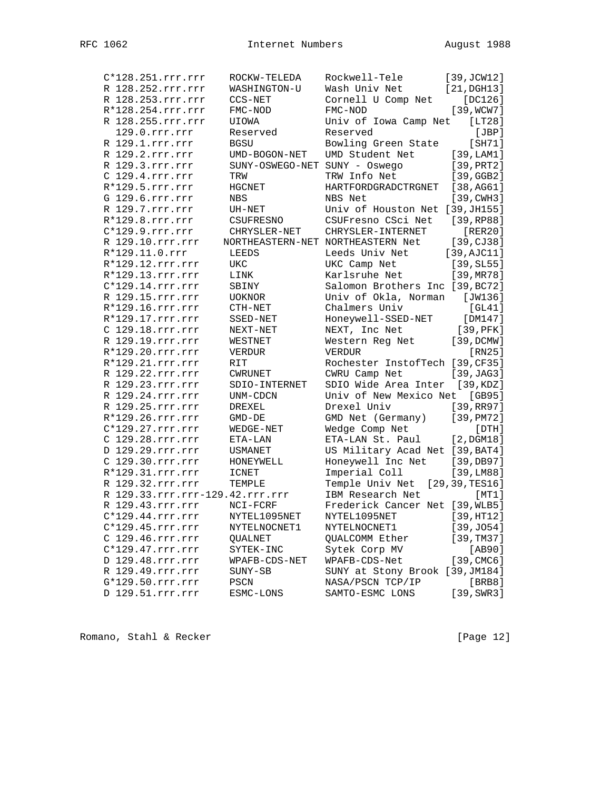| C*128.251.rrr.rrr               | ROCKW-TELEDA                  | Rockwell-Tele                     | [39, JCW12]         |
|---------------------------------|-------------------------------|-----------------------------------|---------------------|
| R 128.252.rrr.rrr               | WASHINGTON-U                  | Wash Univ Net                     | $[21,$ DGH13]       |
| R 128.253.rrr.rrr               | CCS-NET                       | Cornell U Comp Net                | $[DC126]$           |
| R*128.254.rrr.rrr               | FMC-NOD                       | FMC-NOD                           | [39, WCW7]          |
| R 128.255.rrr.rrr               | UIOWA                         | Univ of Iowa Camp Net             | [LT28]              |
| 129.0.rrr.rrr                   | Reserved                      | Reserved                          | [JBP]               |
| R 129.1.rrr.rrr                 | <b>BGSU</b>                   | Bowling Green State               | [SH71]              |
| R 129.2.rrr.rrr                 | UMD-BOGON-NET                 | UMD Student Net                   | [39, LAM1]          |
| R 129.3.rrr.rrr                 | SUNY-OSWEGO-NET SUNY - Oswego |                                   | [39, PRT2]          |
| C 129.4.rrr.rrr                 | TRW                           | TRW Info Net                      | [39, GGB2]          |
| $R*129.5.rrr.rrr$               | HGCNET                        | HARTFORDGRADCTRGNET               | [38,AG61]           |
| G 129.6.rrr.rrr                 | $_{\rm NBS}$                  | NBS Net                           | $[39, \text{CWH3}]$ |
| R 129.7.rrr.rrr                 | UH-NET                        | Univ of Houston Net [39, JH155]   |                     |
| R*129.8.rrr.rrr                 | CSUFRESNO                     | CSUFresno CSci Net [39, RP88]     |                     |
| $C*129.9.rrr.rrr$               | CHRYSLER-NET                  | CHRYSLER-INTERNET                 | [RER20]             |
| R 129.10.rrr.rrr                |                               | NORTHEASTERN-NET NORTHEASTERN Net | [39, CJ38]          |
| R*129.11.0.rrr                  | <b>LEEDS</b>                  | Leeds Univ Net                    | [39, AJC11]         |
| R*129.12.rrr.rrr                | UKC                           | UKC Camp Net                      | [39, SL55]          |
| R*129.13.rrr.rrr                | LINK                          | Karlsruhe Net                     | [39, MR78]          |
| C*129.14.rrr.rrr                | SBINY                         | Salomon Brothers Inc [39, BC72]   |                     |
| R 129.15.rrr.rrr                | <b>UOKNOR</b>                 | Univ of Okla, Norman [JW136]      |                     |
| R*129.16.rrr.rrr                | $CTH-NET$                     | Chalmers Univ                     | [GL41]              |
| R*129.17.rrr.rrr                | SSED-NET                      | Honeywell-SSED-NET [DM147]        |                     |
| C 129.18.rrr.rrr                | NEXT-NET                      | NEXT, Inc Net                     | [39,PFK]            |
| R 129.19.rrr.rrr                | WESTNET                       | Western Reg Net                   | [39, DCMW]          |
| R*129.20.rrr.rrr                | VERDUR                        | VERDUR                            | [RN25]              |
| R*129.21.rrr.rrr                | RIT                           | Rochester InstofTech [39, CF35]   |                     |
| R 129.22.rrr.rrr                | <b>CWRUNET</b>                | CWRU Camp Net                     | [39, JAG3]          |
| R 129.23.rrr.rrr                | SDIO-INTERNET                 | SDIO Wide Area Inter [39, KDZ]    |                     |
| R 129.24.rrr.rrr                | UNM-CDCN                      | Univ of New Mexico Net [GB95]     |                     |
| R 129.25.rrr.rrr                | DREXEL                        | Drexel Univ                       | [39,RR97]           |
| R*129.26.rrr.rrr                | $GMD-DE$                      | GMD Net (Germany)                 | [39, PM72]          |
| $C*129.27.rrr.rrr$              | WEDGE-NET                     | Wedge Comp Net                    | [DTH]               |
| C 129.28.rrr.rrr                | ETA-LAN                       | ETA-LAN St. Paul                  | [2, DGM18]          |
| D 129.29.rrr.rrr                | USMANET                       | US Military Acad Net [39, BAT4]   |                     |
| C 129.30.rrr.rrr                | HONEYWELL                     | Honeywell Inc Net [39, DB97]      |                     |
| R*129.31.rrr.rrr                | ICNET                         | Imperial Coll                     | [39, LMS8]          |
| R 129.32.rrr.rrr                | TEMPLE                        | Temple Univ Net [29,39, TES16]    |                     |
| R 129.33.rrr.rrr-129.42.rrr.rrr |                               | IBM Research Net                  | [MT1]               |
| R 129.43.rrr.rrr                | $NCI-FCRF$                    | Frederick Cancer Net [39, WLB5]   |                     |
| $C*129.44.rrr.rrr$              | NYTEL1095NET                  | NYTEL1095NET                      | [39, HT12]          |
| $C*129.45.rrr.rrr$              | NYTELNOCNET1                  | NYTELNOCNET1                      | [39, J054]          |
| C 129.46.rrr.rrr                | QUALNET                       | QUALCOMM Ether                    | [39, TM37]          |
| C*129.47.rrr.rrr                | SYTEK-INC                     | Sytek Corp MV                     | [AB90]              |
| D 129.48.rrr.rrr                | WPAFB-CDS-NET                 | WPAFB-CDS-Net                     | [39, CMC6]          |
| R 129.49.rrr.rrr                | SUNY-SB                       | SUNY at Stony Brook [39, JM184]   |                     |
| G*129.50.rrr.rrr                | PSCN                          | NASA/PSCN TCP/IP                  | [BRB8]              |
| D 129.51.rrr.rrr                | ESMC-LONS                     | SAMTO-ESMC LONS                   | [39, SWR3]          |
|                                 |                               |                                   |                     |

Romano, Stahl & Recker [Page 12]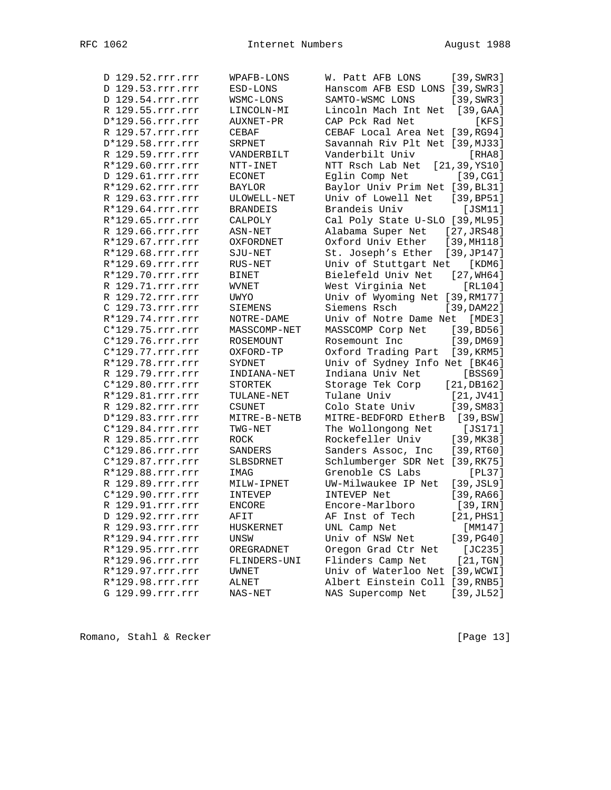| D 129.52.rrr.rrr   | WPAFB-LONS      | $[39, \text{SWR}3]$<br>W. Patt AFB LONS |
|--------------------|-----------------|-----------------------------------------|
| D 129.53.rrr.rrr   | ESD-LONS        | Hanscom AFB ESD LONS [39, SWR3]         |
| D 129.54.rrr.rrr   | WSMC-LONS       | SAMTO-WSMC LONS<br>[39, SWR3]           |
| R 129.55.rrr.rrr   | LINCOLN-MI      | Lincoln Mach Int Net [39, GAA]          |
| D*129.56.rrr.rrr   | AUXNET-PR       | CAP Pck Rad Net<br>[KFS]                |
| R 129.57.rrr.rrr   | CEBAF           | CEBAF Local Area Net [39, RG94]         |
| D*129.58.rrr.rrr   | SRPNET          | Savannah Riv Plt Net [39, MJ33]         |
| R 129.59.rrr.rrr   | VANDERBILT      | Vanderbilt Univ<br>[RHA8]               |
| R*129.60.rrr.rrr   | NTT-INET        | NTT Rsch Lab Net<br>[21, 39, YS10]      |
| D 129.61.rrr.rrr   | <b>ECONET</b>   | Eglin Comp Net<br>[39, CG1]             |
| R*129.62.rrr.rrr   | <b>BAYLOR</b>   | Baylor Univ Prim Net [39, BL31]         |
| R 129.63.rrr.rrr   | ULOWELL-NET     | Univ of Lowell Net<br>[39, BP51]        |
| R*129.64.rrr.rrr   | <b>BRANDEIS</b> | Brandeis Univ<br>[JSM11]                |
| R*129.65.rrr.rrr   | CALPOLY         | Cal Poly State U-SLO [39, ML95]         |
| R 129.66.rrr.rrr   | ASN-NET         | Alabama Super Net<br>[27, JRS48]        |
| R*129.67.rrr.rrr   | OXFORDNET       | Oxford Univ Ether<br>[39, MHz18]        |
| R*129.68.rrr.rrr   | SJU-NET         | St. Joseph's Ether<br>[39, JP147]       |
| R*129.69.rrr.rrr   | $RUS-NET$       | Univ of Stuttgart Net<br>[KDM6]         |
| R*129.70.rrr.rrr   | <b>BINET</b>    | Bielefeld Univ Net<br>[27, WH64]        |
| R 129.71.rrr.rrr   | <b>WVNET</b>    | West Virginia Net<br>[RL104]            |
| R 129.72.rrr.rrr   | UWYO            | Univ of Wyoming Net [39, RM177]         |
| C 129.73.rrr.rrr   | <b>SIEMENS</b>  | [39, DAM22]<br>Siemens Rsch             |
| R*129.74.rrr.rrr   | NOTRE-DAME      | Univ of Notre Dame Net<br>[MDE3]        |
| C*129.75.rrr.rrr   | MASSCOMP-NET    | MASSCOMP Corp Net<br>[39, BDS6]         |
| $C*129.76.rrr.rrr$ | ROSEMOUNT       | Rosemount Inc<br>[39,DM69]              |
| $C*129.77.rrr.rrr$ | OXFORD-TP       | Oxford Trading Part<br>[39, KRM5]       |
| R*129.78.rrr.rrr   | SYDNET          | Univ of Sydney Info Net [BK46]          |
| R 129.79.rrr.rrr   | INDIANA-NET     | Indiana Univ Net<br>[BSS69]             |
| C*129.80.rrr.rrr   | STORTEK         | Storage Tek Corp<br>[21, DB162]         |
| R*129.81.rrr.rrr   | TULANE-NET      | Tulane Univ<br>[21, JV41]               |
| R 129.82.rrr.rrr   | <b>CSUNET</b>   | Colo State Univ<br>[39, SM83]           |
| D*129.83.rrr.rrr   | MITRE-B-NETB    | MITRE-BEDFORD EtherB<br>[39, BSW]       |
| C*129.84.rrr.rrr   | TWG-NET         | $[JS171]$<br>The Wollongong Net         |
| R 129.85.rrr.rrr   | ROCK            | Rockefeller Univ<br>[39, MK38]          |
| $C*129.86.rrr.rrr$ | SANDERS         | Sanders Assoc, Inc<br>[39, RT60]        |
| C*129.87.rrr.rrr   | SLBSDRNET       | Schlumberger SDR Net [39, RK75]         |
| R*129.88.rrr.rrr   | IMAG            | Grenoble CS Labs<br>[PL37]              |
| R 129.89.rrr.rrr   | MILW-IPNET      | UW-Milwaukee IP Net<br>[39, JSL9]       |
| $C*129.90.rrr.rrr$ | <b>INTEVEP</b>  | INTEVEP Net<br>[39, RAG6]               |
| R 129.91.rrr.rrr   | <b>ENCORE</b>   | Encore-Marlboro<br>[39, IRN]            |
| D 129.92.rrr.rrr   | AFIT            | $[21,$ PHS1]<br>AF Inst of Tech         |
| R 129.93.rrr.rrr   |                 | [MM147]                                 |
| R*129.94.rrr.rrr   | HUSKERNET       | UNL Camp Net<br>Univ of NSW Net         |
|                    | UNSW            | [39, PG40]                              |
| R*129.95.rrr.rrr   | OREGRADNET      | Oregon Grad Ctr Net<br>[JC235]          |
| R*129.96.rrr.rrr   | FLINDERS-UNI    | Flinders Camp Net<br>[21, TGN]          |
| R*129.97.rrr.rrr   | UWNET           | Univ of Waterloo Net<br>[39, WCWI]      |
| R*129.98.rrr.rrr   | ALNET           | Albert Einstein Coll [39, RNB5]         |
| G 129.99.rrr.rrr   | NAS-NET         | NAS Supercomp Net<br>[39, JL52]         |

Romano, Stahl & Recker [Page 13]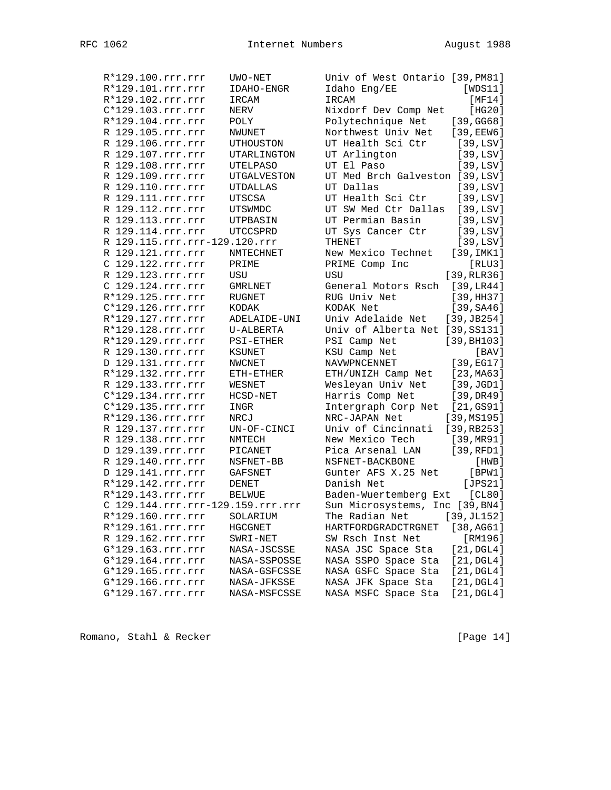| R*129.100.rrr.rrr                 | UWO-NET         | Univ of West Ontario [39, PM81]            |  |
|-----------------------------------|-----------------|--------------------------------------------|--|
| R*129.101.rrr.rrr                 | IDAHO-ENGR      | [WDS11]<br>Idaho Eng/EE                    |  |
| R*129.102.rrr.rrr                 | IRCAM           | IRCAM<br>[MT4]                             |  |
| C*129.103.rrr.rrr                 | NERV            | Nixdorf Dev Comp Net<br>[HG20]             |  |
| R*129.104.rrr.rrr                 | POLY            | Polytechnique Net<br>[39, GG68]            |  |
| R 129.105.rrr.rrr                 | NWUNET          | Northwest Univ Net<br>$[39,$ EEW6]         |  |
| R 129.106.rrr.rrr                 | UTHOUSTON       | UT Health Sci Ctr<br>[39, LSV]             |  |
| R 129.107.rrr.rrr                 | UTARLINGTON     | UT Arlington<br>[39, LSV]                  |  |
| R 129.108.rrr.rrr                 | <b>UTELPASO</b> | UT El Paso<br>[39, LSV]                    |  |
| R 129.109.rrr.rrr                 | UTGALVESTON     | UT Med Brch Galveston [39, LSV]            |  |
| R 129.110.rrr.rrr                 | <b>UTDALLAS</b> | UT Dallas<br>[39, LSV]                     |  |
| R 129.111.rrr.rrr                 | UTSCSA          | UT Health Sci Ctr<br>[39, LSV]             |  |
| R 129.112.rrr.rrr                 | UTSWMDC         | UT SW Med Ctr Dallas<br>[39, LSV]          |  |
| R 129.113.rrr.rrr                 | UTPBASIN        | UT Permian Basin<br>[39, LSV]              |  |
| R 129.114.rrr.rrr                 | UTCCSPRD        | UT Sys Cancer Ctr<br>[39, LSV]             |  |
| R 129.115.rrr.rrr-129.120.rrr     |                 | THENET<br>[39, LSV]                        |  |
| R 129.121.rrr.rrr                 | NMTECHNET       | New Mexico Technet<br>[39, IMK1]           |  |
| C 129.122.rrr.rrr                 | PRIME           | PRIME Comp Inc<br>[RLU3]                   |  |
| R 129.123.rrr.rrr                 | $_{\rm USU}$    | [39, RLR36]<br>USU                         |  |
| C 129.124.rrr.rrr                 | <b>GMRLNET</b>  | [39,LR44]<br>General Motors Rsch           |  |
| R*129.125.rrr.rrr                 | <b>RUGNET</b>   | RUG Univ Net<br>[39,HH37]                  |  |
| C*129.126.rrr.rrr                 | KODAK           | KODAK Net<br>[39, SAA6]                    |  |
| R*129.127.rrr.rrr                 | ADELAIDE-UNI    | Univ Adelaide Net<br>[39, JB254]           |  |
| R*129.128.rrr.rrr                 | U-ALBERTA       | Univ of Alberta Net [39, SS131]            |  |
| R*129.129.rrr.rrr                 | PSI-ETHER       | PSI Camp Net<br>[39, BH103]                |  |
| R 129.130.rrr.rrr                 | KSUNET          | KSU Camp Net<br>[BAV]                      |  |
| D 129.131.rrr.rrr                 | NWCNET          | NAVWPNCENNET<br>[39,EG17]                  |  |
| R*129.132.rrr.rrr                 | ETH-ETHER       | ETH/UNIZH Camp Net<br>[23, MA63]           |  |
| R 129.133.rrr.rrr                 | WESNET          | Wesleyan Univ Net<br>[39, JGD1]            |  |
| C*129.134.rrr.rrr                 | HCSD-NET        | Harris Comp Net<br>[39, DR49]              |  |
| C*129.135.rrr.rrr                 | INGR            | Intergraph Corp Net<br>[21,GS91]           |  |
| R*129.136.rrr.rrr                 | NRCJ            | NRC-JAPAN Net<br>[39, MS195]               |  |
| R 129.137.rrr.rrr                 | UN-OF-CINCI     | Univ of Cincinnati<br>[39, RB253]          |  |
| R 129.138.rrr.rrr                 | NMTECH          | New Mexico Tech<br>[39, MR91]              |  |
| D 129.139.rrr.rrr                 | PICANET         | Pica Arsenal LAN<br>[39,RFD1]              |  |
| R 129.140.rrr.rrr                 | NSFNET-BB       | NSFNET-BACKBONE<br>[HWB]                   |  |
| D 129.141.rrr.rrr                 | <b>GAFSNET</b>  | Gunter AFS X.25 Net<br>[BPW1]              |  |
| R*129.142.rrr.rrr                 | DENET           | [JPS21]<br>Danish Net                      |  |
| R*129.143.rrr.rrr                 | <b>BELWUE</b>   | [CL80]<br>Baden-Wuertemberg Ext            |  |
| C 129.144.rrr.rrr-129.159.rrr.rrr |                 | Sun Microsystems, Inc [39, BN4]            |  |
| R*129.160.rrr.rrr                 | SOLARIUM        | The Radian Net<br>[39, JL152]              |  |
| R*129.161.rrr.rrr                 | HGCGNET         | [38,AG61]<br>HARTFORDGRADCTRGNET           |  |
| R 129.162.rrr.rrr                 | SWRI-NET        | SW Rsch Inst Net<br>[RM196]                |  |
| G*129.163.rrr.rrr                 | NASA-JSCSSE     | NASA JSC Space Sta<br>$[21, \text{DGL4}]$  |  |
| G*129.164.rrr.rrr                 | NASA-SSPOSSE    | NASA SSPO Space Sta<br>$[21, \text{DGL4}]$ |  |
| G*129.165.rrr.rrr                 | NASA-GSFCSSE    | NASA GSFC Space Sta<br>$[21, \text{DGL4}]$ |  |
| G*129.166.rrr.rrr                 | NASA-JFKSSE     | NASA JFK Space Sta<br>$[21, \text{DGL4}]$  |  |
| G*129.167.rrr.rrr                 | NASA-MSFCSSE    | $[21, \text{DGL4}]$<br>NASA MSFC Space Sta |  |
|                                   |                 |                                            |  |

Romano, Stahl & Recker [Page 14]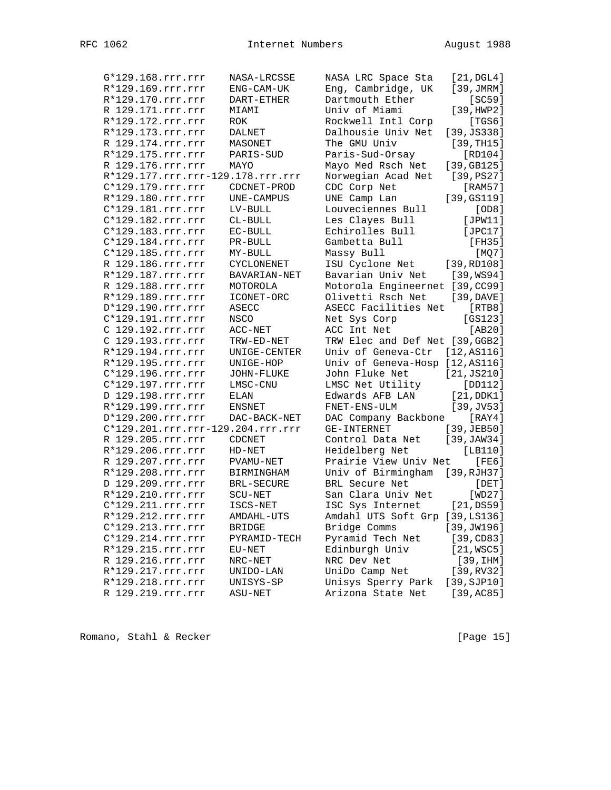| G*129.168.rrr.rrr | NASA-LRCSSE                       | NASA LRC Space Sta              | [21, DGL4]    |
|-------------------|-----------------------------------|---------------------------------|---------------|
| R*129.169.rrr.rrr | ENG-CAM-UK                        | Eng, Cambridge, UK              | [39, JMRM]    |
| R*129.170.rrr.rrr | DART-ETHER                        | Dartmouth Ether                 | [SC59]        |
| R 129.171.rrr.rrr | MIAMI                             | Univ of Miami                   | [39, HWP2]    |
| R*129.172.rrr.rrr | ROK                               | Rockwell Intl Corp              | [TGS6]        |
| R*129.173.rrr.rrr | DALNET                            | Dalhousie Univ Net              | [39, JS338]   |
| R 129.174.rrr.rrr | MASONET                           | The GMU Univ                    | [39, TH15]    |
| R*129.175.rrr.rrr | PARIS-SUD                         | Paris-Sud-Orsay                 | [RD104]       |
| R 129.176.rrr.rrr | MAYO                              | Mayo Med Rsch Net               | [39, GB125]   |
|                   | R*129.177.rrr.rrr-129.178.rrr.rrr | Norwegian Acad Net              | [39,PS27]     |
| C*129.179.rrr.rrr | CDCNET-PROD                       | CDC Corp Net                    | [RAM57]       |
| R*129.180.rrr.rrr | UNE-CAMPUS                        | UNE Camp Lan                    | [39,GS119]    |
| C*129.181.rrr.rrr | LV-BULL                           | Louveciennes Bull               | [OD8]         |
| C*129.182.rrr.rrr | $CL-BULL$                         | Les Clayes Bull                 | [JPW11]       |
| C*129.183.rrr.rrr | EC-BULL                           | Echirolles Bull                 | [JPC17]       |
| C*129.184.rrr.rrr | PR-BULL                           | Gambetta Bull                   | [FH35]        |
| C*129.185.rrr.rrr | MY-BULL                           | Massy Bull                      | [MQ7]         |
| R 129.186.rrr.rrr | CYCLONENET                        | ISU Cyclone Net                 | [39, RD108]   |
| R*129.187.rrr.rrr | BAVARIAN-NET                      | Bavarian Univ Net               | [39,WS94]     |
| R 129.188.rrr.rrr | MOTOROLA                          | Motorola Engineernet [39, CC99] |               |
| R*129.189.rrr.rrr | ICONET-ORC                        | Olivetti Rsch Net               | [39, DAVE]    |
| D*129.190.rrr.rrr | ASECC                             | ASECC Facilities Net            | [RTB8]        |
| C*129.191.rrr.rrr | NSCO                              | Net Sys Corp                    | $[GS123]$     |
| C 129.192.rrr.rrr | $ACC-NET$                         | ACC Int Net                     | [AB20]        |
| C 129.193.rrr.rrr | TRW-ED-NET                        | TRW Elec and Def Net [39, GGB2] |               |
| R*129.194.rrr.rrr | UNIGE-CENTER                      | Univ of Geneva-Ctr              | [12, A S 116] |
| R*129.195.rrr.rrr | UNIGE-HOP                         | Univ of Geneva-Hosp [12, AS116] |               |
| C*129.196.rrr.rrr | JOHN-FLUKE                        | John Fluke Net                  | [21, JS210]   |
| C*129.197.rrr.rrr | LMSC-CNU                          | LMSC Net Utility                | [DD112]       |
| D 129.198.rrr.rrr | ELAN                              | Edwards AFB LAN                 | [21,DDK1]     |
| R*129.199.rrr.rrr | ENSNET                            | FNET-ENS-ULM                    | $[39,$ JV53]  |
| D*129.200.rrr.rrr | DAC-BACK-NET                      | DAC Company Backbone            | [RAY4]        |
|                   | C*129.201.rrr.rrr-129.204.rrr.rrr | <b>GE-INTERNET</b>              | [39,JEB50]    |
| R 129.205.rrr.rrr | CDCNET                            | Control Data Net                | [39, JAW34]   |
| R*129.206.rrr.rrr | $HD-NET$                          | Heidelberg Net                  | [LBI10]       |
| R 129.207.rrr.rrr | PVAMU-NET                         | Prairie View Univ Net           | [FE6]         |
| R*129.208.rrr.rrr | BIRMINGHAM                        | Univ of Birmingham [39, RJH37]  |               |
| D 129.209.rrr.rrr | <b>BRL-SECURE</b>                 | BRL Secure Net                  | $[$ DET $]$   |
| R*129.210.rrr.rrr | SCU-NET                           | San Clara Univ Net              | [WD27]        |
| C*129.211.rrr.rrr | ISCS-NET                          | ISC Sys Internet                | $[21,$ DS59]  |
| R*129.212.rrr.rrr | AMDAHL-UTS                        | Amdahl UTS Soft Grp [39, LS136] |               |
| C*129.213.rrr.rrr | <b>BRIDGE</b>                     | Bridge Comms                    | [39, JW196]   |
| C*129.214.rrr.rrr | PYRAMID-TECH                      | Pyramid Tech Net                | [39, CDS3]    |
| R*129.215.rrr.rrr | EU-NET                            | Edinburgh Univ                  | [21, WSC5]    |
| R 129.216.rrr.rrr | NRC-NET                           | NRC Dev Net                     | [39,1HM]      |
| R*129.217.rrr.rrr | UNIDO-LAN                         | UniDo Camp Net                  | [39, RV32]    |
| R*129.218.rrr.rrr | UNISYS-SP                         | Unisys Sperry Park              | [39, SJD10]   |
| R 129.219.rrr.rrr | ASU-NET                           | Arizona State Net               | [39, AC85]    |

Romano, Stahl & Recker [Page 15]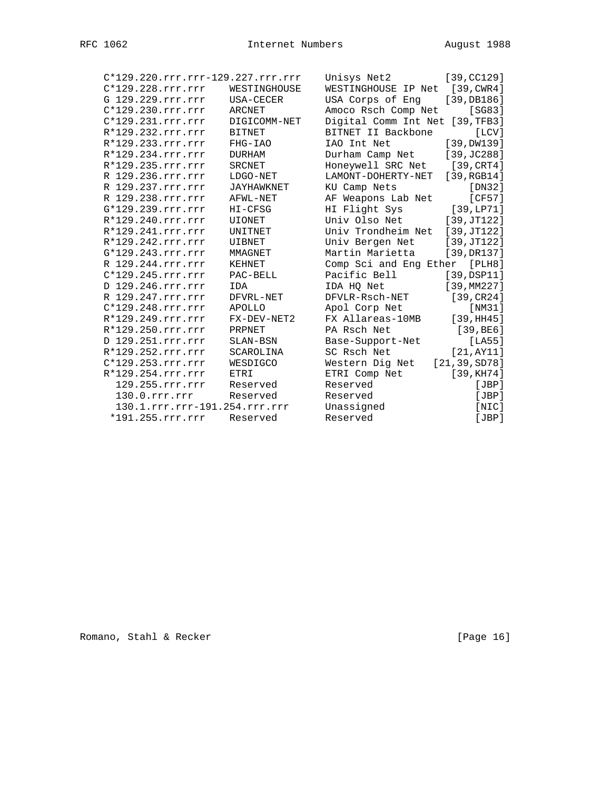| C*129.220.rrr.rrr-129.227.rrr.rrr |                   | Unisys Net2                     | [39, CC129]    |
|-----------------------------------|-------------------|---------------------------------|----------------|
| C*129.228.rrr.rrr                 | WESTINGHOUSE      | WESTINGHOUSE IP Net [39, CWR4]  |                |
| G 129.229.rrr.rrr                 | USA-CECER         | USA Corps of Eng [39, DB186]    |                |
| $C*129.230.rrr.rrr$               | ARCNET            | Amoco Rsch Comp Net             | [SG83]         |
| $C*129.231.rrr.rrr$               | DIGICOMM-NET      | Digital Comm Int Net [39, TFB3] |                |
| R*129.232.rrr.rrr                 | <b>BITNET</b>     | BITNET II Backbone              | [LCV]          |
| R*129.233.rrr.rrr                 | FHG-IAO           | IAO Int Net                     | [39, DW139]    |
| R*129.234.rrr.rrr                 | DURHAM            | Durham Camp Net                 | [39, JC288]    |
| R*129.235.rrr.rrr                 | SRCNET            | Honeywell SRC Net [39, CRT4]    |                |
| R 129.236.rrr.rrr                 | LDGO-NET          | LAMONT-DOHERTY-NET              | [39, RGB14]    |
| R 129.237.rrr.rrr                 | <b>JAYHAWKNET</b> | KU Camp Nets                    | [DN32]         |
| R 129.238.rrr.rrr                 | AFWL-NET          | AF Weapons Lab Net              | [CF57]         |
| G*129.239.rrr.rrr                 | HI-CFSG           | HI Flight Sys                   | [39,LP71]      |
| R*129.240.rrr.rrr                 | <b>UIONET</b>     | Univ Olso Net [39, JT122]       |                |
| R*129.241.rrr.rrr                 | UNITNET           | Univ Trondheim Net [39, JT122]  |                |
| R*129.242.rrr.rrr                 | UIBNET            | Univ Bergen Net                 | [39, JT122]    |
| G*129.243.rrr.rrr                 | MMAGNET           | Martin Marietta                 | [39, DR137]    |
| R 129.244.rrr.rrr                 | KEHNET            | Comp Sci and Eng Ether          | [PLH8]         |
| $C*129.245.rrr.rrr$               | PAC-BELL          | Pacific Bell                    | $[39,$ DSP11]  |
| D 129.246.rrr.rrr                 | IDA               | IDA HO Net                      | [39, MM227]    |
| R 129.247.rrr.rrr                 | DFVRL-NET         | DFVLR-Rsch-NET                  | [39, CR24]     |
| $C*129.248.rrr.rrr$               | APOLLO            | Apol Corp Net                   | [NM31]         |
| R*129.249.rrr.rrr                 | FX-DEV-NET2       | FX Allareas-10MB                | [39,HH45]      |
| R*129.250.rrr.rrr                 | PRPNET            | PA Rsch Net                     | [39, BE6]      |
| D 129.251.rrr.rrr                 | SLAN-BSN          | Base-Support-Net                | [LA55]         |
| R*129.252.rrr.rrr                 | SCAROLINA         | SC Rsch Net                     | [21, AY11]     |
| C*129.253.rrr.rrr                 | WESDIGCO          | Western Dig Net                 | [21, 39, SD78] |
| R*129.254.rrr.rrr                 | ETRI              | ETRI Comp Net                   | [39, KH74]     |
| 129.255.rrr.rrr                   | Reserved          | Reserved                        | [JBP]          |
| 130.0.rrr.rrr                     | Reserved          | Reserved                        | [JBP]          |
| 130.1.rrr.rrr-191.254.rrr.rrr     |                   | Unassigned                      | [NIC]          |
| *191.255.rrr.rrr                  | Reserved          | Reserved                        | [JBP]          |
|                                   |                   |                                 |                |

Romano, Stahl & Recker [Page 16]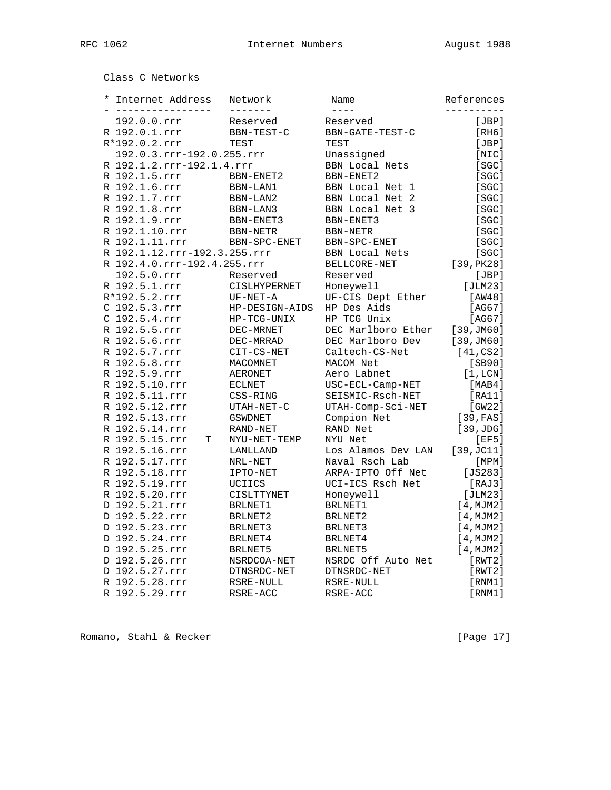Class C Networks

| $\star$ | Internet Address<br><u>_______________</u> | Network<br>-------- | Name<br>$- - - -$  | References |
|---------|--------------------------------------------|---------------------|--------------------|------------|
|         | 192.0.0.rrr                                | Reserved            | Reserved           | [JBP]      |
|         | R 192.0.1.rrr                              | BBN-TEST-C          | BBN-GATE-TEST-C    | [RH6]      |
|         | R*192.0.2.rrr                              | TEST                | TEST               | [JBP]      |
|         | 192.0.3.rrr-192.0.255.rrr                  |                     | Unassigned         | [NIC]      |
|         | R 192.1.2.rrr-192.1.4.rrr                  |                     | BBN Local Nets     | [SGC]      |
|         | R 192.1.5.rrr                              | BBN-ENET2           | <b>BBN-ENET2</b>   | [SGC]      |
|         | R 192.1.6.rrr                              | BBN-LAN1            | BBN Local Net 1    | [SC]       |
|         | R 192.1.7.rrr                              | BBN-LAN2            | BBN Local Net 2    | [SC]       |
|         | R 192.1.8.rrr                              | BBN-LAN3            | BBN Local Net 3    | [SGC]      |
|         | R 192.1.9.rrr                              | BBN-ENET3           | BBN-ENET3          | [SGC]      |
|         | R 192.1.10.rrr                             | BBN-NETR            | <b>BBN-NETR</b>    | [SC]       |
|         | R 192.1.11.rrr                             | BBN-SPC-ENET        | BBN-SPC-ENET       | [SC]       |
|         | R 192.1.12.rrr-192.3.255.rrr               |                     | BBN Local Nets     | [SC]       |
|         | R 192.4.0.rrr-192.4.255.rrr                |                     | BELLCORE-NET       | [39, PK28] |
|         | 192.5.0.rrr                                | Reserved            | Reserved           | [JBP]      |
|         | R 192.5.1.rrr                              | CISLHYPERNET        | Honeywell          | [JLM23]    |
|         | R*192.5.2.rrr                              | UF-NET-A            | UF-CIS Dept Ether  | [AW48]     |
|         | C 192.5.3.rrr                              | HP-DESIGN-AIDS      | HP Des Aids        | [AG67]     |
|         | C 192.5.4.rrr                              | HP-TCG-UNIX         | HP TCG Unix        | [AG67]     |
|         | R 192.5.5.rrr                              | DEC-MRNET           | DEC Marlboro Ether | [39, JMO]  |
|         | R 192.5.6.rrr                              | DEC-MRRAD           | DEC Marlboro Dev   | [39, JM60] |
|         | R 192.5.7.rrr                              | CIT-CS-NET          | Caltech-CS-Net     | [41,CS2]   |
|         | R 192.5.8.rrr                              | MACOMNET            | MACOM Net          | [SB90]     |
|         | R 192.5.9.rrr                              | <b>AERONET</b>      | Aero Labnet        | [1,LCN]    |
|         | R 192.5.10.rrr                             | <b>ECLNET</b>       | USC-ECL-Camp-NET   | [MAB4]     |
|         | R 192.5.11.rrr                             | CSS-RING            | SEISMIC-Rsch-NET   | [RA11]     |
|         | R 192.5.12.rrr                             | UTAH-NET-C          | UTAH-Comp-Sci-NET  | [GW22]     |
|         | R 192.5.13.rrr                             | <b>GSWDNET</b>      | Compion Net        | [39, FAS]  |
|         | R 192.5.14.rrr                             | RAND-NET            | RAND Net           | [39,JDG]   |
|         | R 192.5.15.rrr<br>Т                        | NYU-NET-TEMP        | NYU Net            | [EF5]      |
|         | R 192.5.16.rrr                             | LANLLAND            | Los Alamos Dev LAN | [39, JC11] |
|         | R 192.5.17.rrr                             | NRL-NET             | Naval Rsch Lab     | [MPM]      |
|         | R 192.5.18.rrr                             | IPTO-NET            | ARPA-IPTO Off Net  | $[JS283]$  |
|         | R 192.5.19.rrr                             | UCIICS              | UCI-ICS Rsch Net   | [RAJ3]     |
|         | R 192.5.20.rrr                             | CISLTTYNET          | Honeywell          | [JLM23]    |
|         | D 192.5.21.rrr                             | BRLNET1             | BRLNET1            | [4, MJM2]  |
|         | D 192.5.22.rrr                             | BRLNET2             | BRLNET2            | [4, MJM2]  |
|         |                                            |                     |                    |            |
|         | D 192.5.23.rrr<br>D 192.5.24.rrr           | BRLNET3             | BRLNET3            | [4, MJM2]  |
|         | D 192.5.25.rrr                             | BRLNET4             | BRLNET4            | [4, MJM2]  |
|         |                                            | BRLNET5             | BRLNET5            | [4, MJM2]  |
|         | D 192.5.26.rrr                             | NSRDCOA-NET         | NSRDC Off Auto Net | [RWT2]     |
|         | D 192.5.27.rrr                             | DTNSRDC-NET         | DTNSRDC-NET        | [RWT2]     |
|         | R 192.5.28.rrr                             | RSRE-NULL           | RSRE-NULL          | [RNM1]     |
|         | R 192.5.29.rrr                             | RSRE-ACC            | RSRE-ACC           | [RNM1]     |

Romano, Stahl & Recker [Page 17]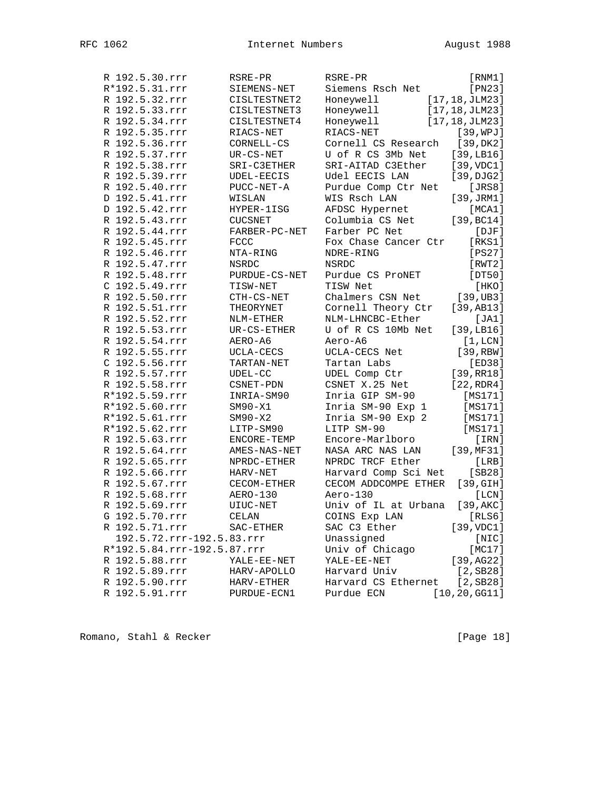| R 192.5.30.rrr              | RSRE-PR            | RSRE-PR              | [RNM1]          |
|-----------------------------|--------------------|----------------------|-----------------|
| R*192.5.31.rrr              | SIEMENS-NET        | Siemens Rsch Net     | [PN23]          |
| R 192.5.32.rrr              | CISLTESTNET2       | Honeywell            | [17, 18, JLM23] |
| R 192.5.33.rrr              | CISLTESTNET3       | Honeywell            | [17, 18, JLM23] |
| R 192.5.34.rrr              | CISLTESTNET4       | Honeywell            | [17, 18, JLM23] |
| R 192.5.35.rrr              | RIACS-NET          | RIACS-NET            | [39, WPJ]       |
| R 192.5.36.rrr              | CORNELL-CS         | Cornell CS Research  | [39, DK2]       |
| R 192.5.37.rrr              | $UR-CS-NET$        | U of R CS 3Mb Net    | [39, LBI6]      |
| R 192.5.38.rrr              | SRI-C3ETHER        | SRI-AITAD C3Ether    | [39, VDC1]      |
| R 192.5.39.rrr              | UDEL-EECIS         | Udel EECIS LAN       | [39, DJG2]      |
| R 192.5.40.rrr              | PUCC-NET-A         | Purdue Comp Ctr Net  | [JRS8]          |
| D 192.5.41.rrr              | WISLAN             | WIS Rsch LAN         | [39, JRM1]      |
| D 192.5.42.rrr              | HYPER-1ISG         | AFDSC Hypernet       | [MCA1]          |
| R 192.5.43.rrr              | <b>CUCSNET</b>     | Columbia CS Net      | [39, BC14]      |
| R 192.5.44.rrr              | FARBER-PC-NET      | Farber PC Net        | $[$ $DJF]$      |
| R 192.5.45.rrr              | FCCC               | Fox Chase Cancer Ctr | [RKS1]          |
| R 192.5.46.rrr              | NTA-RING           | NDRE-RING            | [PS27]          |
| R 192.5.47.rrr              | <b>NSRDC</b>       | NSRDC                | [RWT2]          |
| R 192.5.48.rrr              | PURDUE-CS-NET      | Purdue CS ProNET     | [DT50]          |
| C 192.5.49.rrr              | TISW-NET           | TISW Net             | [HKO]           |
| R 192.5.50.rrr              | CTH-CS-NET         | Chalmers CSN Net     | [39,UB3]        |
| R 192.5.51.rrr              | THEORYNET          | Cornell Theory Ctr   | [39, AB13]      |
| R 192.5.52.rrr              | NLM-ETHER          | NLM-LHNCBC-Ether     | [JA1]           |
| R 192.5.53.rrr              | $UR-CS-ETHER$      | U of R CS 10Mb Net   | [39, LBI6]      |
| R 192.5.54.rrr              | AERO-A6            | Aero-A6              | [1,LCN]         |
| R 192.5.55.rrr              | UCLA-CECS          | UCLA-CECS Net        | [39, RBW]       |
| C 192.5.56.rrr              | TARTAN-NET         | Tartan Labs          | [ED38]          |
| R 192.5.57.rrr              | $\texttt{UDEL-CC}$ | UDEL Comp Ctr        | [39, RR18]      |
| R 192.5.58.rrr              | CSNET-PDN          | CSNET X.25 Net       | [22, RDR4]      |
| R*192.5.59.rrr              | INRIA-SM90         | Inria GIP SM-90      | [MS171]         |
| R*192.5.60.rrr              | $SM90-X1$          | Inria SM-90 Exp 1    | [MS171]         |
| R*192.5.61.rrr              | $SM90-X2$          | Inria SM-90 Exp 2    | [MS171]         |
| R*192.5.62.rrr              | LITP-SM90          | LITP SM-90           | [MS171]         |
| R 192.5.63.rrr              | ENCORE-TEMP        | Encore-Marlboro      | [IRN]           |
| R 192.5.64.rrr              | AMES-NAS-NET       | NASA ARC NAS LAN     | [39, MF31]      |
| R 192.5.65.rrr              | NPRDC-ETHER        | NPRDC TRCF Ether     | [LRB]           |
| R 192.5.66.rrr              | HARV-NET           | Harvard Comp Sci Net | [SB28]          |
| R 192.5.67.rrr              | CECOM-ETHER        | CECOM ADDCOMPE ETHER | [39, GIH]       |
| R 192.5.68.rrr              | AERO-130           | Aero-130             | [LCN]           |
| R 192.5.69.rrr              | UIUC-NET           | Univ of IL at Urbana | [39,AKC]        |
| G 192.5.70.rrr              | CELAN              | COINS Exp LAN        | [RLS6]          |
| R 192.5.71.rrr              | SAC-ETHER          | SAC C3 Ether         | [39, VDC1]      |
| 192.5.72.rrr-192.5.83.rrr   |                    | Unassigned           | [NIC]           |
| R*192.5.84.rrr-192.5.87.rrr |                    | Univ of Chicago      | [MC17]          |
| R 192.5.88.rrr              | YALE-EE-NET        | YALE-EE-NET          | [39,AG22]       |
| R 192.5.89.rrr              | HARV-APOLLO        | Harvard Univ         | $[2,$ SB28]     |
| R 192.5.90.rrr              | HARV-ETHER         | Harvard CS Ethernet  | $[2,$ SB28]     |
| R 192.5.91.rrr              | PURDUE-ECN1        | Purdue ECN           | [10, 20, GG11]  |

Romano, Stahl & Recker [Page 18]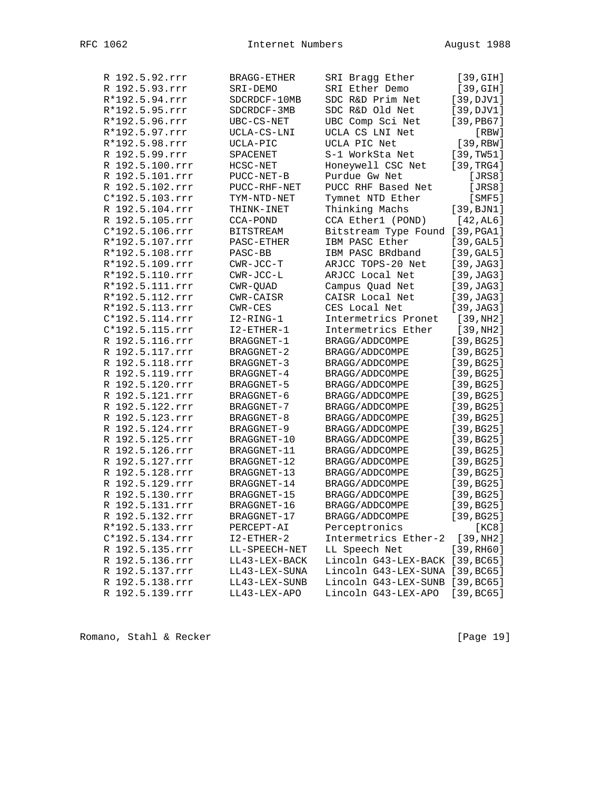| R 192.5.92.rrr    | <b>BRAGG-ETHER</b>             | SRI Bragg Ether                 | [39, GIH]    |
|-------------------|--------------------------------|---------------------------------|--------------|
| R 192.5.93.rrr    | SRI-DEMO                       | SRI Ether Demo                  | [39, GIH]    |
| R*192.5.94.rrr    | SDCRDCF-10MB                   | SDC R&D Prim Net                | [39, DJV1]   |
| R*192.5.95.rrr    | SDCRDCF-3MB                    | SDC R&D Old Net                 | [39, DJV1]   |
| R*192.5.96.rrr    | UBC-CS-NET                     | UBC Comp Sci Net                | $[39,$ PB67] |
| R*192.5.97.rrr    | UCLA-CS-LNI                    | UCLA CS LNI Net                 | [RBW]        |
| R*192.5.98.rrr    | UCLA-PIC                       | UCLA PIC Net                    | [39, RBW]    |
| R 192.5.99.rrr    | SPACENET                       | S-1 WorkSta Net                 | [39, TW51]   |
| R 192.5.100.rrr   | HCSC-NET                       | Honeywell CSC Net               | [39, TRG4]   |
| R 192.5.101.rrr   | PUCC-NET-B                     | Purdue Gw Net                   | [JRS8]       |
| R 192.5.102.rrr   | PUCC-RHF-NET                   | PUCC RHF Based Net              | [JRS8]       |
| C*192.5.103.rrr   | TYM-NTD-NET                    | Tymnet NTD Ether                | $[$ SMF5 $]$ |
| R 192.5.104.rrr   | THINK-INET                     | Thinking Machs                  | [39, BJN1]   |
| R 192.5.105.rrr   | CCA-POND                       | CCA Ether1 (POND)               | [42, AL6]    |
| C*192.5.106.rrr   | <b>BITSTREAM</b>               | Bitstream Type Found            | [39, PGA1]   |
| R*192.5.107.rrr   | PASC-ETHER                     | IBM PASC Ether                  | [39, GAL5]   |
| R*192.5.108.rrr   | PASC-BB                        | IBM PASC BRdband                | [39, GAL5]   |
| R*192.5.109.rrr   | $CWR-JCC-T$                    | ARJCC TOPS-20 Net               | [39, JAG3]   |
| R*192.5.110.rrr   | $CWR-JCC-L$                    | ARJCC Local Net                 | [39, JAG3]   |
| R*192.5.111.rrr   | CWR-QUAD                       | Campus Quad Net                 | [39, JAG3]   |
| R*192.5.112.rrr   | CWR-CAISR                      | CAISR Local Net                 | [39, JAG3]   |
| R*192.5.113.rrr   | CWR-CES                        | CES Local Net                   | [39, JAG3]   |
| $C*192.5.114.rrr$ | I2-RING-1                      | Intermetrics Pronet             | [39,NH2]     |
| C*192.5.115.rrr   | I2-ETHER-1                     | Intermetrics Ether              | [39,NH2]     |
| R 192.5.116.rrr   | BRAGGNET-1                     | BRAGG/ADDCOMPE                  | [39, BG25]   |
| R 192.5.117.rrr   | <b>BRAGGNET-2</b>              | BRAGG/ADDCOMPE                  | [39, BG25]   |
| R 192.5.118.rrr   | BRAGGNET-3                     | BRAGG/ADDCOMPE                  | [39, BG25]   |
| R 192.5.119.rrr   | BRAGGNET-4                     | BRAGG/ADDCOMPE                  | [39, BG25]   |
| R 192.5.120.rrr   | BRAGGNET-5                     | BRAGG/ADDCOMPE                  | [39, BG25]   |
| R 192.5.121.rrr   | BRAGGNET-6                     | BRAGG/ADDCOMPE                  | [39, BG25]   |
| R 192.5.122.rrr   | BRAGGNET-7                     | BRAGG/ADDCOMPE                  | [39, BG25]   |
| R 192.5.123.rrr   | BRAGGNET-8                     | BRAGG/ADDCOMPE                  | [39, BG25]   |
| R 192.5.124.rrr   | BRAGGNET-9                     | BRAGG/ADDCOMPE                  | [39, BG25]   |
| R 192.5.125.rrr   | BRAGGNET-10                    | BRAGG/ADDCOMPE                  | [39, BG25]   |
| R 192.5.126.rrr   | BRAGGNET-11                    | BRAGG/ADDCOMPE                  | [39, BG25]   |
| R 192.5.127.rrr   | BRAGGNET-12                    | BRAGG/ADDCOMPE                  | [39, BG25]   |
| R 192.5.128.rrr   | BRAGGNET-13                    | BRAGG/ADDCOMPE                  | [39, BG25]   |
| R 192.5.129.rrr   | BRAGGNET-14                    | BRAGG/ADDCOMPE                  | [39, BG25]   |
| R 192.5.130.rrr   | BRAGGNET-15                    | BRAGG/ADDCOMPE                  | [39, BG25]   |
| R 192.5.131.rrr   | BRAGGNET-16                    | BRAGG/ADDCOMPE                  | [39, BG25]   |
| R 192.5.132.rrr   | BRAGGNET-17                    | BRAGG/ADDCOMPE                  | [39, BG25]   |
| R*192.5.133.rrr   | PERCEPT-AI                     | Perceptronics                   | [KC8]        |
| $C*192.5.134.rrr$ |                                | Intermetrics Ether-2            | [39,NH2]     |
| R 192.5.135.rrr   | $I2 - ETHER - 2$               | LL Speech Net                   | [39, RH60]   |
| R 192.5.136.rrr   | LL-SPEECH-NET<br>LL43-LEX-BACK | Lincoln G43-LEX-BACK [39, BC65] |              |
|                   | LL43-LEX-SUNA                  | Lincoln G43-LEX-SUNA [39, BC65] |              |
| R 192.5.137.rrr   |                                | Lincoln G43-LEX-SUNB [39, BC65] |              |
| R 192.5.138.rrr   | LL43-LEX-SUNB                  |                                 |              |
| R 192.5.139.rrr   | LL43-LEX-APO                   | Lincoln G43-LEX-APO             | [39, BC65]   |

Romano, Stahl & Recker [Page 19]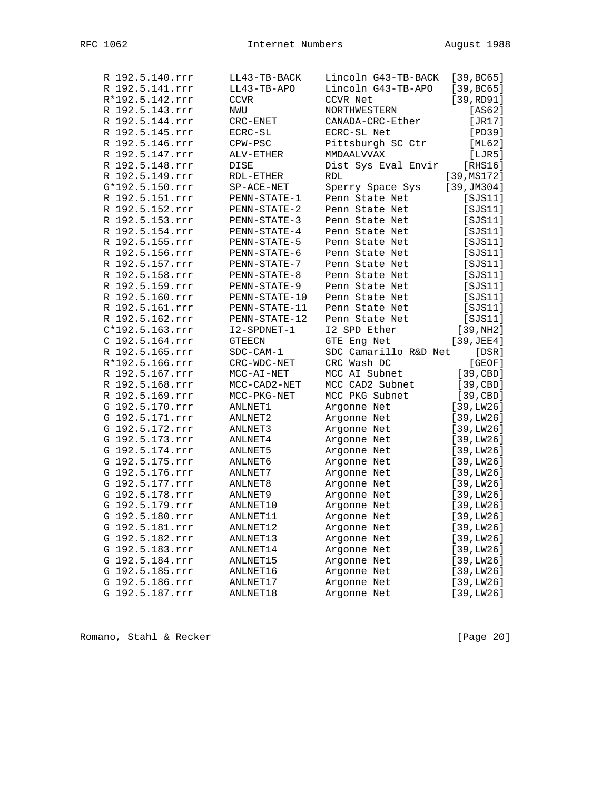| R 192.5.140.rrr | LL43-TB-BACK         | Lincoln G43-TB-BACK   | [39, BC65]               |
|-----------------|----------------------|-----------------------|--------------------------|
| R 192.5.141.rrr | LL43-TB-APO          | Lincoln G43-TB-APO    | [39, BC65]               |
| R*192.5.142.rrr | CCVR                 | CCVR Net              | [39, RD91]               |
| R 192.5.143.rrr | NWU                  | NORTHWESTERN          | [AS62]                   |
| R 192.5.144.rrr | CRC-ENET             | CANADA-CRC-Ether      | [JR17]                   |
| R 192.5.145.rrr | $\texttt{ECRC-SL}$   | ECRC-SL Net           | [PD39]                   |
| R 192.5.146.rrr | CPW-PSC              | Pittsburgh SC Ctr     | [ML62]                   |
| R 192.5.147.rrr | ALV-ETHER            | MMDAALVVAX            | [LJR5]                   |
| R 192.5.148.rrr | DISE                 | Dist Sys Eval Envir   | [ RHS16]                 |
| R 192.5.149.rrr | RDL-ETHER            | RDL                   | [39, MS172]              |
| G*192.5.150.rrr | $SP-ACE-NET$         | Sperry Space Sys      | [39, JM304]              |
| R 192.5.151.rrr | PENN-STATE-1         | Penn State Net        | [SJS11]                  |
| R 192.5.152.rrr | PENN-STATE-2         | Penn State Net        | [SJS11]                  |
| R 192.5.153.rrr | PENN-STATE-3         | Penn State Net        | [SJS11]                  |
| R 192.5.154.rrr | PENN-STATE-4         | Penn State Net        | [SJS11]                  |
| R 192.5.155.rrr | PENN-STATE-5         | Penn State Net        | [SJS11]                  |
| R 192.5.156.rrr | PENN-STATE-6         | Penn State Net        | [SJS11]                  |
| R 192.5.157.rrr | PENN-STATE-7         | Penn State Net        | [SJS11]                  |
| R 192.5.158.rrr | PENN-STATE-8         | Penn State Net        | [SJS11]                  |
| R 192.5.159.rrr | PENN-STATE-9         | Penn State Net        | [SJS11]                  |
| R 192.5.160.rrr | PENN-STATE-10        | Penn State Net        | [SJS11]                  |
| R 192.5.161.rrr | PENN-STATE-11        | Penn State Net        | [SJS11]                  |
| R 192.5.162.rrr | PENN-STATE-12        | Penn State Net        | [SJS11]                  |
| C*192.5.163.rrr | I2-SPDNET-1          | I2 SPD Ether          | [39,NH2]                 |
| C 192.5.164.rrr | <b>GTEECN</b>        | GTE Eng Net           | $[39, \text{JEE}4]$      |
| R 192.5.165.rrr | $SDC-CAM-1$          | SDC Camarillo R&D Net | [DSR]                    |
| R*192.5.166.rrr | CRC-WDC-NET          | CRC Wash DC           | [GEOF]                   |
| R 192.5.167.rrr | MCC-AI-NET           | MCC AI Subnet         | [39, CBD]                |
| R 192.5.168.rrr | MCC-CAD2-NET         | MCC CAD2 Subnet       | [39, CBD]                |
| R 192.5.169.rrr | MCC-PKG-NET          | MCC PKG Subnet        | [39, CBD]                |
| G 192.5.170.rrr | ANLNET1              | Argonne Net           | [39, LW26]               |
| G 192.5.171.rrr | ANLNET2              | Argonne Net           | [39, LW26]               |
| G 192.5.172.rrr | ANLNET3              | Argonne Net           | [39, LW26]               |
| G 192.5.173.rrr | ANLNET4              | Argonne Net           | [39, LW26]               |
| G 192.5.174.rrr | ANLNET5              | Argonne Net           | [39, LW26]               |
| G 192.5.175.rrr | ANLNET6              | Argonne Net           | [39, LW26]               |
| G 192.5.176.rrr | ANLNET7              | Argonne Net           | [39, LW26]               |
| G 192.5.177.rrr | ANLNET8              | Argonne Net           | [39, LW26]               |
| G 192.5.178.rrr | ANLNET9              | Argonne Net           | [39, LW26]               |
| G 192.5.179.rrr | ANLNET10             | Argonne Net           | [39, LW26]               |
| G 192.5.180.rrr | ANLNET11             | Argonne Net           | [39, LW26]               |
| G 192.5.181.rrr | ANLNET12             | Argonne Net           | [39, LW26]               |
| G 192.5.182.rrr | ANLNET13             | Argonne Net           | [39, LW26]               |
| G 192.5.183.rrr | ANLNET14             |                       | [39, LW26]               |
| G 192.5.184.rrr |                      | Argonne Net           |                          |
|                 | ANLNET15<br>ANLNET16 | Argonne Net           | [39, LW26]<br>[39, LW26] |
| G 192.5.185.rrr |                      | Argonne Net           |                          |
| G 192.5.186.rrr | ANLNET17             | Argonne Net           | [39, LW26]               |
| G 192.5.187.rrr | ANLNET18             | Argonne Net           | [39, LW26]               |

Romano, Stahl & Recker [Page 20]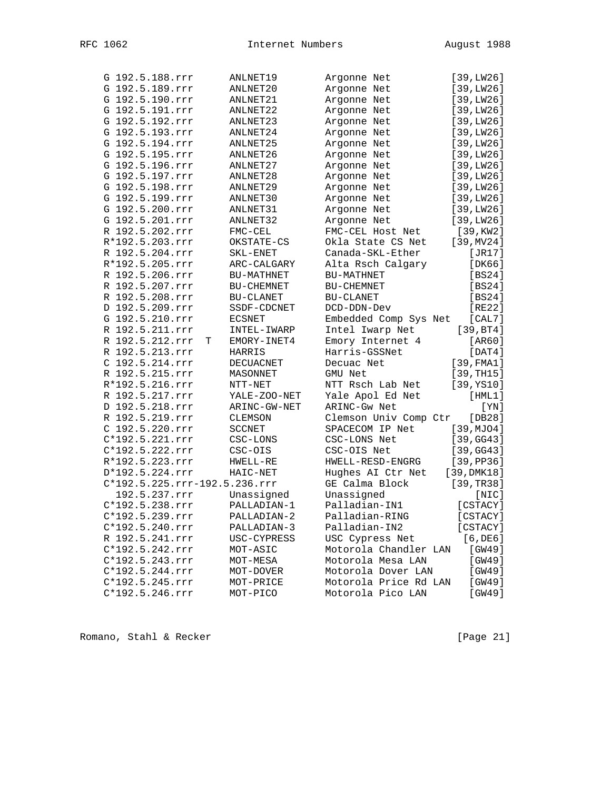| G 192.5.188.rrr               | ANLNET19          | Argonne Net           | [39, LW26]     |
|-------------------------------|-------------------|-----------------------|----------------|
| G 192.5.189.rrr               | ANLNET20          | Argonne Net           | [39, LW26]     |
| G 192.5.190.rrr               | ANLNET21          | Argonne Net           | [39, LW26]     |
| G 192.5.191.rrr               | ANLNET22          | Argonne Net           | [39, LW26]     |
| G 192.5.192.rrr               | ANLNET23          | Argonne Net           | [39, LW26]     |
| G 192.5.193.rrr               | ANLNET24          | Argonne Net           | [39, LW26]     |
| G 192.5.194.rrr               | ANLNET25          | Argonne Net           | [39, LW26]     |
| G 192.5.195.rrr               | ANLNET26          | Argonne Net           | [39, LW26]     |
| G 192.5.196.rrr               | ANLNET27          | Argonne Net           | [39, LW26]     |
| G 192.5.197.rrr               | ANLNET28          | Argonne Net           | [39, LW26]     |
| G 192.5.198.rrr               | ANLNET29          | Argonne Net           | [39, LW26]     |
| G 192.5.199.rrr               | ANLNET30          | Argonne Net           | [39, LW26]     |
| G 192.5.200.rrr               | ANLNET31          | Argonne Net           | [39, LW26]     |
| G 192.5.201.rrr               | ANLNET32          | Argonne Net           | [39, LW26]     |
| R 192.5.202.rrr               | FMC-CEL           | FMC-CEL Host Net      | [39, KW2]      |
| R*192.5.203.rrr               | OKSTATE-CS        | Okla State CS Net     | [39, MV24]     |
| R 192.5.204.rrr               | SKL-ENET          | Canada-SKL-Ether      | [JR17]         |
| R*192.5.205.rrr               | ARC-CALGARY       | Alta Rsch Calgary     | [DK66]         |
| R 192.5.206.rrr               | <b>BU-MATHNET</b> | BU-MATHNET            | [BS24]         |
| R 192.5.207.rrr               | BU-CHEMNET        | BU-CHEMNET            | [BS24]         |
| R 192.5.208.rrr               | BU-CLANET         | BU-CLANET             | [BS24]         |
| D 192.5.209.rrr               | SSDF-CDCNET       | DCD-DDN-Dev           | [RE22]         |
| G 192.5.210.rrr               | <b>ECSNET</b>     | Embedded Comp Sys Net | [CAL7]         |
| R 192.5.211.rrr               | INTEL-IWARP       | Intel Iwarp Net       | [39, BT4]      |
| R 192.5.212.rrr               | EMORY-INET4<br>т  | Emory Internet 4      | [AR60]         |
| R 192.5.213.rrr               | <b>HARRIS</b>     | Harris-GSSNet         | $[$ DAT $4$ ]  |
| C 192.5.214.rrr               | DECUACNET         | Decuac Net            | $[39,$ $FMA1]$ |
| R 192.5.215.rrr               | MASONNET          | GMU Net               | [39, TH15]     |
| R*192.5.216.rrr               | NTT-NET           | NTT Rsch Lab Net      | [39, YS10]     |
| R 192.5.217.rrr               | YALE-ZOO-NET      | Yale Apol Ed Net      | [HML1]         |
| D 192.5.218.rrr               | ARINC-GW-NET      | ARINC-Gw Net          | [YN]           |
| R 192.5.219.rrr               | CLEMSON           | Clemson Univ Comp Ctr | [DB28]         |
| C 192.5.220.rrr               | <b>SCCNET</b>     | SPACECOM IP Net       | [39, MJO4]     |
| C*192.5.221.rrr               | $CSC-LONS$        | CSC-LONS Net          | [39, GG43]     |
| C*192.5.222.rrr               | CSC-OIS           | CSC-OIS Net           | [39, GG43]     |
| R*192.5.223.rrr               | HWELL-RE          | HWELL-RESD-ENGRG      | [39, PP36]     |
| D*192.5.224.rrr               | HAIC-NET          | Hughes AI Ctr Net     | [39, DMK18]    |
| C*192.5.225.rrr-192.5.236.rrr |                   | GE Calma Block        | [39, TR38]     |
| 192.5.237.rrr                 | Unassigned        | Unassigned            | [NIC]          |
| C*192.5.238.rrr               | PALLADIAN-1       | Palladian-IN1         | [CSTACY]       |
| C*192.5.239.rrr               | PALLADIAN-2       | Palladian-RING        | [CSTACY]       |
| $C*192.5.240.rrr$             | PALLADIAN-3       | Palladian-IN2         | [CSTACY]       |
| R 192.5.241.rrr               | USC-CYPRESS       | USC Cypress Net       | $[6,$ DE $6]$  |
| C*192.5.242.rrr               | MOT-ASIC          | Motorola Chandler LAN | [GW49]         |
| $C*192.5.243.rrr$             | MOT-MESA          | Motorola Mesa LAN     | [GW49]         |
| $C*192.5.244.rrr$             | MOT-DOVER         | Motorola Dover LAN    | [GW49]         |
| C*192.5.245.rrr               | MOT-PRICE         | Motorola Price Rd LAN | [GW49]         |
| $C*192.5.246.rrr$             | MOT-PICO          | Motorola Pico LAN     | [GW49]         |
|                               |                   |                       |                |

Romano, Stahl & Recker [Page 21]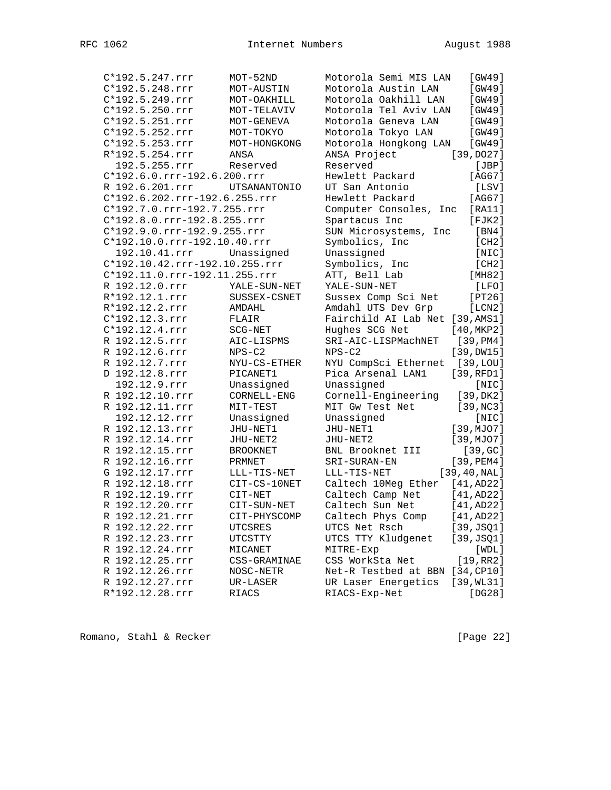| C*192.5.247.rrr                | $MOT-52ND$          | Motorola Semi MIS LAN           | [GW49]        |
|--------------------------------|---------------------|---------------------------------|---------------|
| C*192.5.248.rrr                | MOT-AUSTIN          | Motorola Austin LAN             | [GW49]        |
| C*192.5.249.rrr                | MOT-OAKHILL         | Motorola Oakhill LAN            | [GW49]        |
| $C*192.5.250.rrr$              | MOT-TELAVIV         | Motorola Tel Aviv LAN           | [GW49]        |
| C*192.5.251.rrr                | MOT-GENEVA          | Motorola Geneva LAN             | [GW49]        |
| C*192.5.252.rrr                | MOT-TOKYO           | Motorola Tokyo LAN              | [GW49]        |
| C*192.5.253.rrr                | MOT-HONGKONG        | Motorola Hongkong LAN           | [GW49]        |
| R*192.5.254.rrr                | ANSA                | ANSA Project                    | [39, DO27]    |
| 192.5.255.rrr                  | Reserved            | Reserved                        | [JBP]         |
| C*192.6.0.rrr-192.6.200.rrr    |                     | Hewlett Packard                 | [AG67]        |
| R 192.6.201.rrr                | <b>UTSANANTONIO</b> | UT San Antonio                  | [LSV]         |
| C*192.6.202.rrr-192.6.255.rrr  |                     | Hewlett Packard                 | [AG67]        |
| C*192.7.0.rrr-192.7.255.rrr    |                     | Computer Consoles, Inc          | [RA11]        |
| C*192.8.0.rrr-192.8.255.rrr    |                     | Spartacus Inc                   | $[$ FJK $2]$  |
| C*192.9.0.rrr-192.9.255.rrr    |                     | SUN Microsystems, Inc           | [BN4]         |
| $C*192.10.0.rrr-192.10.40.rrr$ |                     | Symbolics, Inc                  | [CH2]         |
| 192.10.41.rrr                  | Unassigned          | Unassigned                      | [NIC]         |
| C*192.10.42.rrr-192.10.255.rrr |                     | Symbolics, Inc                  | [CH2]         |
| C*192.11.0.rrr-192.11.255.rrr  |                     | ATT, Bell Lab                   | [MHz2]        |
| R 192.12.0.rrr                 | YALE-SUN-NET        | YALE-SUN-NET                    | [LFO]         |
| R*192.12.1.rrr                 | SUSSEX-CSNET        | Sussex Comp Sci Net             | [PT26]        |
| R*192.12.2.rrr                 | AMDAHL              | Amdahl UTS Dev Grp              | [LCN2]        |
| C*192.12.3.rrr                 | FLAIR               | Fairchild AI Lab Net [39, AMS1] |               |
| C*192.12.4.rrr                 | SCG-NET             | Hughes SCG Net                  | [40, MKP2]    |
| R 192.12.5.rrr                 | AIC-LISPMS          | SRI-AIC-LISPMachNET             | [39,PM4]      |
| R 192.12.6.rrr                 | $NPS-C2$            | $NPS-C2$                        | [39,DW15]     |
| R 192.12.7.rrr                 | NYU-CS-ETHER        | NYU CompSci Ethernet            | [39,LOU]      |
| D 192.12.8.rrr                 | PICANET1            | Pica Arsenal LAN1               | [39,RFD1]     |
| 192.12.9.rrr                   | Unassigned          | Unassigned                      | [NIC]         |
| R 192.12.10.rrr                | CORNELL-ENG         | Cornell-Engineering             | [39, DK2]     |
| R 192.12.11.rrr                | MIT-TEST            | MIT Gw Test Net                 | [39, NC3]     |
| 192.12.12.rrr                  | Unassigned          | Unassigned                      | [NIC]         |
| R 192.12.13.rrr                | JHU-NET1            | JHU-NET1                        | [39, MJO7]    |
| R 192.12.14.rrr                | JHU-NET2            | JHU-NET2                        | [39, MJO7]    |
| R 192.12.15.rrr                | <b>BROOKNET</b>     | BNL Brooknet III                | [39, GC]      |
| R 192.12.16.rrr                | PRMNET              | SRI-SURAN-EN                    | [39, PEM4]    |
| G 192.12.17.rrr                | LLL-TIS-NET         | LLL-TIS-NET                     | [39, 40, NAL] |
| R 192.12.18.rrr                | CIT-CS-10NET        | Caltech 10Meg Ether             | [41, AD22]    |
| R 192.12.19.rrr                | CIT-NET             | Caltech Camp Net                | [41, AD22]    |
| R 192.12.20.rrr                | CIT-SUN-NET         | Caltech Sun Net                 | [41, AD22]    |
| R 192.12.21.rrr                | CIT-PHYSCOMP        | Caltech Phys Comp               | [41, AD22]    |
| R 192.12.22.rrr                | UTCSRES             | UTCS Net Rsch                   | [39, JSQ1]    |
| R 192.12.23.rrr                | UTCSTTY             | UTCS TTY Kludgenet              | [39, JSQ1]    |
| R 192.12.24.rrr                | MICANET             | MITRE-Exp                       | [WDL]         |
| R 192.12.25.rrr                | CSS-GRAMINAE        | CSS WorkSta Net                 | [19,RR2]      |
| R 192.12.26.rrr                | NOSC-NETR           | Net-R Testbed at BBN [34, CP10] |               |
| R 192.12.27.rrr                | UR-LASER            | UR Laser Energetics             | [39, WL31]    |
| R*192.12.28.rrr                | <b>RIACS</b>        | RIACS-Exp-Net                   | [DG28]        |
|                                |                     |                                 |               |

Romano, Stahl & Recker [Page 22]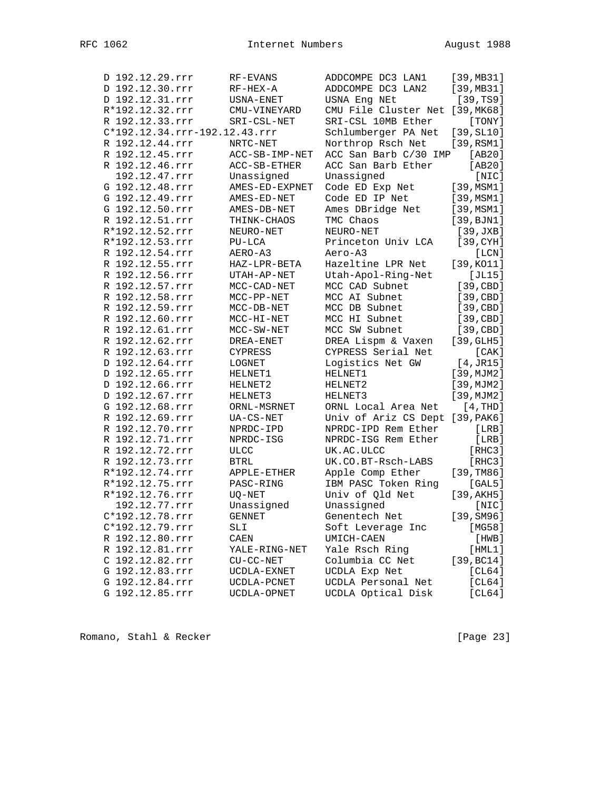| D 192.12.29.rrr               | RF-EVANS       | ADDCOMPE DC3 LAN1               | [39, MB31] |
|-------------------------------|----------------|---------------------------------|------------|
| D 192.12.30.rrr               | RF-HEX-A       | ADDCOMPE DC3 LAN2               | [39, MB31] |
| D 192.12.31.rrr               | USNA-ENET      | USNA Eng NEt                    | [39, TS9]  |
| R*192.12.32.rrr               | CMU-VINEYARD   | CMU File Cluster Net [39, MK68] |            |
| R 192.12.33.rrr               | SRI-CSL-NET    | SRI-CSL 10MB Ether              | [TONY]     |
| C*192.12.34.rrr-192.12.43.rrr |                | Schlumberger PA Net             | [39, SL10] |
| R 192.12.44.rrr               | NRTC-NET       | Northrop Rsch Net               | [39,RSM1]  |
| R 192.12.45.rrr               | ACC-SB-IMP-NET | ACC San Barb C/30 IMP           | [AB20]     |
| R 192.12.46.rrr               | ACC-SB-ETHER   | ACC San Barb Ether              | [AB20]     |
| 192.12.47.rrr                 | Unassigned     | Unassigned                      | [NIC]      |
| G 192.12.48.rrr               | AMES-ED-EXPNET | Code ED Exp Net                 | [39, MSM1] |
| G 192.12.49.rrr               | AMES-ED-NET    | Code ED IP Net                  | [39, MSM1] |
| G 192.12.50.rrr               | AMES-DB-NET    | Ames DBridge Net                | [39, MSM1] |
| R 192.12.51.rrr               | THINK-CHAOS    | TMC Chaos                       | [39, BJN1] |
| R*192.12.52.rrr               | NEURO-NET      | NEURO-NET                       | [39, JXB]  |
| R*192.12.53.rrr               | $PU-LCA$       | Princeton Univ LCA              | [39, CYH]  |
| R 192.12.54.rrr               | AERO-A3        | Aero-A3                         | [LCN]      |
| R 192.12.55.rrr               | HAZ-LPR-BETA   | Hazeltine LPR Net               | [39,KO11]  |
| R 192.12.56.rrr               | UTAH-AP-NET    | Utah-Apol-Ring-Net              | [JL15]     |
| R 192.12.57.rrr               | MCC-CAD-NET    | MCC CAD Subnet                  | [39, CBD]  |
| R 192.12.58.rrr               | MCC-PP-NET     | MCC AI Subnet                   | [39, CBD]  |
| R 192.12.59.rrr               | MCC-DB-NET     | MCC DB Subnet                   | [39, CBD]  |
| R 192.12.60.rrr               | MCC-HI-NET     | MCC HI Subnet                   | [39, CBD]  |
| R 192.12.61.rrr               | MCC-SW-NET     | MCC SW Subnet                   | [39, CBD]  |
| R 192.12.62.rrr               | DREA-ENET      | DREA Lispm & Vaxen              | [39, GLH5] |
| R 192.12.63.rrr               | CYPRESS        | CYPRESS Serial Net              | [CAK]      |
| D 192.12.64.rrr               | LOGNET         | Logistics Net GW                | [4, JR15]  |
| D 192.12.65.rrr               | HELNET1        | HELNET1                         | [39, MJM2] |
| D 192.12.66.rrr               | HELNET2        | HELNET2                         | [39, MJM2] |
| D 192.12.67.rrr               | HELNET3        | HELNET3                         | [39, MJM2] |
| G 192.12.68.rrr               | ORNL-MSRNET    | ORNL Local Area Net             | [4,THD]    |
| R 192.12.69.rrr               | UA-CS-NET      | Univ of Ariz CS Dept [39, PAK6] |            |
| R 192.12.70.rrr               | NPRDC-IPD      | NPRDC-IPD Rem Ether             | [LRB]      |
| R 192.12.71.rrr               | NPRDC-ISG      | NPRDC-ISG Rem Ether             | [LRB]      |
| R 192.12.72.rrr               | $_{\rm ULCC}$  | UK.AC.ULCC                      | [RHC3]     |
| R 192.12.73.rrr               | <b>BTRL</b>    | UK.CO.BT-Rsch-LABS              | [RHC3]     |
| R*192.12.74.rrr               | APPLE-ETHER    | Apple Comp Ether                | [39, TMS6] |
| R*192.12.75.rrr               | PASC-RING      | IBM PASC Token Ring             | [GAL5]     |
| R*192.12.76.rrr               | UQ-NET         | Univ of Qld Net                 | [39, AKH5] |
| 192.12.77.rrr                 | Unassigned     | Unassigned                      | [NIC]      |
| C*192.12.78.rrr               | <b>GENNET</b>  | Genentech Net                   | [39, SM96] |
| C*192.12.79.rrr               | SLI            | Soft Leverage Inc               | [MG58]     |
| R 192.12.80.rrr               | CAEN           | UMICH-CAEN                      | [HWB]      |
| R 192.12.81.rrr               | YALE-RING-NET  | Yale Rsch Ring                  | [HML1]     |
| C 192.12.82.rrr               | $CU-CC-NET$    | Columbia CC Net                 | [39, BC14] |
| G 192.12.83.rrr               | UCDLA-EXNET    | UCDLA Exp Net                   | [CL64]     |
| G 192.12.84.rrr               | UCDLA-PCNET    | UCDLA Personal Net              | [CL64]     |
| G 192.12.85.rrr               | UCDLA-OPNET    | UCDLA Optical Disk              | [CL64]     |
|                               |                |                                 |            |

Romano, Stahl & Recker [Page 23]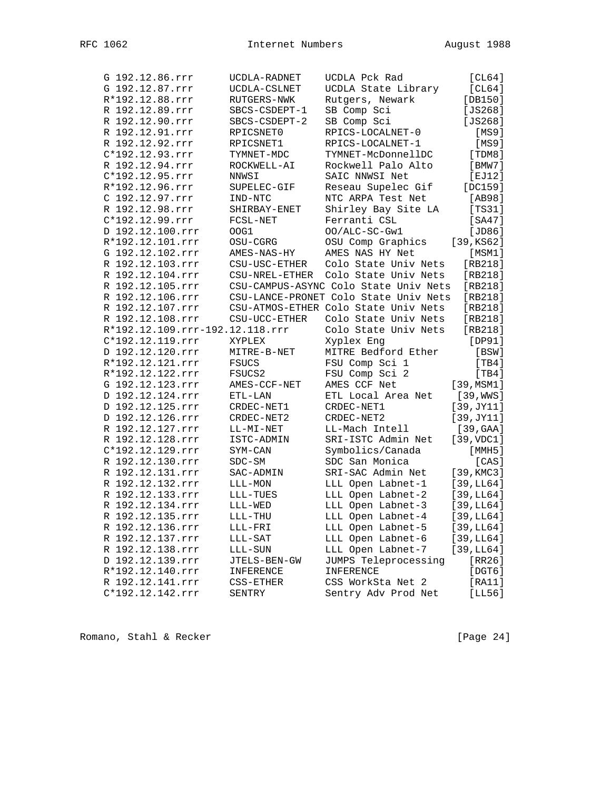| G 192.12.86.rrr                 | UCDLA-RADNET      | UCDLA Pck Rad                         | [CL64]        |
|---------------------------------|-------------------|---------------------------------------|---------------|
| G 192.12.87.rrr                 | UCDLA-CSLNET      | UCDLA State Library                   | [CL64]        |
| R*192.12.88.rrr                 | RUTGERS-NWK       | Rutgers, Newark                       | $[DB150]$     |
| R 192.12.89.rrr                 | SBCS-CSDEPT-1     | SB Comp Sci                           | $[JS268]$     |
| R 192.12.90.rrr                 | SBCS-CSDEPT-2     | SB Comp Sci                           | $[JS268]$     |
| R 192.12.91.rrr                 | RPICSNET0         | RPICS-LOCALNET-0                      | [MS9]         |
| R 192.12.92.rrr                 | RPICSNET1         | RPICS-LOCALNET-1                      | [MS9]         |
| C*192.12.93.rrr                 | TYMNET-MDC        | TYMNET-McDonnellDC                    | [TDM8]        |
| R 192.12.94.rrr                 | ROCKWELL-AI       | Rockwell Palo Alto                    | [BMW7]        |
| C*192.12.95.rrr                 | NNWSI             | SAIC NNWSI Net                        | [EJ12]        |
| R*192.12.96.rrr                 | SUPELEC-GIF       | Reseau Supelec Gif                    | [DC159]       |
| C 192.12.97.rrr                 | IND-NTC           | NTC ARPA Test Net                     | [AB98]        |
| R 192.12.98.rrr                 | SHIRBAY-ENET      | Shirley Bay Site LA                   | [TS31]        |
| C*192.12.99.rrr                 | FCSL-NET          | Ferranti CSL                          | [SA47]        |
| D 192.12.100.rrr                | OOG1              | OO/ALC-SC-Gw1                         | [JD86]        |
| R*192.12.101.rrr                | OSU-CGRG          | OSU Comp Graphics                     | $[39, KS62]$  |
| G 192.12.102.rrr                | AMES-NAS-HY       | AMES NAS HY Net                       | [MSM1]        |
| R 192.12.103.rrr                | CSU-USC-ETHER     | Colo State Univ Nets                  | $[RB218]$     |
| R 192.12.104.rrr                | CSU-NREL-ETHER    | Colo State Univ Nets                  | $[RB218]$     |
| R 192.12.105.rrr                |                   | CSU-CAMPUS-ASYNC Colo State Univ Nets | [RB218]       |
| R 192.12.106.rrr                |                   | CSU-LANCE-PRONET Colo State Univ Nets | $[RB218]$     |
| R 192.12.107.rrr                |                   | CSU-ATMOS-ETHER Colo State Univ Nets  | $[RB218]$     |
| R 192.12.108.rrr                | CSU-UCC-ETHER     | Colo State Univ Nets                  | [RB218]       |
| R*192.12.109.rrr-192.12.118.rrr |                   | Colo State Univ Nets                  | $[RB218]$     |
| C*192.12.119.rrr                | XYPLEX            | Xyplex Eng                            | [DP91]        |
| D 192.12.120.rrr                | MITRE-B-NET       | MITRE Bedford Ether                   | [BSW]         |
| R*192.12.121.rrr                | <b>FSUCS</b>      | FSU Comp Sci 1                        | [TB4]         |
| R*192.12.122.rrr                | FSUCS2            | FSU Comp Sci 2                        | [TH4]         |
| G 192.12.123.rrr                | AMES-CCF-NET      | AMES CCF Net                          | [39, MSM1]    |
| D 192.12.124.rrr                | $ETL-LAN$         | ETL Local Area Net                    | [39, WWS]     |
| D 192.12.125.rrr                | CRDEC-NET1        | CRDEC-NET1                            | [39, JY11]    |
| D 192.12.126.rrr                | CRDEC-NET2        | CRDEC-NET2                            | [39, JY11]    |
| R 192.12.127.rrr                | LL-MI-NET         | LL-Mach Intell                        | [39, GAA]     |
| R 192.12.128.rrr                | ISTC-ADMIN        | SRI-ISTC Admin Net                    | [39, VDC1]    |
| C*192.12.129.rrr                | SYM-CAN           | Symbolics/Canada                      | [MMH5]        |
| R 192.12.130.rrr                | $SDC-SM$          | SDC San Monica                        | [CAS]         |
| R 192.12.131.rrr                | SAC-ADMIN         | SRI-SAC Admin Net                     | [39, KMC3]    |
| R 192.12.132.rrr                | LLL-MON           | LLL Open Labnet-1                     | [39,LL64]     |
| R 192.12.133.rrr                | $_{\rm LLL-TUES}$ | LLL Open Labnet-2                     | [39,LL64]     |
| R 192.12.134.rrr                | LLL-WED           | LLL Open Labnet-3                     | [39,LL64]     |
| R 192.12.135.rrr                | $LLL-THU$         | LLL Open Labnet-4                     | [39,LL64]     |
| R 192.12.136.rrr                | LLL-FRI           | LLL Open Labnet-5                     | [39,LL64]     |
| R 192.12.137.rrr                | LLL-SAT           | LLL Open Labnet-6                     | [39,LL64]     |
| R 192.12.138.rrr                | LLL-SUN           | LLL Open Labnet-7                     | [39,LL64]     |
| D 192.12.139.rrr                | JTELS-BEN-GW      | JUMPS Teleprocessing                  | [RR26]        |
| R*192.12.140.rrr                | INFERENCE         | INFERENCE                             | $[$ DGT $6$ ] |
| R 192.12.141.rrr                | CSS-ETHER         | CSS WorkSta Net 2                     | [RA11]        |
| C*192.12.142.rrr                | SENTRY            | Sentry Adv Prod Net                   | [LL56]        |

Romano, Stahl & Recker [Page 24]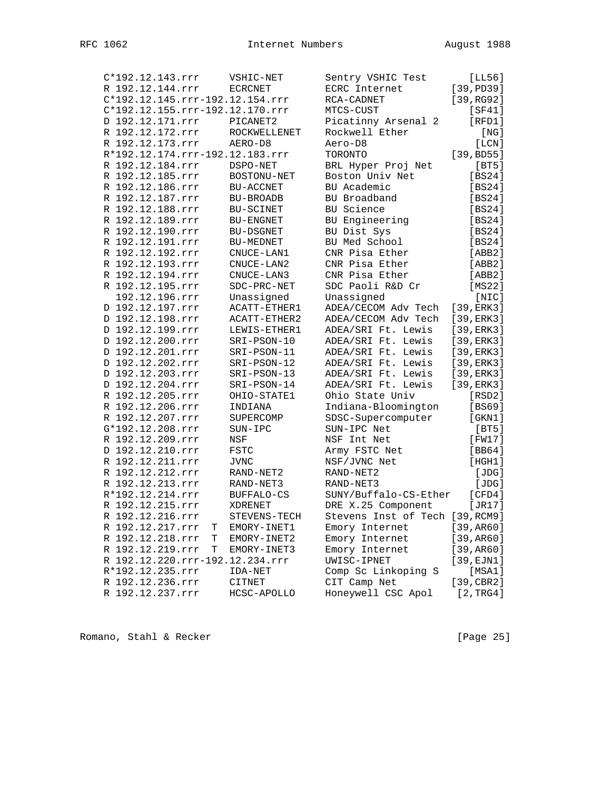| C*192.12.143.rrr                | VSHIC-NET            | Sentry VSHIC Test               | [LL56]           |
|---------------------------------|----------------------|---------------------------------|------------------|
| R 192.12.144.rrr                | <b>ECRCNET</b>       | ECRC Internet                   | [39, PD39]       |
| C*192.12.145.rrr-192.12.154.rrr |                      | RCA-CADNET                      | [39, RG92]       |
| C*192.12.155.rrr-192.12.170.rrr |                      | MTCS-CUST                       | [SF41]           |
| D 192.12.171.rrr                | PICANET2             | Picatinny Arsenal 2             | [RFD1]           |
| R 192.12.172.rrr                | ROCKWELLENET         | Rockwell Ether                  | [ NG ]           |
| R 192.12.173.rrr                | AERO-D8              | Aero-D8                         | [LCN]            |
| R*192.12.174.rrr-192.12.183.rrr |                      | TORONTO                         | [39, BD55]       |
| R 192.12.184.rrr                | DSPO-NET             | BRL Hyper Proj Net              | [BT5]            |
| R 192.12.185.rrr                | BOSTONU-NET          | Boston Univ Net                 | [BS24]           |
| R 192.12.186.rrr                | <b>BU-ACCNET</b>     | BU Academic                     | [BS24]           |
| R 192.12.187.rrr                | BU-BROADB            | BU Broadband                    | [BS24]           |
| R 192.12.188.rrr                | BU-SCINET            | BU Science                      | [BS24]           |
| R 192.12.189.rrr                | $\texttt{BU-ENGNET}$ | BU Engineering                  | [BS24]           |
| R 192.12.190.rrr                | BU-DSGNET            | BU Dist Sys                     | [BS24]           |
| R 192.12.191.rrr                | BU-MEDNET            | BU Med School                   | [BS24]           |
| R 192.12.192.rrr                | CNUCE-LAN1           | CNR Pisa Ether                  | [ABB2]           |
| R 192.12.193.rrr                | CNUCE-LAN2           | CNR Pisa Ether                  | [ABB2]           |
| R 192.12.194.rrr                | CNUCE-LAN3           | CNR Pisa Ether                  | [ABB2]           |
| R 192.12.195.rrr                | SDC-PRC-NET          | SDC Paoli R&D Cr                | [MS22]           |
| 192.12.196.rrr                  | Unassigned           | Unassigned                      | [NIC]            |
| D 192.12.197.rrr                | ACATT-ETHER1         | ADEA/CECOM Adv Tech             | [39,ERK3]        |
| D 192.12.198.rrr                | ACATT-ETHER2         | ADEA/CECOM Adv Tech             | [39, ERK3]       |
| D 192.12.199.rrr                | LEWIS-ETHER1         | ADEA/SRI Ft. Lewis              | [39, ERK3]       |
| D 192.12.200.rrr                | SRI-PSON-10          | ADEA/SRI Ft. Lewis              | [39, ERK3]       |
| D 192.12.201.rrr                | SRI-PSON-11          | ADEA/SRI Ft. Lewis              | [39, ERK3]       |
| D 192.12.202.rrr                | SRI-PSON-12          | ADEA/SRI Ft. Lewis              | [39, ERK3]       |
| D 192.12.203.rrr                | SRI-PSON-13          | ADEA/SRI Ft. Lewis              | [39,ERK3]        |
| D 192.12.204.rrr                | SRI-PSON-14          | ADEA/SRI Ft. Lewis              | [39, ERK3]       |
| R 192.12.205.rrr                | OHIO-STATE1          | Ohio State Univ                 | $[$ RSD $2]$     |
| R 192.12.206.rrr                | INDIANA              | Indiana-Bloomington             | [BS69]           |
| R 192.12.207.rrr                | SUPERCOMP            | SDSC-Supercomputer              | $[$ GKN $1$ $]$  |
| G*192.12.208.rrr                |                      |                                 |                  |
| R 192.12.209.rrr                | SUN-IPC              | SUN-IPC Net                     | [BT5]            |
| D 192.12.210.rrr                | NSF                  | NSF Int Net                     | [FW17]           |
|                                 | FSTC                 | Army FSTC Net                   | [BB64]<br>[HGH1] |
| R 192.12.211.rrr                | JVNC                 | NSF/JVNC Net                    |                  |
| R 192.12.212.rrr                | RAND-NET2            | RAND-NET2                       | [JDG]            |
| R 192.12.213.rrr                | RAND-NET3            | RAND-NET3                       | [JDG]            |
| R*192.12.214.rrr                | BUFFALO-CS           | SUNY/Buffalo-CS-Ether           | [CFD4]           |
| R 192.12.215.rrr                | <b>XDRENET</b>       | DRE X.25 Component              | [JR17]           |
| R 192.12.216.rrr                | STEVENS-TECH         | Stevens Inst of Tech [39, RCM9] |                  |
| R 192.12.217.rrr<br>т           | EMORY-INET1          | Emory Internet                  | [39, AR60]       |
| R 192.12.218.rrr<br>Т           | EMORY-INET2          | Emory Internet                  | [39, AR60]       |
| R 192.12.219.rrr<br>Т           | EMORY-INET3          | Emory Internet                  | [39, AR60]       |
| R 192.12.220.rrr-192.12.234.rrr |                      | UWISC-IPNET                     | [39, EJN1]       |
| R*192.12.235.rrr                | IDA-NET              | Comp Sc Linkoping S             | [MSA1]           |
| R 192.12.236.rrr                | CITNET               | CIT Camp Net                    | [39, CBR2]       |
| R 192.12.237.rrr                | HCSC-APOLLO          | Honeywell CSC Apol              | [2, TRG4]        |

Romano, Stahl & Recker [Page 25]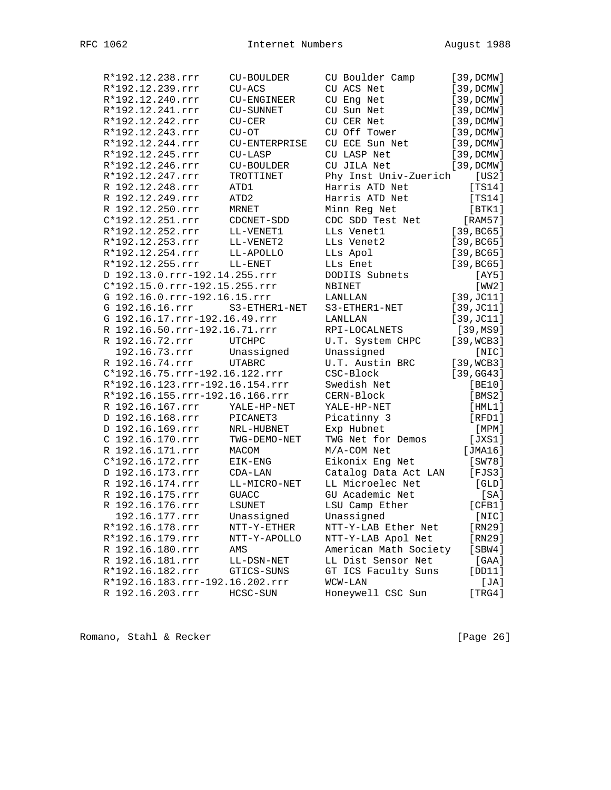| R*192.12.238.rrr                | CU-BOULDER    | CU Boulder Camp       | [39, DCMW] |
|---------------------------------|---------------|-----------------------|------------|
| R*192.12.239.rrr                | $CU-ACS$      | CU ACS Net            | [39, DCMW] |
| R*192.12.240.rrr                | CU-ENGINEER   | CU Eng Net            | [39, DCMW] |
| R*192.12.241.rrr                | CU-SUNNET     | CU Sun Net            | [39, DCMW] |
| R*192.12.242.rrr                | $CU-CER$      | CU CER Net            | [39, DCMW] |
| R*192.12.243.rrr                | $CU-OT$       | CU Off Tower          | [39, DCMW] |
| R*192.12.244.rrr                | CU-ENTERPRISE | CU ECE Sun Net        | [39, DCMW] |
| R*192.12.245.rrr                | $CU-LASP$     | CU LASP Net           | [39, DCMW] |
| R*192.12.246.rrr                | CU-BOULDER    | CU JILA Net           | [39, DCMW] |
| R*192.12.247.rrr                | TROTTINET     | Phy Inst Univ-Zuerich | [US2]      |
| R 192.12.248.rrr                | ATD1          | Harris ATD Net        | [TS14]     |
| R 192.12.249.rrr                | ATD2          | Harris ATD Net        | [TS14]     |
| R 192.12.250.rrr                | MRNET         | Minn Reg Net          | [BTK1]     |
| C*192.12.251.rrr                | CDCNET-SDD    | CDC SDD Test Net      | [RAM57]    |
| R*192.12.252.rrr                | LL-VENET1     | LLs Venet1            | [39, BC65] |
| R*192.12.253.rrr                | LL-VENET2     | LLs Venet2            | [39, BC65] |
| R*192.12.254.rrr                | LL-APOLLO     | LLs Apol              | [39, BC65] |
| R*192.12.255.rrr                | LL-ENET       | LLs Enet              | [39, BC65] |
| D 192.13.0.rrr-192.14.255.rrr   |               | DODIIS Subnets        | [AY5]      |
| C*192.15.0.rrr-192.15.255.rrr   |               | NBINET                | [WW2]      |
| G 192.16.0.rrr-192.16.15.rrr    |               | LANLLAN               | [39, JC11] |
| G 192.16.16.rrr                 | S3-ETHER1-NET | S3-ETHER1-NET         | [39, JC11] |
| G 192.16.17.rrr-192.16.49.rrr   |               | LANLLAN               | [39, JC11] |
| R 192.16.50.rrr-192.16.71.rrr   |               | RPI-LOCALNETS         | [39, MS9]  |
| R 192.16.72.rrr                 | <b>UTCHPC</b> | U.T. System CHPC      | [39, WCB3] |
| 192.16.73.rrr                   | Unassigned    | Unassigned            | [NIC]      |
| R 192.16.74.rrr                 | <b>UTABRC</b> | U.T. Austin BRC       | [39, WCB3] |
| C*192.16.75.rrr-192.16.122.rrr  |               | CSC-Block             | [39, GG43] |
| R*192.16.123.rrr-192.16.154.rrr |               | Swedish Net           | [BE10]     |
| R*192.16.155.rrr-192.16.166.rrr |               | CERN-Block            | [BMS2]     |
| R 192.16.167.rrr                | YALE-HP-NET   | YALE-HP-NET           | [HML1]     |
| D 192.16.168.rrr                | PICANET3      | Picatinny 3           | [RFD1]     |
| D 192.16.169.rrr                | NRL-HUBNET    | Exp Hubnet            | [ MPM ]    |
| C 192.16.170.rrr                | TWG-DEMO-NET  | TWG Net for Demos     | [JXS1]     |
| R 192.16.171.rrr                | MACOM         | M/A-COM Net           | [JMA16]    |
| C*192.16.172.rrr                | EIK-ENG       | Eikonix Eng Net       | [SW78]     |
| D 192.16.173.rrr                | $CDA-LAN$     | Catalog Data Act LAN  | [FJS3]     |
| R 192.16.174.rrr                | LL-MICRO-NET  | LL Microelec Net      | [GLD]      |
| R 192.16.175.rrr                | <b>GUACC</b>  | GU Academic Net       | [SA]       |
| R 192.16.176.rrr                | LSUNET        | LSU Camp Ether        | [CFB1]     |
| 192.16.177.rrr                  | Unassigned    | Unassigned            | [NIC]      |
| R*192.16.178.rrr                | NTT-Y-ETHER   | NTT-Y-LAB Ether Net   | [RN29]     |
| R*192.16.179.rrr                | NTT-Y-APOLLO  | NTT-Y-LAB Apol Net    | [RN29]     |
| R 192.16.180.rrr                | AMS           | American Math Society | [SBW4]     |
| R 192.16.181.rrr                | LL-DSN-NET    | LL Dist Sensor Net    | $[GAA]$    |
| R*192.16.182.rrr                | GTICS-SUNS    | GT ICS Faculty Suns   | [DD11]     |
| R*192.16.183.rrr-192.16.202.rrr |               | WCW-LAN               | [JA]       |
| R 192.16.203.rrr                | HCSC-SUN      | Honeywell CSC Sun     | [TRG4]     |
|                                 |               |                       |            |

Romano, Stahl & Recker [Page 26]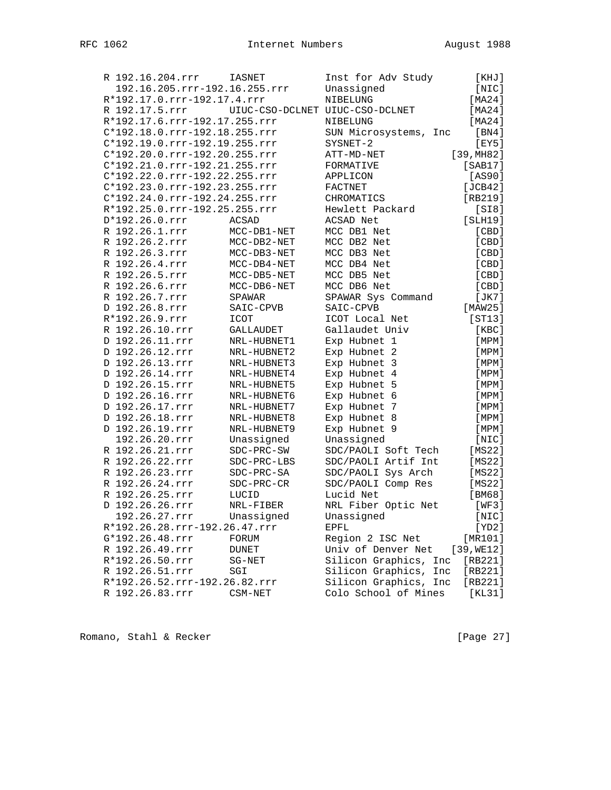| R 192.16.204.rrr |                               | <b>IASNET</b>                   | Inst for Adv Study       | [KHJ]       |
|------------------|-------------------------------|---------------------------------|--------------------------|-------------|
|                  | 192.16.205.rrr-192.16.255.rrr |                                 | Unassigned               | [NIC]       |
|                  | R*192.17.0.rrr-192.17.4.rrr   |                                 | NIBELUNG                 | [MA24]      |
| R 192.17.5.rrr   |                               | UIUC-CSO-DCLNET UIUC-CSO-DCLNET |                          | [MA24]      |
|                  | R*192.17.6.rrr-192.17.255.rrr |                                 | NIBELUNG                 | [MA24]      |
|                  | C*192.18.0.rrr-192.18.255.rrr |                                 | SUN Microsystems, Inc    | [BN4]       |
|                  | C*192.19.0.rrr-192.19.255.rrr |                                 | SYSNET-2                 | [EY5]       |
|                  | C*192.20.0.rrr-192.20.255.rrr |                                 | ATT-MD-NET               | [39, MHz2]  |
|                  | C*192.21.0.rrr-192.21.255.rrr |                                 | FORMATIVE                | [SAB17]     |
|                  | C*192.22.0.rrr-192.22.255.rrr |                                 | APPLICON                 | [AS90]      |
|                  | C*192.23.0.rrr-192.23.255.rrr |                                 | FACTNET                  | [JCB42]     |
|                  | C*192.24.0.rrr-192.24.255.rrr |                                 | CHROMATICS               | $[RB219]$   |
|                  | R*192.25.0.rrr-192.25.255.rrr |                                 | Hewlett Packard          | [S18]       |
| D*192.26.0.rrr   |                               | <b>ACSAD</b>                    | ACSAD Net                | [SLH19]     |
| R 192.26.1.rrr   |                               | MCC-DB1-NET                     | MCC DB1 Net              | [CBD]       |
| R 192.26.2.rrr   |                               | MCC-DB2-NET                     | MCC DB2 Net              | [CBD]       |
| R 192.26.3.rrr   |                               | MCC-DB3-NET                     | MCC DB3 Net              | [ CBD ]     |
| R 192.26.4.rrr   |                               | MCC-DB4-NET                     | MCC DB4 Net              | [ CBD ]     |
| R 192.26.5.rrr   |                               | MCC-DB5-NET                     | MCC DB5 Net              | $[$ CBD $]$ |
| R 192.26.6.rrr   |                               | MCC-DB6-NET                     | MCC DB6 Net              | [CBD]       |
| R 192.26.7.rrr   |                               | SPAWAR                          | SPAWAR Sys Command       | [JK7]       |
| D 192.26.8.rrr   |                               | SAIC-CPVB                       | SAIC-CPVB                | [MAW25]     |
| R*192.26.9.rrr   |                               | <b>ICOT</b>                     | ICOT Local Net           | [ST13]      |
| R 192.26.10.rrr  |                               | GALLAUDET                       | Gallaudet Univ           | [KBC]       |
| D 192.26.11.rrr  |                               | NRL-HUBNET1                     | Exp Hubnet 1             | [MPM]       |
| D 192.26.12.rrr  |                               | NRL-HUBNET2                     | Exp Hubnet 2             | [MPM]       |
| D 192.26.13.rrr  |                               | NRL-HUBNET3                     | Exp Hubnet 3             | [MPM]       |
| D 192.26.14.rrr  |                               | NRL-HUBNET4                     | Exp Hubnet 4             | [MPM]       |
| D 192.26.15.rrr  |                               | NRL-HUBNET5                     | Exp Hubnet 5             | [MPM]       |
| D 192.26.16.rrr  |                               | NRL-HUBNET6                     | Exp Hubnet 6             | [MPM]       |
| D 192.26.17.rrr  |                               | NRL-HUBNET7                     | Exp Hubnet 7             | [MPM]       |
| D 192.26.18.rrr  |                               | NRL-HUBNET8                     | Exp Hubnet 8             | [MPM]       |
| D 192.26.19.rrr  |                               | NRL-HUBNET9                     | Exp Hubnet 9             | [ MPM ]     |
| 192.26.20.rrr    |                               | Unassigned                      | Unassigned               | [NIC]       |
| R 192.26.21.rrr  |                               | SDC-PRC-SW                      | SDC/PAOLI Soft Tech      | [MS22]      |
| R 192.26.22.rrr  |                               | SDC-PRC-LBS                     | SDC/PAOLI Artif Int      | [MS22]      |
| R 192.26.23.rrr  |                               | SDC-PRC-SA                      | SDC/PAOLI Sys Arch       | [MS22]      |
| R 192.26.24.rrr  |                               | SDC-PRC-CR                      | SDC/PAOLI Comp Res       | [MS22]      |
| R 192.26.25.rrr  |                               | LUCID                           | Lucid Net                | [BM68]      |
| D 192.26.26.rrr  |                               | NRL-FIBER                       | NRL Fiber Optic Net      | [WF3]       |
| 192.26.27.rrr    |                               | Unassigned                      | Unassigned               | [NIC]       |
|                  | R*192.26.28.rrr-192.26.47.rrr |                                 | EPFL                     | [YD2]       |
| G*192.26.48.rrr  |                               | FORUM                           | Region 2 ISC Net         | [MR101]     |
| R 192.26.49.rrr  |                               | <b>DUNET</b>                    | Univ of Denver Net       | [39, WE12]  |
| R*192.26.50.rrr  |                               | $SG-NET$                        | Silicon Graphics,<br>Inc | [RB221]     |
| R 192.26.51.rrr  |                               | SGI                             | Silicon Graphics,<br>Inc | [RB221]     |
|                  | R*192.26.52.rrr-192.26.82.rrr |                                 | Silicon Graphics, Inc    | [RB221]     |
| R 192.26.83.rrr  |                               | CSM-NET                         | Colo School of Mines     | [KL31]      |
|                  |                               |                                 |                          |             |

Romano, Stahl & Recker [Page 27]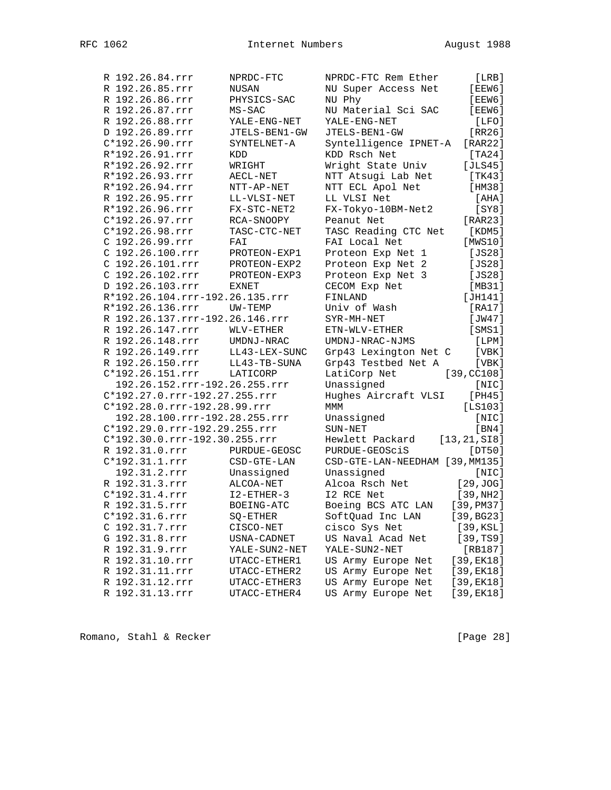| R 192.26.84.rrr                 | NPRDC-FTC           | NPRDC-FTC Rem Ether             | [LRB]           |
|---------------------------------|---------------------|---------------------------------|-----------------|
| R 192.26.85.rrr                 | NUSAN               | NU Super Access Net             | [EEW6]          |
| R 192.26.86.rrr                 | PHYSICS-SAC         | NU Phy                          | [EEW6]          |
| R 192.26.87.rrr                 | MS-SAC              | NU Material Sci SAC             | [EEW6]          |
| R 192.26.88.rrr                 | YALE-ENG-NET        | YALE-ENG-NET                    | [LFO]           |
| D 192.26.89.rrr                 | JTELS-BEN1-GW       | JTELS-BEN1-GW                   | [RR26]          |
| $C*192.26.90.rrr$               | SYNTELNET-A         | Syntelligence IPNET-A           | [RAR22]         |
| R*192.26.91.rrr                 | KDD                 | KDD Rsch Net                    | [TA24]          |
| R*192.26.92.rrr                 | WRIGHT              | Wright State Univ               | [JLS45]         |
| R*192.26.93.rrr                 | $\texttt{AECL-NET}$ | NTT Atsugi Lab Net              | [TK43]          |
| R*192.26.94.rrr                 | NTT-AP-NET          | NTT ECL Apol Net                | [HM38]          |
| R 192.26.95.rrr                 | LL-VLSI-NET         | LL VLSI Net                     | [AHA]           |
| R*192.26.96.rrr                 | FX-STC-NET2         | FX-Tokyo-10BM-Net2              | [SY8]           |
| C*192.26.97.rrr                 | RCA-SNOOPY          | Peanut Net                      | [RAR23]         |
| C*192.26.98.rrr                 | TASC-CTC-NET        | TASC Reading CTC Net            | [KDM5]          |
| C 192.26.99.rrr                 | FAI                 | FAI Local Net                   | [MWS10]         |
| C 192.26.100.rrr                | PROTEON-EXP1        | Proteon Exp Net 1               | [JS28]          |
| C 192.26.101.rrr                | PROTEON-EXP2        | Proteon Exp Net 2               | [JS28]          |
| C 192.26.102.rrr                | PROTEON-EXP3        | Proteon Exp Net 3               | [JS28]          |
| D 192.26.103.rrr                | <b>EXNET</b>        | CECOM Exp Net                   | [MB31]          |
| R*192.26.104.rrr-192.26.135.rrr |                     | FINLAND                         | [JH141]         |
| R*192.26.136.rrr                | UW-TEMP             | Univ of Wash                    | [RA17]          |
| R 192.26.137.rrr-192.26.146.rrr |                     | SYR-MH-NET                      | [JW47]          |
| R 192.26.147.rrr                | WLV-ETHER           | ETN-WLV-ETHER                   | [SMS1]          |
| R 192.26.148.rrr                | UMDNJ-NRAC          | UMDNJ-NRAC-NJMS                 | [LPM]           |
| R 192.26.149.rrr                | LL43-LEX-SUNC       | Grp43 Lexington Net C           | [ VBK ]         |
| R 192.26.150.rrr                | LL43-TB-SUNA        | Grp43 Testbed Net A             | [VBK]           |
| C*192.26.151.rrr                | LATICORP            | LatiCorp Net                    | [39, CC108]     |
| 192.26.152.rrr-192.26.255.rrr   |                     | Unassigned                      | [NIC]           |
| C*192.27.0.rrr-192.27.255.rrr   |                     | Hughes Aircraft VLSI            | [PH45]          |
| C*192.28.0.rrr-192.28.99.rrr    |                     | MMM                             | [LS103]         |
| 192.28.100.rrr-192.28.255.rrr   |                     | Unassigned                      | [NIC]           |
| C*192.29.0.rrr-192.29.255.rrr   |                     | SUN-NET                         | [BN4]           |
| C*192.30.0.rrr-192.30.255.rrr   |                     | Hewlett Packard                 | [13, 21, SI8]   |
| R 192.31.0.rrr                  | PURDUE-GEOSC        | PURDUE-GEOSciS                  | [DT50]          |
| $C*192.31.1.rrr$                | CSD-GTE-LAN         | CSD-GTE-LAN-NEEDHAM [39, MM135] |                 |
| 192.31.2.rrr                    | Unassigned          | Unassigned                      | [NIC]           |
| R 192.31.3.rrr                  | ALCOA-NET           | Alcoa Rsch Net                  | [29, JOG]       |
| $C*192.31.4.rrr$                | $I2 - ETHER-3$      | I2 RCE Net                      | [39,NH2]        |
| R 192.31.5.rrr                  | BOEING-ATC          | Boeing BCS ATC LAN              | [39, P M 37]    |
| C*192.31.6.rrr                  | SQ-ETHER            | SoftQuad Inc LAN                | [39, BG23]      |
| C 192.31.7.rrr                  | CISCO-NET           | cisco Sys Net                   | [39, KSL]       |
| G 192.31.8.rrr                  | USNA-CADNET         | US Naval Acad Net               | [39, TS9]       |
| R 192.31.9.rrr                  | YALE-SUN2-NET       | YALE-SUN2-NET                   | [RB187]         |
| R 192.31.10.rrr                 | UTACC-ETHER1        | US Army Europe Net              | $[39,$ EK $18]$ |
| R 192.31.11.rrr                 | UTACC-ETHER2        | US Army Europe Net              | $[39,$ EK $18]$ |
| R 192.31.12.rrr                 | UTACC-ETHER3        | US Army Europe Net              | $[39,$ EK $18]$ |
| R 192.31.13.rrr                 | UTACC-ETHER4        | US Army Europe Net              | [39, EK18]      |
|                                 |                     |                                 |                 |

Romano, Stahl & Recker [Page 28]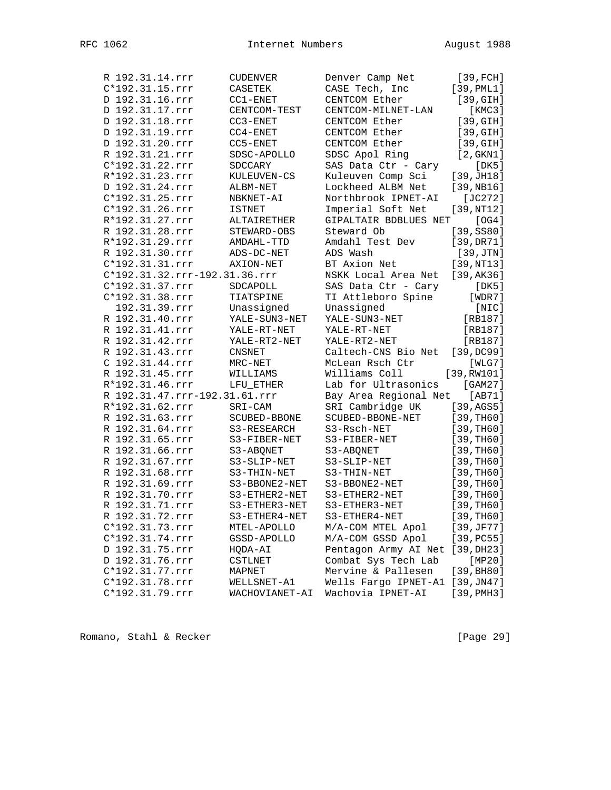| R 192.31.14.rrr               | <b>CUDENVER</b>                                              | Denver Camp Net       | [39, FCH]       |
|-------------------------------|--------------------------------------------------------------|-----------------------|-----------------|
| C*192.31.15.rrr               | CASETEK                                                      | CASE Tech, Inc        | [39, PML1]      |
| D 192.31.16.rrr               | $CC1-ENET$                                                   | CENTCOM Ether         | [39, GIH]       |
| D 192.31.17.rrr               | CENTCOM-TEST                                                 | CENTCOM-MILNET-LAN    | [KMC3]          |
| D 192.31.18.rrr               | $CC3 - ENET$                                                 | CENTCOM Ether         | [39, GIH]       |
| D 192.31.19.rrr               | $CC4-ENET$                                                   | CENTCOM Ether         | [39, GIH]       |
| D 192.31.20.rrr               | $CC5-ENET$                                                   | CENTCOM Ether         | [39, GIH]       |
| R 192.31.21.rrr               | SDSC-APOLLO                                                  | SDSC Apol Ring        | [2, GKN1]       |
| C*192.31.22.rrr               | SDCCARY                                                      | SAS Data Ctr - Cary   | [DK5]           |
| R*192.31.23.rrr               | KULEUVEN-CS                                                  | Kuleuven Comp Sci     | [39, JH18]      |
| D 192.31.24.rrr               | ALBM-NET                                                     | Lockheed ALBM Net     | [39,NB16]       |
| C*192.31.25.rrr               | NBKNET-AI                                                    | Northbrook IPNET-AI   | $[JC272]$       |
| C*192.31.26.rrr               | <b>ISTNET</b>                                                | Imperial Soft Net     | [39,NT12]       |
| R*192.31.27.rrr               | ALTAIRETHER                                                  | GIPALTAIR BDBLUES NET | [OG4]           |
| R 192.31.28.rrr               | STEWARD-OBS                                                  | Steward Ob            | [39, S580]      |
| R*192.31.29.rrr               | AMDAHL-TTD                                                   | Amdahl Test Dev       | [39, DR71]      |
| R 192.31.30.rrr               | ADS-DC-NET                                                   | ADS Wash              | [39,JTN]        |
| C*192.31.31.rrr               | AXION-NET                                                    | BT Axion Net          | [39,NT13]       |
| C*192.31.32.rrr-192.31.36.rrr |                                                              | NSKK Local Area Net   | [39, AK36]      |
| C*192.31.37.rrr               | SDCAPOLL                                                     | SAS Data Ctr - Cary   | [DK5]           |
| $C*192.31.38.rrr$             | TIATSPINE                                                    | TI Attleboro Spine    | [WDR7]          |
| 192.31.39.rrr                 | Unassigned                                                   | Unassigned            | [NIC]           |
| R 192.31.40.rrr               | YALE-SUN3-NET                                                | YALE-SUN3-NET         | [RB187]         |
| R 192.31.41.rrr               | YALE-RT-NET                                                  | YALE-RT-NET           | $[RB187]$       |
| R 192.31.42.rrr               | YALE-RT2-NET                                                 | YALE-RT2-NET          | [RB187]         |
| R 192.31.43.rrr               | <b>CNSNET</b>                                                | Caltech-CNS Bio Net   | [39,DC99]       |
| C 192.31.44.rrr               | MRC-NET                                                      | McLean Rsch Ctr       | [WLG7]          |
| R 192.31.45.rrr               | WILLIAMS                                                     | Williams Coll         | [39, RW101]     |
| R*192.31.46.rrr               | LFU_ETHER                                                    | Lab for Ultrasonics   | [GAM27]         |
| R 192.31.47.rrr-192.31.61.rrr |                                                              | Bay Area Regional Net | [AB71]          |
| R*192.31.62.rrr               | $SRI-CAM$                                                    | SRI Cambridge UK      | [39, AGS5]      |
| R 192.31.63.rrr               | $\begin{minipage}{.4\linewidth} SCUBED-BBONE \end{minipage}$ | SCUBED-BBONE-NET      | [39, TH60]      |
| R 192.31.64.rrr               | S3-RESEARCH                                                  | S3-Rsch-NET           | [39, TH60]      |
| R 192.31.65.rrr               | S3-FIBER-NET                                                 | S3-FIBER-NET          | [39, TH60]      |
| R 192.31.66.rrr               | S3-ABQNET                                                    | S3-ABQNET             | [39, TH60]      |
| R 192.31.67.rrr               | S3-SLIP-NET                                                  | S3-SLIP-NET           | [39, TH60]      |
| R 192.31.68.rrr               | S3-THIN-NET                                                  | S3-THIN-NET           | [39, TH60]      |
| R 192.31.69.rrr               | S3-BBONE2-NET                                                | S3-BBONE2-NET         | [39, TH60]      |
| R 192.31.70.rrr               | S3-ETHER2-NET                                                | S3-ETHER2-NET         | [39, TH60]      |
| R 192.31.71.rrr               | S3-ETHER3-NET                                                | S3-ETHER3-NET         | [39, TH60]      |
| R 192.31.72.rrr               | S3-ETHER4-NET                                                | S3-ETHER4-NET         | [39, TH60]      |
| C*192.31.73.rrr               | MTEL-APOLLO                                                  | M/A-COM MTEL Apol     | [39, JF77]      |
| C*192.31.74.rrr               | GSSD-APOLLO                                                  | M/A-COM GSSD Apol     | [39,PC55]       |
| D 192.31.75.rrr               | HQDA-AI                                                      | Pentagon Army AI Net  | [39, DH23]      |
| D 192.31.76.rrr               | CSTLNET                                                      | Combat Sys Tech Lab   | [MP20]          |
| C*192.31.77.rrr               | MAPNET                                                       | Mervine & Pallesen    | [39, BH80]      |
| C*192.31.78.rrr               | WELLSNET-A1                                                  | Wells Fargo IPNET-A1  | [39, JN47]      |
| C*192.31.79.rrr               | WACHOVIANET-AI                                               | Wachovia IPNET-AI     | $[39,$ PMH $3]$ |
|                               |                                                              |                       |                 |

Romano, Stahl & Recker [Page 29]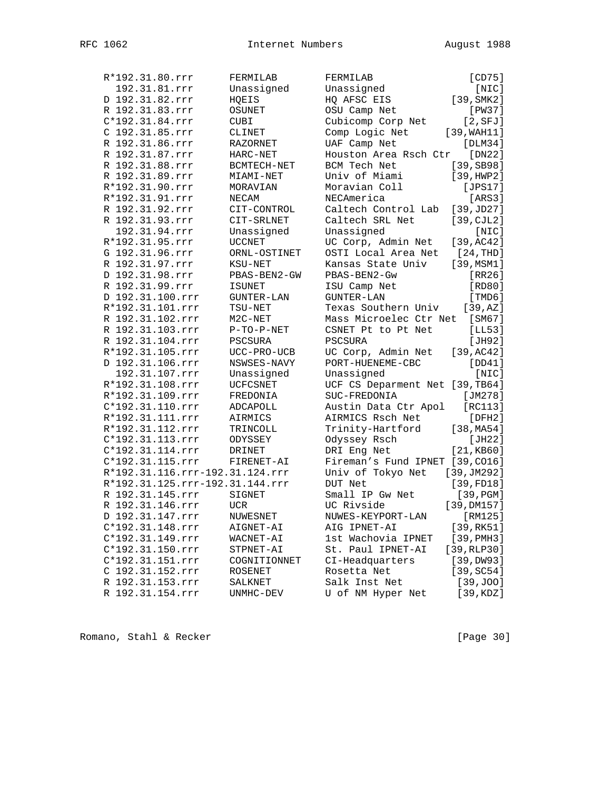| R*192.31.80.rrr                 | FERMILAB      | FERMILAB                             | [CD75]                |
|---------------------------------|---------------|--------------------------------------|-----------------------|
| 192.31.81.rrr                   | Unassigned    | Unassigned                           | [NIC]                 |
| D 192.31.82.rrr                 | HQEIS         | HQ AFSC EIS                          | [39, SMK2]            |
| R 192.31.83.rrr                 | OSUNET        | OSU Camp Net                         | [PW37]                |
| C*192.31.84.rrr                 | CUBI          | Cubicomp Corp Net                    | [2, SFJ]              |
| C 192.31.85.rrr                 | CLINET        | Comp Logic Net                       | [39, WAH11]           |
| R 192.31.86.rrr                 | RAZORNET      | UAF Camp Net                         | [DLM34]               |
| R 192.31.87.rrr                 | HARC-NET      | Houston Area Rsch Ctr [DN22]         |                       |
| R 192.31.88.rrr                 | BCMTECH-NET   | BCM Tech Net                         | [39, SB98]            |
| R 192.31.89.rrr                 | MIAMI-NET     | Univ of Miami                        | [39, HWP2]            |
| R*192.31.90.rrr                 | MORAVIAN      | Moravian Coll                        | [JPS17]               |
| R*192.31.91.rrr                 | NECAM         | NECAmerica                           | [ARS3]                |
| R 192.31.92.rrr                 | CIT-CONTROL   | Caltech Control Lab                  | [39, JD27]            |
| R 192.31.93.rrr                 | CIT-SRLNET    | Caltech SRL Net                      | $[39, \text{CJL2}]$   |
| 192.31.94.rrr                   | Unassigned    | Unassigned                           | [NIC]                 |
| R*192.31.95.rrr                 | <b>UCCNET</b> | UC Corp, Admin Net                   | [39, AC42]            |
| G 192.31.96.rrr                 | ORNL-OSTINET  | OSTI Local Area Net                  | [24,THD]              |
| R 192.31.97.rrr                 | KSU-NET       | Kansas State Univ                    | [39, MSM1]            |
| D 192.31.98.rrr                 | PBAS-BEN2-GW  | PBAS-BEN2-Gw                         | [RR26]                |
| R 192.31.99.rrr                 | <b>ISUNET</b> | ISU Camp Net                         | [RD80]                |
| D 192.31.100.rrr                |               | GUNTER-LAN                           | [TMD6]                |
| R*192.31.101.rrr                | GUNTER-LAN    |                                      |                       |
| R 192.31.102.rrr                | TSU-NET       | Texas Southern Univ                  | [39, AZ]<br>[SM67]    |
|                                 | M2C-NET       | Mass Microelec Ctr Net               |                       |
| R 192.31.103.rrr                | $P-TO-P-NET$  | CSNET Pt to Pt Net<br><b>PSCSURA</b> | [LL53]                |
| R 192.31.104.rrr                | PSCSURA       |                                      | [JH92]                |
| R*192.31.105.rrr                | UCC-PRO-UCB   | UC Corp, Admin Net                   | [39, AC42]            |
| D 192.31.106.rrr                | NSWSES-NAVY   | PORT-HUENEME-CBC                     | [DD41]                |
| 192.31.107.rrr                  | Unassigned    | Unassigned                           | [NIC]                 |
| R*192.31.108.rrr                | UCFCSNET      | UCF CS Deparment Net [39, TB64]      |                       |
| R*192.31.109.rrr                | FREDONIA      | SUC-FREDONIA                         | [JM278]               |
| C*192.31.110.rrr                | ADCAPOLL      | Austin Data Ctr Apol                 | [RC113]               |
| R*192.31.111.rrr                | AIRMICS       | AIRMICS Rsch Net                     | [DFH2]                |
| R*192.31.112.rrr                | TRINCOLL      | Trinity-Hartford                     | [38, M <sub>4</sub> ] |
| C*192.31.113.rrr                | ODYSSEY       | Odyssey Rsch                         | [JH22]                |
| C*192.31.114.rrr                | DRINET        | DRI Eng Net                          | [21, KB60]            |
| C*192.31.115.rrr                | FIRENET-AI    | Fireman's Fund IPNET [39, CO16]      |                       |
| R*192.31.116.rrr-192.31.124.rrr |               | Univ of Tokyo Net                    | [39, JM292]           |
| R*192.31.125.rrr-192.31.144.rrr |               | DUT Net                              | [39, FD18]            |
| R 192.31.145.rrr                | SIGNET        | Small IP Gw Net                      | [39, PGM]             |
| R 192.31.146.rrr                | <b>UCR</b>    | UC Rivside                           | [39,DM157]            |
| D 192.31.147.rrr                | NUWESNET      | NUWES-KEYPORT-LAN                    | [RM125]               |
| C*192.31.148.rrr                | AIGNET-AI     | AIG IPNET-AI                         | [39,RK51]             |
| C*192.31.149.rrr                | WACNET-AI     | 1st Wachovia IPNET                   | $[39,$ PMH $3]$       |
| C*192.31.150.rrr                | STPNET-AI     | St. Paul IPNET-AI                    | $[39, RLP30]$         |
| C*192.31.151.rrr                | COGNITIONNET  | CI-Headquarters                      | [39,DW93]             |
| C 192.31.152.rrr                | ROSENET       | Rosetta Net                          | [39, SC54]            |
| R 192.31.153.rrr                | SALKNET       | Salk Inst Net                        | [39, J00]             |
| R 192.31.154.rrr                | UNMHC-DEV     | U of NM Hyper Net                    | [39, KDZ]             |
|                                 |               |                                      |                       |

Romano, Stahl & Recker [Page 30]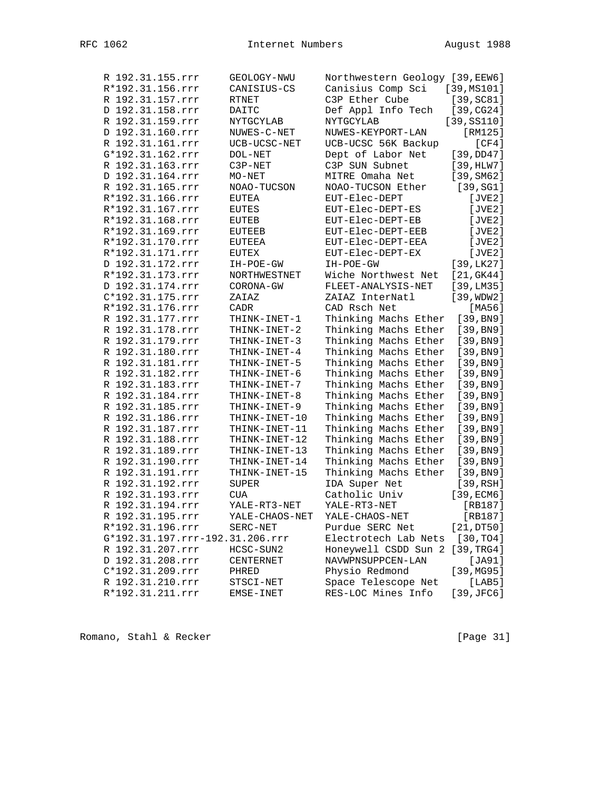| R 192.31.155.rrr                | GEOLOGY-NWU    | Northwestern Geology [39, EEW6] |                        |
|---------------------------------|----------------|---------------------------------|------------------------|
| R*192.31.156.rrr                | CANISIUS-CS    | Canisius Comp Sci               | [39,MS101]             |
| R 192.31.157.rrr                | <b>RTNET</b>   | C3P Ether Cube                  | [39, SC81]             |
| D 192.31.158.rrr                | DAITC          | Def Appl Info Tech              | [39, CG24]             |
| R 192.31.159.rrr                | NYTGCYLAB      | NYTGCYLAB                       | [39, S5110]            |
| D 192.31.160.rrr                | NUWES-C-NET    | NUWES-KEYPORT-LAN               | [RM125]                |
| R 192.31.161.rrr                | UCB-UCSC-NET   | UCB-UCSC 56K Backup             | [CF4]                  |
| G*192.31.162.rrr                | DOL-NET        | Dept of Labor Net               | [39,DD47]              |
| R 192.31.163.rrr                | C3P-NET        | C3P SUN Subnet                  | [39,HLW7]              |
| D 192.31.164.rrr                | MO-NET         | MITRE Omaha Net                 | [39, SM62]             |
| R 192.31.165.rrr                | NOAO-TUCSON    | NOAO-TUCSON Ether               | [39, SG1]              |
| R*192.31.166.rrr                | EUTEA          | EUT-Elec-DEPT                   | [JVE2]                 |
| R*192.31.167.rrr                | EUTES          | EUT-Elec-DEPT-ES                | [JVE2]                 |
| R*192.31.168.rrr                | EUTEB          | EUT-Elec-DEPT-EB                | [JVE2]                 |
| R*192.31.169.rrr                | EUTEEB         | EUT-Elec-DEPT-EEB               | [JVE2]                 |
| R*192.31.170.rrr                | EUTEEA         | EUT-Elec-DEPT-EEA               | [JVE2]                 |
| R*192.31.171.rrr                | EUTEX          | EUT-Elec-DEPT-EX                | [JVE2]                 |
| D 192.31.172.rrr                | IH-POE-GW      | IH-POE-GW                       | [39, LK27]             |
| R*192.31.173.rrr                | NORTHWESTNET   | Wiche Northwest Net             | [21, GK44]             |
| D 192.31.174.rrr                | CORONA-GW      | FLEET-ANALYSIS-NET              | [39,LM35]              |
| C*192.31.175.rrr                | ZAIAZ          | ZAIAZ InterNatl                 | [39, WDW2]             |
| R*192.31.176.rrr                | CADR           | CAD Rsch Net                    | [MA56]                 |
| R 192.31.177.rrr                | THINK-INET-1   | Thinking Machs Ether            | [39, B <sub>N</sub> 9] |
| R 192.31.178.rrr                | THINK-INET-2   | Thinking Machs Ether            | [39, B <sub>N</sub> 9] |
| R 192.31.179.rrr                | THINK-INET-3   | Thinking Machs Ether            | [39, B <sub>N</sub> 9] |
| R 192.31.180.rrr                | THINK-INET-4   | Thinking Machs Ether            | [39, B <sub>N</sub> 9] |
| R 192.31.181.rrr                | THINK-INET-5   | Thinking Machs Ether            | [39, B <sub>N</sub> 9] |
| R 192.31.182.rrr                | THINK-INET-6   | Thinking Machs Ether            | [39, B <sub>N</sub> 9] |
| R 192.31.183.rrr                | THINK-INET-7   | Thinking Machs Ether            | [39, B <sub>N</sub> 9] |
| R 192.31.184.rrr                | THINK-INET-8   | Thinking Machs Ether            | [39, B <sub>N</sub> 9] |
| R 192.31.185.rrr                | THINK-INET-9   | Thinking Machs Ether            | [39, B <sub>N</sub> 9] |
| R 192.31.186.rrr                | THINK-INET-10  | Thinking Machs Ether            | [39, B <sub>N</sub> 9] |
| R 192.31.187.rrr                | THINK-INET-11  | Thinking Machs Ether            | [39, B <sub>N</sub> 9] |
| R 192.31.188.rrr                | THINK-INET-12  | Thinking Machs Ether            | [39, B <sub>N</sub> 9] |
| R 192.31.189.rrr                | THINK-INET-13  | Thinking Machs Ether            | [39, B <sub>N</sub> 9] |
| R 192.31.190.rrr                | THINK-INET-14  | Thinking Machs Ether            | [39, B <sub>N</sub> 9] |
| R 192.31.191.rrr                | THINK-INET-15  | Thinking Machs Ether            | [39, B <sub>N</sub> 9] |
| R 192.31.192.rrr                | SUPER          | IDA Super Net                   | [39,RSH]               |
| R 192.31.193.rrr                | <b>CUA</b>     | Catholic Univ                   | [39,ECM6]              |
| R 192.31.194.rrr                | YALE-RT3-NET   | YALE-RT3-NET                    | $[RB187]$              |
| R 192.31.195.rrr                | YALE-CHAOS-NET | YALE-CHAOS-NET                  | [RB187]                |
| R*192.31.196.rrr                | SERC-NET       | Purdue SERC Net                 | [21,DT50]              |
| G*192.31.197.rrr-192.31.206.rrr |                | Electrotech Lab Nets            | [30, TO4]              |
| R 192.31.207.rrr                | HCSC-SUN2      | Honeywell CSDD Sun 2            | [39, TRG4]             |
| D 192.31.208.rrr                | CENTERNET      | NAVWPNSUPPCEN-LAN               | [JA91]                 |
| C*192.31.209.rrr                | PHRED          | Physio Redmond                  | [39, MG95]             |
| R 192.31.210.rrr                | STSCI-NET      | Space Telescope Net             | [LAB5]                 |
| R*192.31.211.rrr                |                | RES-LOC Mines Info              | $[39,$ JFC6]           |
|                                 | EMSE-INET      |                                 |                        |

Romano, Stahl & Recker [Page 31]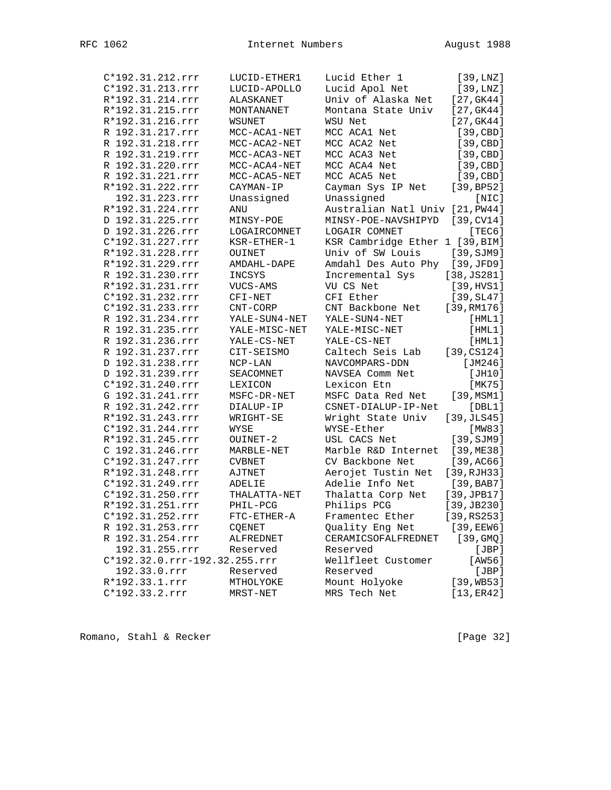| C*192.31.212.rrr              | LUCID-ETHER1   | Lucid Ether 1                   | [39, LNZ]    |
|-------------------------------|----------------|---------------------------------|--------------|
| C*192.31.213.rrr              | LUCID-APOLLO   | Lucid Apol Net                  | [39, LNZ]    |
|                               |                | Univ of Alaska Net              |              |
| R*192.31.214.rrr              | ALASKANET      |                                 | [27, GK44]   |
| R*192.31.215.rrr              | MONTANANET     | Montana State Univ              | [27, GK44]   |
| R*192.31.216.rrr              | WSUNET         | WSU Net                         | [27, GK44]   |
| R 192.31.217.rrr              | MCC-ACA1-NET   | MCC ACA1 Net                    | [39, CBD]    |
| R 192.31.218.rrr              | MCC-ACA2-NET   | MCC ACA2 Net                    | [39, CBD]    |
| R 192.31.219.rrr              | MCC-ACA3-NET   | MCC ACA3 Net                    | [39, CBD]    |
| R 192.31.220.rrr              | MCC-ACA4-NET   | MCC ACA4 Net                    | [39, CBD]    |
| R 192.31.221.rrr              | MCC-ACA5-NET   | MCC ACA5 Net                    | [39, CBD]    |
| R*192.31.222.rrr              | CAYMAN-IP      | Cayman Sys IP Net               | [39, BPS2]   |
| 192.31.223.rrr                | Unassigned     | Unassigned                      | [NIC]        |
| R*192.31.224.rrr              | ANU            | Australian Natl Univ [21, PW44] |              |
| D 192.31.225.rrr              | MINSY-POE      | MINSY-POE-NAVSHIPYD             | [39, CV14]   |
| D 192.31.226.rrr              | LOGAIRCOMNET   | LOGAIR COMNET                   | [TEC6]       |
| C*192.31.227.rrr              | KSR-ETHER-1    | KSR Cambridge Ether 1 [39, BIM] |              |
| R*192.31.228.rrr              | OUINET         | Univ of SW Louis                | [39, SJM9]   |
| R*192.31.229.rrr              | AMDAHL-DAPE    | Amdahl Des Auto Phy             | [39,JFD9]    |
| R 192.31.230.rrr              | INCSYS         | Incremental Sys                 | [38, JS281]  |
| R*192.31.231.rrr              | VUCS-AMS       | VU CS Net                       | [39, HVS1]   |
| C*192.31.232.rrr              | CFI-NET        | CFI Ether                       | [39, SL47]   |
| C*192.31.233.rrr              | CNT-CORP       | CNT Backbone Net                | [39, RM176]  |
| R 192.31.234.rrr              | YALE-SUN4-NET  | YALE-SUN4-NET                   | [HML1]       |
| R 192.31.235.rrr              | YALE-MISC-NET  | YALE-MISC-NET                   | [HML1]       |
| R 192.31.236.rrr              | YALE-CS-NET    | YALE-CS-NET                     | [HML1]       |
| R 192.31.237.rrr              | CIT-SEISMO     | Caltech Seis Lab                | [39, CS124]  |
| D 192.31.238.rrr              | $NCP-LAN$      | NAVCOMPARS-DDN                  | [ $JM246$ ]  |
| D 192.31.239.rrr              |                | NAVSEA Comm Net                 | [JH10]       |
|                               | SEACOMNET      |                                 |              |
| C*192.31.240.rrr              | <b>LEXICON</b> | Lexicon Etn                     | [MK75]       |
| G 192.31.241.rrr              | MSFC-DR-NET    | MSFC Data Red Net               | [39, MSM1]   |
| R 192.31.242.rrr              | DIALUP-IP      | CSNET-DIALUP-IP-Net             | [DBL1]       |
| R*192.31.243.rrr              | WRIGHT-SE      | Wright State Univ               | [39, JLS45]  |
| C*192.31.244.rrr              | WYSE           | WYSE-Ether                      | [MW83]       |
| R*192.31.245.rrr              | OUINET-2       | USL CACS Net                    | [39, SJM9]   |
| C 192.31.246.rrr              | MARBLE-NET     | Marble R&D Internet             | [39, ME38]   |
| C*192.31.247.rrr              | <b>CVBNET</b>  | CV Backbone Net                 | [39, AC66]   |
| R*192.31.248.rrr              | AJTNET         | Aerojet Tustin Net              | [39, RJH33]  |
| C*192.31.249.rrr              | ADELIE         | Adelie Info Net                 | [39, BAB7]   |
| C*192.31.250.rrr              | THALATTA-NET   | Thalatta Corp Net               | [39, JPB17]  |
| R*192.31.251.rrr              | PHIL-PCG       | Philips PCG                     | [39, JB230]  |
| C*192.31.252.rrr              | FTC-ETHER-A    | Framentec Ether                 | [39, RS253]  |
| R 192.31.253.rrr              | COENET         | Quality Eng Net                 | $[39,$ EEW6] |
| R 192.31.254.rrr              | ALFREDNET      | CERAMICSOFALFREDNET             | [39, GMQ]    |
| 192.31.255.rrr                | Reserved       | Reserved                        | [JBP]        |
| C*192.32.0.rrr-192.32.255.rrr |                | Wellfleet Customer              | [AW56]       |
| 192.33.0.rrr                  | Reserved       | Reserved                        | [JBP]        |
| R*192.33.1.rrr                | MTHOLYOKE      | Mount Holyoke                   | [39, WB53]   |
| C*192.33.2.rrr                | MRST-NET       | MRS Tech Net                    | [13, ER42]   |
|                               |                |                                 |              |

Romano, Stahl & Recker [Page 32]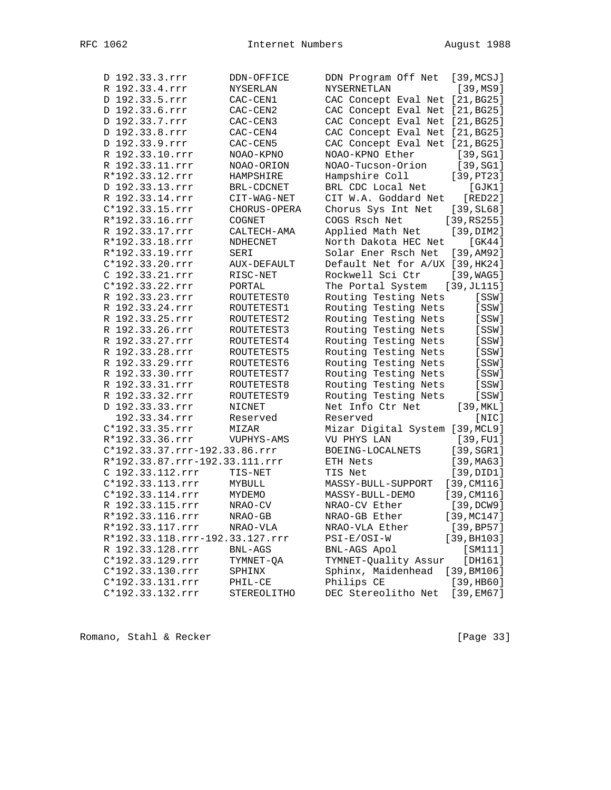| D 192.33.3.rrr                  | DDN-OFFICE   | DDN Program Off Net             | [39, MCSJ]          |
|---------------------------------|--------------|---------------------------------|---------------------|
| R 192.33.4.rrr                  | NYSERLAN     | <b>NYSERNETLAN</b>              | [39, MS9]           |
| D 192.33.5.rrr                  | CAC-CEN1     | CAC Concept Eval Net [21, BG25] |                     |
| D 192.33.6.rrr                  | CAC-CEN2     | CAC Concept Eval Net [21, BG25] |                     |
| D 192.33.7.rrr                  | CAC-CEN3     | CAC Concept Eval Net [21, BG25] |                     |
| D 192.33.8.rrr                  | CAC-CEN4     | CAC Concept Eval Net [21, BG25] |                     |
| D 192.33.9.rrr                  | CAC-CEN5     | CAC Concept Eval Net [21, BG25] |                     |
| R 192.33.10.rrr                 | NOAO-KPNO    | NOAO-KPNO Ether                 | [39, SG1]           |
| R 192.33.11.rrr                 | NOAO-ORION   | NOAO-Tucson-Orion               | [39, SG1]           |
| R*192.33.12.rrr                 | HAMPSHIRE    | Hampshire Coll                  | [39, PT23]          |
| D 192.33.13.rrr                 | BRL-CDCNET   | BRL CDC Local Net               | [GJK1]              |
| R 192.33.14.rrr                 | CIT-WAG-NET  | CIT W.A. Goddard Net            | [RED22]             |
| C*192.33.15.rrr                 | CHORUS-OPERA | Chorus Sys Int Net              | $[39, \text{SL}68]$ |
| R*192.33.16.rrr                 | COGNET       | COGS Rsch Net                   | [39,RS255]          |
| R 192.33.17.rrr                 | CALTECH-AMA  | Applied Math Net                | [39,DIM2]           |
| R*192.33.18.rrr                 | NDHECNET     | North Dakota HEC Net            | [GK44]              |
| R*192.33.19.rrr                 | SERI         | Solar Ener Rsch Net             | [39, AM92]          |
| $C*192.33.20.rrr$               | AUX-DEFAULT  | Default Net for A/UX [39, HK24] |                     |
| C 192.33.21.rrr                 | RISC-NET     | Rockwell Sci Ctr                | [39, WAG5]          |
| C*192.33.22.rrr                 | PORTAL       | The Portal System               | [39,JL115]          |
| R 192.33.23.rrr                 | ROUTETEST0   | Routing Testing Nets            | [SSW]               |
| R 192.33.24.rrr                 | ROUTETEST1   | Routing Testing Nets            | [SSW]               |
| R 192.33.25.rrr                 | ROUTETEST2   | Routing Testing Nets            | [SSW]               |
| R 192.33.26.rrr                 | ROUTETEST3   | Routing Testing Nets            | [SSW]               |
| R 192.33.27.rrr                 | ROUTETEST4   | Routing Testing Nets            | [SSW]               |
| R 192.33.28.rrr                 | ROUTETEST5   | Routing Testing Nets            | [SSW]               |
| R 192.33.29.rrr                 | ROUTETEST6   | Routing Testing Nets            | [SSW]               |
| R 192.33.30.rrr                 | ROUTETEST7   | Routing Testing Nets            | [SSW]               |
| R 192.33.31.rrr                 | ROUTETEST8   | Routing Testing Nets            | [SSW]               |
| R 192.33.32.rrr                 | ROUTETEST9   | Routing Testing Nets            | [SSW]               |
| D 192.33.33.rrr                 | NICNET       | Net Info Ctr Net                | [39, MKL]           |
| 192.33.34.rrr                   | Reserved     | Reserved                        | [NIC]               |
| C*192.33.35.rrr                 | MIZAR        | Mizar Digital System [39, MCL9] |                     |
| R*192.33.36.rrr                 | VUPHYS-AMS   | VU PHYS LAN                     | [39, FU1]           |
| C*192.33.37.rrr-192.33.86.rrr   |              | BOEING-LOCALNETS                | $[39, \text{SGR1}]$ |
| R*192.33.87.rrr-192.33.111.rrr  |              | ETH Nets                        | [39, MA63]          |
| C 192.33.112.rrr                | TIS-NET      | TIS Net                         | [39, DID1]          |
| C*192.33.113.rrr                | MYBULL       | MASSY-BULL-SUPPORT              | [39, CM116]         |
| C*192.33.114.rrr                | MYDEMO       | MASSY-BULL-DEMO                 | [39, CM116]         |
| R 192.33.115.rrr                | NRAO-CV      | NRAO-CV Ether                   | [39,DCW9]           |
| R*192.33.116.rrr                | $NRAO-GB$    | NRAO-GB Ether                   | [39, MC147]         |
| R*192.33.117.rrr                | NRAO-VLA     | NRAO-VLA Ether                  | [39, BP57]          |
| R*192.33.118.rrr-192.33.127.rrr |              | PSI-E/OSI-W                     | [39, BH103]         |
| R 192.33.128.rrr                | BNL-AGS      | BNL-AGS Apol                    | [SM111]             |
| C*192.33.129.rrr                | TYMNET-QA    | TYMNET-Quality Assur            | [DH161]             |
| C*192.33.130.rrr                | SPHINX       | Sphinx, Maidenhead              | [39, BM106]         |
| C*192.33.131.rrr                | PHIL-CE      | Philips CE                      | [39,HB60]           |
| C*192.33.132.rrr                | STEREOLITHO  | DEC Stereolitho Net             | [39,EM67]           |
|                                 |              |                                 |                     |

Romano, Stahl & Recker [Page 33]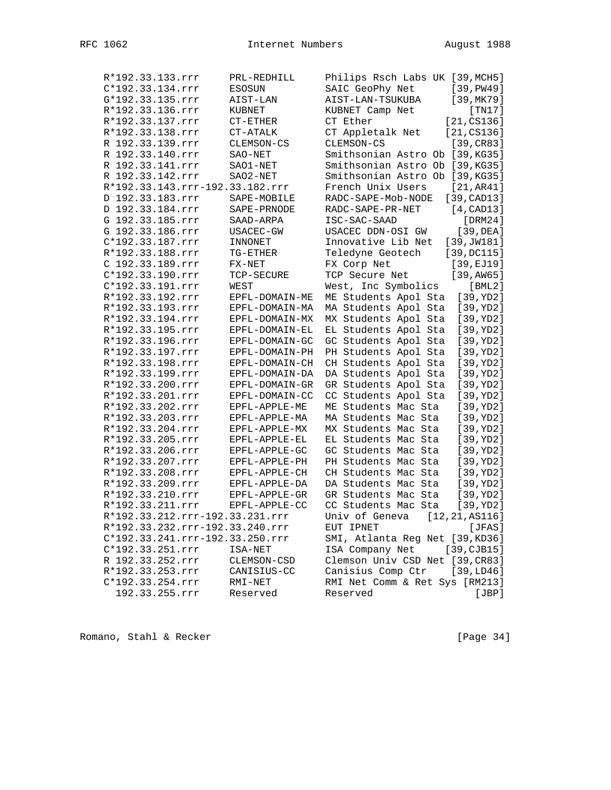| R*192.33.133.rrr                | PRL-REDHILL     | Philips Rsch Labs UK [39, MCH5] |                 |
|---------------------------------|-----------------|---------------------------------|-----------------|
| C*192.33.134.rrr                | <b>ESOSUN</b>   | SAIC GeoPhy Net                 | [39, P W 49]    |
| G*192.33.135.rrr                | AIST-LAN        | AIST-LAN-TSUKUBA                | [39, MK79]      |
| R*192.33.136.rrr                | KUBNET          | KUBNET Camp Net                 | [TM17]          |
| R*192.33.137.rrr                | $CT-ETHER$      | CT Ether                        | [21, C S 1 36]  |
| R*192.33.138.rrr                | CT-ATALK        | CT Appletalk Net                | [21, C S 1 36]  |
| R 192.33.139.rrr                | CLEMSON-CS      | CLEMSON-CS                      | [39, CR83]      |
| R 192.33.140.rrr                | SAO-NET         | Smithsonian Astro Ob [39, KG35] |                 |
| R 192.33.141.rrr                | SAO1-NET        | Smithsonian Astro Ob [39, KG35] |                 |
| R 192.33.142.rrr                | SAO2-NET        | Smithsonian Astro Ob [39, KG35] |                 |
| R*192.33.143.rrr-192.33.182.rrr |                 | French Unix Users               | [21, AR41]      |
| D 192.33.183.rrr                | SAPE-MOBILE     | RADC-SAPE-Mob-NODE              | [39, CAD13]     |
| D 192.33.184.rrr                | SAPE-PRNODE     | RADC-SAPE-PR-NET                | [4, CAD13]      |
| G 192.33.185.rrr                | SAAD-ARPA       | ISC-SAC-SAAD                    | [DRM24]         |
| G 192.33.186.rrr                | USACEC-GW       | USACEC DDN-OSI GW               | [39,DEA]        |
| C*192.33.187.rrr                | INNONET         | Innovative Lib Net              | [39, JW181]     |
| R*192.33.188.rrr                | TG-ETHER        | Teledyne Geotech                | [39, DCI15]     |
| C 192.33.189.rrr                | FX-NET          | FX Corp Net                     | [39, EJ19]      |
| C*192.33.190.rrr                | TCP-SECURE      | TCP Secure Net                  | [39, AW65]      |
| C*192.33.191.rrr                | WEST            | West, Inc Symbolics             | $[$ BML $2]$    |
| R*192.33.192.rrr                | EPFL-DOMAIN-ME  | ME Students Apol Sta            | [39, YD2]       |
| R*192.33.193.rrr                | EPFL-DOMAIN-MA  | MA Students Apol Sta            | [39,YD2]        |
| R*192.33.194.rrr                | EPFL-DOMAIN-MX  | MX Students Apol Sta            | [39,YD2]        |
| R*192.33.195.rrr                | EPFL-DOMAIN-EL  | EL Students Apol Sta            | [39, YD2]       |
| R*192.33.196.rrr                | EPFL-DOMAIN-GC  | GC Students Apol Sta            | [39, YD2]       |
| R*192.33.197.rrr                | EPFL-DOMAIN-PH  | PH Students Apol Sta            | [39, YD2]       |
| R*192.33.198.rrr                | EPFL-DOMAIN-CH  | CH Students Apol Sta            | [39, YD2]       |
| R*192.33.199.rrr                | EPFL-DOMAIN-DA  | DA Students Apol Sta            | [39,YD2]        |
| R*192.33.200.rrr                | EPFL-DOMAIN-GR  | GR Students Apol Sta            | [39,YD2]        |
| R*192.33.201.rrr                | EPFL-DOMAIN-CC  | CC Students Apol Sta            | [39, YD2]       |
| R*192.33.202.rrr                | EPFL-APPLE-ME   | ME Students Mac Sta             | [39, YD2]       |
| R*192.33.203.rrr                | EPFL-APPLE-MA   | MA Students Mac Sta             | [39, YD2]       |
| R*192.33.204.rrr                | EPFL-APPLE-MX   | MX Students Mac Sta             | [39, YD2]       |
| R*192.33.205.rrr                | EPFL-APPLE-EL   | EL Students Mac Sta             | [39,YD2]        |
| R*192.33.206.rrr                | EPFL-APPLE-GC   | GC Students Mac Sta             | [39,YD2]        |
| R*192.33.207.rrr                | EPFL-APPLE-PH   | PH Students Mac Sta             | [39, YD2]       |
| R*192.33.208.rrr                | EPFL-APPLE-CH   | CH Students Mac Sta             | [39, YD2]       |
| R*192.33.209.rrr                | EPFL-APPLE-DA   | DA Students Mac Sta             | [39, YD2]       |
| R*192.33.210.rrr                | $EPFL-APPLE-GR$ | GR Students Mac Sta             | [39, YD2]       |
| R*192.33.211.rrr                | EPFL-APPLE-CC   | CC Students Mac Sta             | [39,YD2]        |
| R*192.33.212.rrr-192.33.231.rrr |                 | Univ of Geneva                  | [12, 21, AS116] |
| R*192.33.232.rrr-192.33.240.rrr |                 | EUT IPNET                       | [JFAS]          |
| C*192.33.241.rrr-192.33.250.rrr |                 | SMI, Atlanta Reg Net [39, KD36] |                 |
| C*192.33.251.rrr                | ISA-NET         | ISA Company Net                 | [39, CJB15]     |
| R 192.33.252.rrr                | CLEMSON-CSD     | Clemson Univ CSD Net [39, CR83] |                 |
| R*192.33.253.rrr                | CANISIUS-CC     | Canisius Comp Ctr               | [39, LDA6]      |
| C*192.33.254.rrr                | RMI-NET         | RMI Net Comm & Ret Sys [RM213]  |                 |
| 192.33.255.rrr                  | Reserved        | Reserved                        | [JBP]           |
|                                 |                 |                                 |                 |

Romano, Stahl & Recker [Page 34]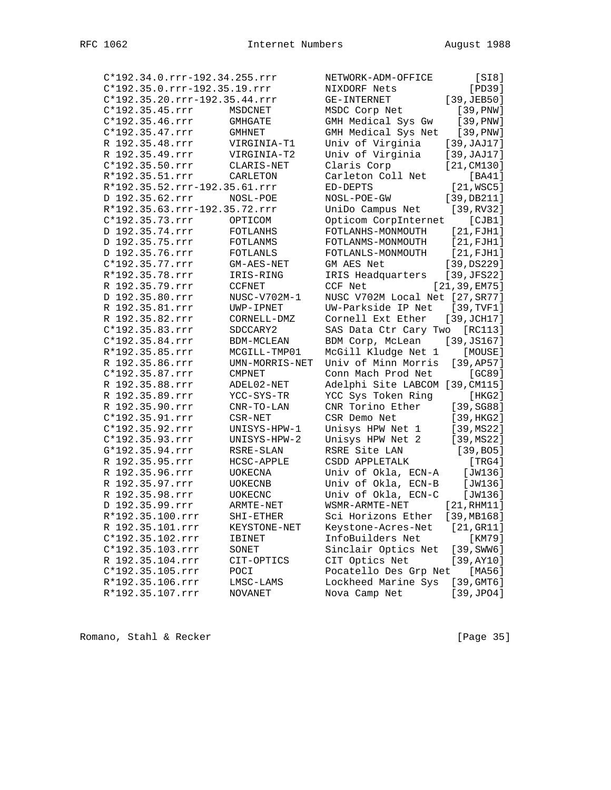| C*192.34.0.rrr-192.34.255.rrr |                | NETWORK-ADM-OFFICE                     | [S18]                 |
|-------------------------------|----------------|----------------------------------------|-----------------------|
| C*192.35.0.rrr-192.35.19.rrr  |                | NIXDORF Nets                           | [PD39]                |
| C*192.35.20.rrr-192.35.44.rrr |                | GE-INTERNET                            | [39, JEB50]           |
| $C*192.35.45.rrr$             | MSDCNET        | MSDC Corp Net                          | [39, PNW]             |
| $C*192.35.46.rrr$             | GMHGATE        | GMH Medical Sys Gw                     | [39, PNW]             |
| $C*192.35.47.rrr$             | <b>GMHNET</b>  | GMH Medical Sys Net [39, PNW]          |                       |
| R 192.35.48.rrr               | VIRGINIA-T1    | Univ of Virginia                       | [39, JAJ17]           |
| R 192.35.49.rrr               | VIRGINIA-T2    | Univ of Virginia                       | [39, JAJ17]           |
| $C*192.35.50.rrr$             | CLARIS-NET     | Claris Corp                            | [21, CM130]           |
| R*192.35.51.rrr               | CARLETON       | Carleton Coll Net                      | [BA41]                |
| R*192.35.52.rrr-192.35.61.rrr |                | ED-DEPTS                               | $[21,$ WSC5]          |
| D 192.35.62.rrr               | NOSL-POE       | NOSL-POE-GW                            | [39, DB211]           |
| R*192.35.63.rrr-192.35.72.rrr |                | UniDo Campus Net                       | [39, RV32]            |
| C*192.35.73.rrr               | OPTICOM        | Opticom CorpInternet                   | [CIB1]                |
|                               |                |                                        |                       |
| D 192.35.74.rrr               | FOTLANHS       | FOTLANHS-MONMOUTH                      | [21, FJH1]            |
| D 192.35.75.rrr               | FOTLANMS       | FOTLANMS-MONMOUTH                      | [21, FJH1]            |
| D 192.35.76.rrr               | FOTLANLS       | FOTLANLS-MONMOUTH                      | [21,FJH1]             |
| C*192.35.77.rrr               | GM-AES-NET     | GM AES Net                             | [39, DS229]           |
| R*192.35.78.rrr               | IRIS-RING      | IRIS Headquarters                      | [39, JFS22]           |
| R 192.35.79.rrr               | <b>CCFNET</b>  | CCF Net                                | [21, 39, EM75]        |
| D 192.35.80.rrr               | NUSC-V702M-1   | NUSC V702M Local Net [27, SR77]        |                       |
| R 192.35.81.rrr               | UWP-IPNET      | UW-Parkside IP Net                     | [39, TVF1]            |
| R 192.35.82.rrr               | CORNELL-DMZ    | Cornell Ext Ether                      | [39, JCH17]           |
| C*192.35.83.rrr               | SDCCARY2       | SAS Data Ctr Cary Two                  | [RC113]               |
| C*192.35.84.rrr               | BDM-MCLEAN     | BDM Corp, McLean                       | [39, JS167]           |
| R*192.35.85.rrr               | MCGILL-TMP01   | McGill Kludge Net 1                    | [MOUSE]               |
| R 192.35.86.rrr               | UMN-MORRIS-NET | Univ of Minn Morris                    | [39, AP57]            |
| C*192.35.87.rrr               | <b>CMPNET</b>  | Conn Mach Prod Net                     | [GC89]                |
| R 192.35.88.rrr               | ADEL02-NET     | Adelphi Site LABCOM [39, CM115]        |                       |
| R 192.35.89.rrr               | YCC-SYS-TR     | YCC Sys Token Ring                     | [ HKG2 ]              |
| R 192.35.90.rrr               | $CNR-TO-LAN$   | CNR Torino Ether                       | [39, SGS8]            |
| C*192.35.91.rrr               | CSR-NET        | CSR Demo Net                           | [39, HKG2]            |
| C*192.35.92.rrr               | UNISYS-HPW-1   | Unisys HPW Net 1                       | [39, MS22]            |
| C*192.35.93.rrr               | UNISYS-HPW-2   | Unisys HPW Net 2                       | [39, MS22]            |
| G*192.35.94.rrr               | RSRE-SLAN      | RSRE Site LAN                          | [39, B05]             |
| R 192.35.95.rrr               | HCSC-APPLE     | CSDD APPLETALK                         | [TRG4]                |
| R 192.35.96.rrr               | UOKECNA        | Univ of Okla, ECN-A                    | [JW136]               |
| R 192.35.97.rrr               | UOKECNB        | Univ of Okla, ECN-B                    | [JW136]               |
| R 192.35.98.rrr               | <b>UOKECNC</b> | Univ of Okla, ECN-C                    | [JW136]               |
| D 192.35.99.rrr               | ARMTE-NET      | WSMR-ARMTE-NET                         | [21, RHM11]           |
| R*192.35.100.rrr              | SHI-ETHER      | Sci Horizons Ether                     | [39, MB168]           |
| R 192.35.101.rrr              | KEYSTONE-NET   |                                        | [21,GR11]             |
| C*192.35.102.rrr              |                | Keystone-Acres-Net<br>InfoBuilders Net | [KM79]                |
| C*192.35.103.rrr              | IBINET         | Sinclair Optics Net                    | $[39, \texttt{SWW6}]$ |
| R 192.35.104.rrr              | SONET          |                                        |                       |
|                               | CIT-OPTICS     | CIT Optics Net                         | [39, AY10]            |
| C*192.35.105.rrr              | POCI           | Pocatello Des Grp Net                  | [MA56]                |
| R*192.35.106.rrr              | LMSC-LAMS      | Lockheed Marine Sys                    | [39, GMT6]            |
| R*192.35.107.rrr              | <b>NOVANET</b> | Nova Camp Net                          | [39, JPO4]            |

Romano, Stahl & Recker [Page 35]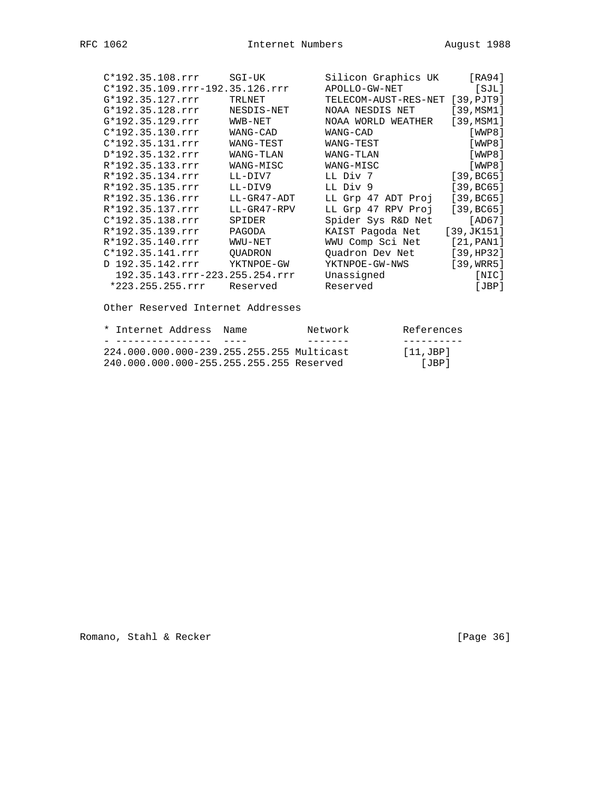| $C*192.35.108.rrr$                | SGI-UK      | Silicon Graphics UK             | [RA94]     |
|-----------------------------------|-------------|---------------------------------|------------|
| $C*192.35.109.rrr-192.35.126.rrr$ |             | APOLLO-GW-NET                   | [SIL]      |
| G*192.35.127.rrr                  | TRLNET      | TELECOM-AUST-RES-NET [39, PJT9] |            |
| G*192.35.128.rrr                  | NESDIS-NET  | NOAA NESDIS NET                 | [39, MSM1] |
| G*192.35.129.rrr                  | WWB-NET     | NOAA WORLD WEATHER              | [39, MSM1] |
| $C*192.35.130.rrr$                | WANG-CAD    | WANG-CAD                        | [WWP8]     |
| $C*192.35.131.rrr$                | WANG-TEST   | WANG-TEST                       | [WWP8]     |
| D*192.35.132.rrr                  | WANG-TLAN   | WANG-TLAN                       | [WWP8]     |
| R*192.35.133.rrr                  | WANG-MISC   | WANG-MISC                       | [WWP8]     |
| R*192.35.134.rrr                  | LL-DIV7     | LL Div 7                        | [39, BC65] |
| R*192.35.135.rrr                  | LL-DIV9     | LL Div 9                        | [39, BC65] |
| R*192.35.136.rrr                  | LL-GR47-ADT | LL Grp 47 ADT Proj              | [39, BC65] |
| R*192.35.137.rrr                  | LL-GR47-RPV | LL Grp 47 RPV Proj              | [39, BC65] |
| $C*192.35.138.rrr$                | SPIDER      | Spider Sys R&D Net              | [AD67]     |
| R*192.35.139.rrr                  | PAGODA      | KAIST Paqoda Net                | [39,JK151] |
| R*192.35.140.rrr                  | WWU-NET     | WWU Comp Sci Net                | [21, PAN1] |
| $C*192.35.141.rrr$                | OUADRON     | Quadron Dev Net                 | [39, HP32] |
| D 192.35.142.rrr                  | YKTNPOE-GW  | YKTNPOE-GW-NWS                  | [39,WRR5]  |
| 192.35.143.rrr-223.255.254.rrr    |             | Unassigned                      | [NIC]      |
| $*223.255.255.rrr$                | Reserved    | Reserved                        | [JBP]      |
|                                   |             |                                 |            |

Other Reserved Internet Addresses

|  | * Internet Address, Name |                                           | Network | References  |
|--|--------------------------|-------------------------------------------|---------|-------------|
|  |                          |                                           |         |             |
|  |                          | 224.000.000.000-239.255.255.255 Multicast |         | $[11,$ JBP] |
|  |                          | 240.000.000.000-255.255.255.255 Reserved  |         | [JRP]       |

Romano, Stahl & Recker [Page 36]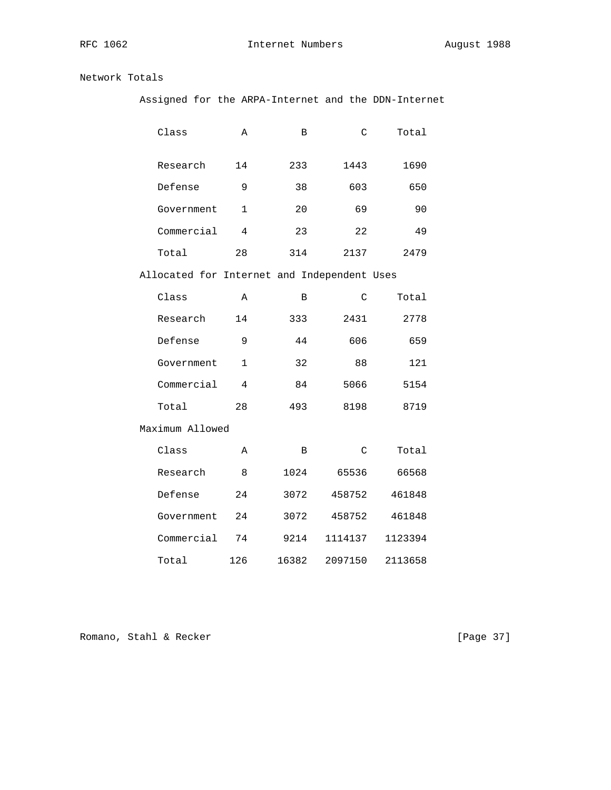RFC 1062 **Internet Numbers** August 1988

Network Totals

Assigned for the ARPA-Internet and the DDN-Internet

| Class                                       | Α              | B     | $\mathcal{C}$ | Total   |
|---------------------------------------------|----------------|-------|---------------|---------|
| Research                                    | 14             | 233   | 1443          | 1690    |
| Defense                                     | 9              | 38    | 603           | 650     |
| Government                                  | $\mathbf{1}$   | 20    | 69            | 90      |
| Commercial                                  | $\overline{4}$ | 23    | 22            | 49      |
| Total                                       | 28             | 314   | 2137          | 2479    |
| Allocated for Internet and Independent Uses |                |       |               |         |
| Class                                       | Α              | B     | $\mathcal{C}$ | Total   |
| Research                                    | 14             | 333   | 2431          | 2778    |
| Defense                                     | 9              | 44    | 606           | 659     |
| Government                                  | $\mathbf{1}$   | 32    | 88            | 121     |
| Commercial                                  | 4              | 84    | 5066          | 5154    |
| Total                                       | 28             | 493   | 8198          | 8719    |
| Maximum Allowed                             |                |       |               |         |
| Class                                       | Α              | B     | C             | Total   |
| Research                                    | 8              | 1024  | 65536         | 66568   |
| Defense                                     | 24             | 3072  | 458752        | 461848  |
| Government                                  | 24             | 3072  | 458752        | 461848  |
| Commercial                                  | 74             | 9214  | 1114137       | 1123394 |
| Total                                       | 126            | 16382 | 2097150       | 2113658 |

Romano, Stahl & Recker [Page 37]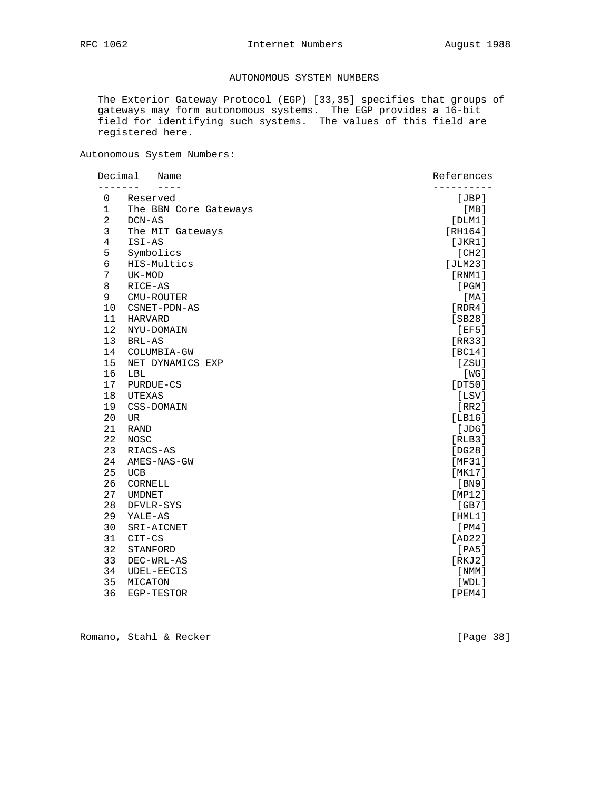## AUTONOMOUS SYSTEM NUMBERS

 The Exterior Gateway Protocol (EGP) [33,35] specifies that groups of gateways may form autonomous systems. The EGP provides a 16-bit field for identifying such systems. The values of this field are registered here.

Autonomous System Numbers:

|                | Decimal<br>Name       | References |  |
|----------------|-----------------------|------------|--|
| $\mathbf 0$    | Reserved              | [JBP]      |  |
| 1              | The BBN Core Gateways | [MB]       |  |
| $\overline{a}$ | DCN-AS                | [DIM1]     |  |
| 3              | The MIT Gateways      | [RH164]    |  |
| $\overline{4}$ | ISI-AS                | [JKR1]     |  |
| 5              | Symbolics             | [CH2]      |  |
| 6              | HIS-Multics           | [JLM23]    |  |
| 7              | UK-MOD                | [RNM1]     |  |
| 8              | RICE-AS               | [PGM]      |  |
| 9              | CMU-ROUTER            | [MA]       |  |
| 10             | CSNET-PDN-AS          | [RDR4]     |  |
| 11             | <b>HARVARD</b>        | [SB28]     |  |
| 12             | NYU-DOMAIN            | [EF5]      |  |
| 13             | BRL-AS                | [RR33]     |  |
| 14             | COLUMBIA-GW           | [BC14]     |  |
| 15             | NET DYNAMICS EXP      | [ZSU]      |  |
| 16             | LBL                   | [WG]       |  |
| 17             | PURDUE-CS             | [DT50]     |  |
| 18             | UTEXAS                | [LSV]      |  |
| 19             | CSS-DOMAIN            | [RR2]      |  |
| 20             | UR.                   | [LBI6]     |  |
| 21             | <b>RAND</b>           | [JDG]      |  |
| 22             | <b>NOSC</b>           | [RLB3]     |  |
| 23             | RIACS-AS              | [DG28]     |  |
| 24             | AMES-NAS-GW           | [MF31]     |  |
| 25             | <b>UCB</b>            | [MK17]     |  |
| 26             | CORNELL               | [BN9]      |  |
| 27             | <b>UMDNET</b>         | [MP12]     |  |
| 28             | DFVLR-SYS             | [GB7]      |  |
| 29             | YALE-AS               | [HML1]     |  |
| 30             | SRI-AICNET            | [PM4]      |  |
| 31             | CIT-CS                | [AD22]     |  |
| 32             | STANFORD              | [PA5]      |  |
| 33             | DEC-WRL-AS            | [RKJ2]     |  |
| 34             | <b>UDEL-EECIS</b>     | [ NMM ]    |  |
| 35             | MICATON               | [WDL]      |  |
| 36             | EGP-TESTOR            | [PEM4]     |  |

Romano, Stahl & Recker [Page 38]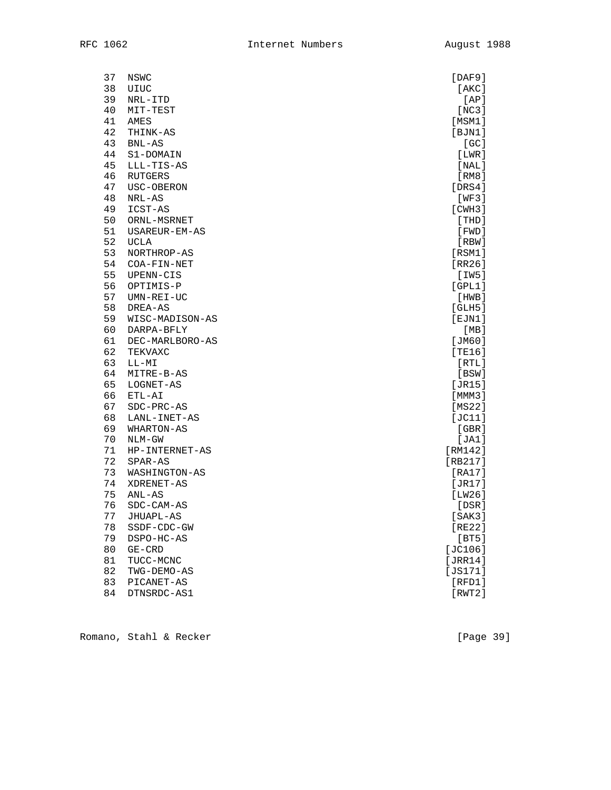| 37 | NSWC            | [DAF9]       |
|----|-----------------|--------------|
| 38 | UIUC            | [AKC]        |
| 39 | NRL-ITD         | [AP]         |
| 40 | MIT-TEST        | [NC3]        |
| 41 | AMES            | [MSM1]       |
| 42 | THINK-AS        | [BJN1]       |
| 43 | $BNL-AS$        | [GC]         |
| 44 | S1-DOMAIN       | [LMR]        |
| 45 | LLL-TIS-AS      | [NAL]        |
| 46 | RUTGERS         | [RM8]        |
| 47 | USC-OBERON      | [DRS4]       |
| 48 | NRL-AS          | [WF3]        |
| 49 | ICST-AS         | [CHH3]       |
| 50 | ORNL-MSRNET     | [THD]        |
| 51 | USAREUR-EM-AS   | [FWD]        |
| 52 | <b>UCLA</b>     | [RBW]        |
| 53 | NORTHROP-AS     | [RSM1]       |
| 54 | COA-FIN-NET     | [RR26]       |
| 55 | UPENN-CIS       | [IW5]        |
| 56 | OPTIMIS-P       | [GPL1]       |
| 57 | UMN-REI-UC      | [HWB]        |
| 58 | DREA-AS         | [GLH5]       |
| 59 | WISC-MADISON-AS | [EJN1]       |
| 60 | DARPA-BFLY      | [MB]         |
| 61 | DEC-MARLBORO-AS | [JM60]       |
| 62 | TEKVAXC         | [TE16]       |
| 63 | $LL-MI$         | [RTL]        |
| 64 | MITRE-B-AS      | [BSW]        |
| 65 | LOGNET-AS       | [JR15]       |
| 66 | ETL-AI          | [ MMM3 ]     |
| 67 | SDC-PRC-AS      | [MS22]       |
| 68 | LANL-INET-AS    | [JC11]       |
| 69 | WHARTON-AS      | [GBR]        |
| 70 | NLM-GW          | [JA1]        |
| 71 | HP-INTERNET-AS  | [RM142]      |
| 72 | SPAR-AS         | [RB217]      |
| 73 | WASHINGTON-AS   | [RA17]       |
| 74 | XDRENET-AS      | [JR17]       |
| 75 | ANL-AS          | [LW26]       |
| 76 | SDC-CAM-AS      | [DSR]        |
| 77 | JHUAPL-AS       | [SAK3]       |
| 78 | SSDF-CDC-GW     | [RE22]       |
| 79 | DSPO-HC-AS      | [BT5]        |
| 80 | $GE-CRD$        | $[JC106]$    |
| 81 | TUCC-MCNC       | [JRR14]      |
| 82 | TWG-DEMO-AS     | [ $JS171$ ]  |
| 83 | PICANET-AS      | $[$ RFD $1]$ |
| 84 | DTNSRDC-AS1     | [RWT2]       |
|    |                 |              |

Romano, Stahl & Recker [Page 39]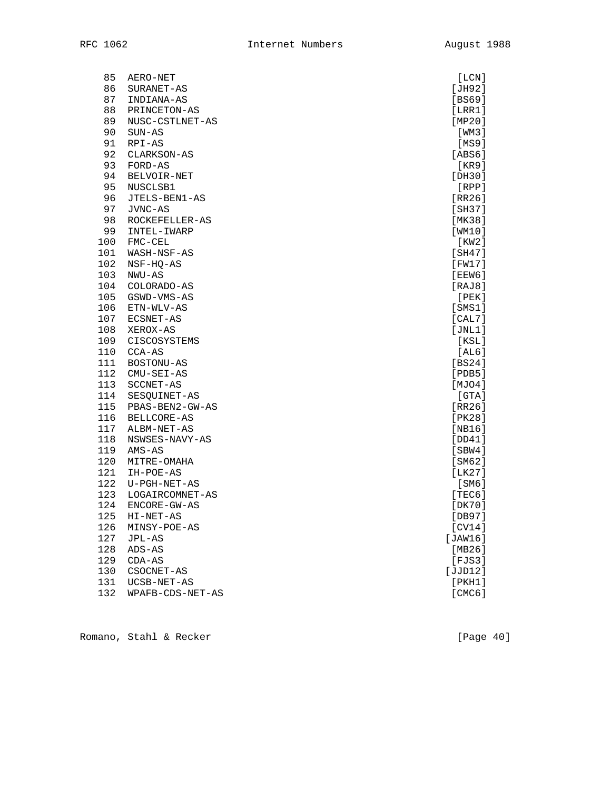| 85  | AERO-NET          | [LCN]        |
|-----|-------------------|--------------|
| 86  | SURANET-AS        | [JH92]       |
| 87  | INDIANA-AS        | [BS69]       |
| 88  | PRINCETON-AS      | [LRR1]       |
| 89  | NUSC-CSTLNET-AS   | [MP20]       |
| 90  | $SUN-AS$          | [WM3]        |
| 91  | $RPI-AS$          | [MS9]        |
| 92  | CLARKSON-AS       | [ABS6]       |
| 93  | FORD-AS           | [KR9]        |
| 94  | BELVOIR-NET       | [DH30]       |
| 95  | NUSCLSB1          | [RPP]        |
| 96  | JTELS-BEN1-AS     | [RR26]       |
| 97  | JVNC-AS           | [SH37]       |
| 98  | ROCKEFELLER-AS    | [MK38]       |
| 99  | INTEL-IWARP       | [WM10]       |
| 100 | FMC-CEL           | [KW2]        |
| 101 | WASH-NSF-AS       | [SH47]       |
| 102 | NSF-HQ-AS         | [FW17]       |
| 103 | NWU-AS            | [EEW6]       |
| 104 | COLORADO-AS       | [RAJ8]       |
| 105 | GSWD-VMS-AS       | [PEK]        |
| 106 | ETN-WLV-AS        | $[$ SMS $1]$ |
| 107 | ECSNET-AS         | [CAL7]       |
| 108 | XEROX-AS          | [JNL1]       |
| 109 | CISCOSYSTEMS      | [KSL]        |
| 110 | CCA-AS            | [AL6]        |
| 111 | <b>BOSTONU-AS</b> | [BS24]       |
| 112 | $CMU-SEI-AS$      | $[$ PDB5 $]$ |
| 113 | SCCNET-AS         | [MJ04]       |
| 114 | SESQUINET-AS      | [GTA]        |
| 115 | PBAS-BEN2-GW-AS   | [RR26]       |
| 116 | BELLCORE-AS       | [PK28]       |
| 117 | ALBM-NET-AS       | [NB16]       |
| 118 | NSWSES-NAVY-AS    | [DD41]       |
| 119 | $AMS-AS$          | [SBW4]       |
| 120 | MITRE-OMAHA       | [SM62]       |
| 121 | IH-POE-AS         | [LK27]       |
| 122 | U-PGH-NET-AS      | [SM6]        |
| 123 | LOGAIRCOMNET-AS   | [TEC6]       |
| 124 | ENCORE-GW-AS      | [DK70]       |
| 125 | HI-NET-AS         | [DB97]       |
| 126 | MINSY-POE-AS      | [CV14]       |
| 127 | JPL-AS            | [JAW16]      |
| 128 | ADS-AS            | [MB26]       |
| 129 | $CDA-AS$          | [FJS3]       |
| 130 | CSOCNET-AS        | [JJD12]      |
| 131 | UCSB-NET-AS       | [PKH1]       |
| 132 | WPAFB-CDS-NET-AS  | [CMC6]       |

Romano, Stahl & Recker [Page 40]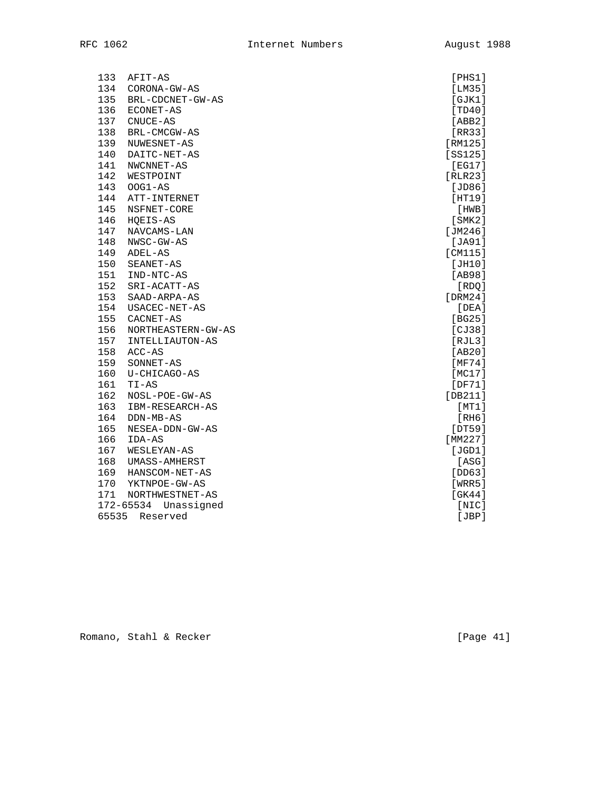| 133<br>AFIT-AS            | [PHS1]                       |
|---------------------------|------------------------------|
| 134<br>CORONA-GW-AS       | [LM35]                       |
| 135<br>BRL-CDCNET-GW-AS   | [GJK1]                       |
| 136<br>ECONET-AS          | [TD40]                       |
| 137<br>CNUCE-AS           | [ABB2]                       |
| 138<br>BRL-CMCGW-AS       | [RR33]                       |
| 139<br>NUWESNET-AS        | $[RM125]$                    |
| 140<br>DAITC-NET-AS       | [SS125]                      |
| 141<br>NWCNNET-AS         | [EG17]                       |
| 142<br>WESTPOINT          | [RLR23]                      |
| 143<br>$OOG1-AS$          | [JD86]                       |
| 144<br>ATT-INTERNET       | [HT19]                       |
| 145<br>NSFNET-CORE        | [HWB]                        |
| 146<br>HQEIS-AS           | [ <b>SMK2</b> ] <sub>2</sub> |
| 147<br>NAVCAMS-LAN        | [JM246]                      |
| 148<br>NWSC-GW-AS         | [JA91]                       |
| 149<br>ADEL-AS            | [CM115]                      |
| 150<br>SEANET-AS          | [JH10]                       |
| 151<br>IND-NTC-AS         | [AB98]                       |
| 152<br>SRI-ACATT-AS       | [RDQ]                        |
| 153<br>SAAD-ARPA-AS       | [DRM24]                      |
| 154<br>USACEC-NET-AS      | [DEA]                        |
| 155<br>CACNET-AS          | [BG25]                       |
| 156<br>NORTHEASTERN-GW-AS | [CI38]                       |
| 157<br>INTELLIAUTON-AS    | $[$ RJL $3]$                 |
| 158<br>$ACC-AS$           | [AB20]                       |
| 159<br>SONNET-AS          | [MF74]                       |
| 160<br>U-CHICAGO-AS       | [MC17]                       |
| 161<br>$TI-AS$            | [DF71]                       |
| 162<br>NOSL-POE-GW-AS     | [DB211]                      |
| 163<br>IBM-RESEARCH-AS    | [MT1]                        |
| 164<br>DDN-MB-AS          | [RH6]                        |
| 165<br>NESEA-DDN-GW-AS    | [DT59]                       |
| 166<br>IDA-AS             | [MM227]                      |
| 167<br>WESLEYAN-AS        | [JGD1]                       |
| 168<br>UMASS-AMHERST      | [ASG]                        |
| 169<br>HANSCOM-NET-AS     | [DD63]                       |
| 170<br>YKTNPOE-GW-AS      | [WRR5]                       |
| 171<br>NORTHWESTNET-AS    | [GK44]                       |
| 172-65534<br>Unassigned   | [NIC]                        |
| 65535<br>Reserved         | [JBP]                        |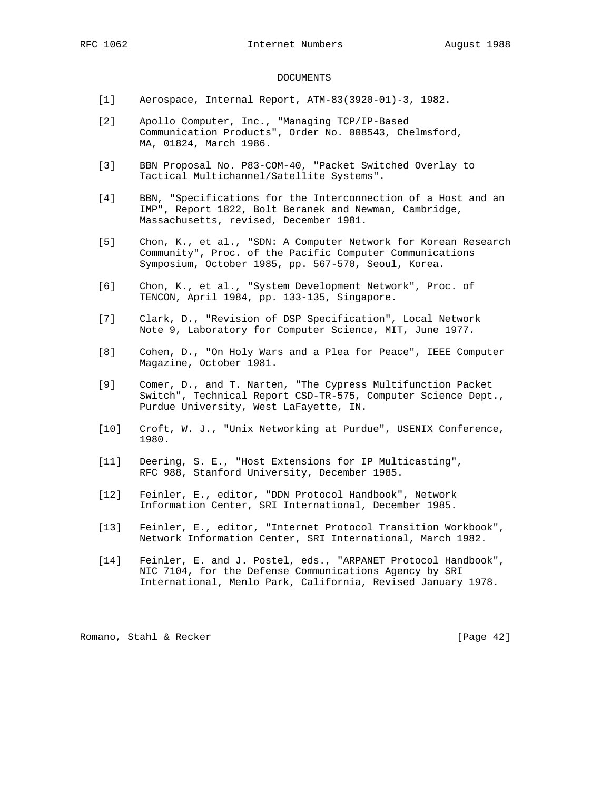### DOCUMENTS

- [1] Aerospace, Internal Report, ATM-83(3920-01)-3, 1982.
- [2] Apollo Computer, Inc., "Managing TCP/IP-Based Communication Products", Order No. 008543, Chelmsford, MA, 01824, March 1986.
- [3] BBN Proposal No. P83-COM-40, "Packet Switched Overlay to Tactical Multichannel/Satellite Systems".
- [4] BBN, "Specifications for the Interconnection of a Host and an IMP", Report 1822, Bolt Beranek and Newman, Cambridge, Massachusetts, revised, December 1981.
- [5] Chon, K., et al., "SDN: A Computer Network for Korean Research Community", Proc. of the Pacific Computer Communications Symposium, October 1985, pp. 567-570, Seoul, Korea.
- [6] Chon, K., et al., "System Development Network", Proc. of TENCON, April 1984, pp. 133-135, Singapore.
- [7] Clark, D., "Revision of DSP Specification", Local Network Note 9, Laboratory for Computer Science, MIT, June 1977.
- [8] Cohen, D., "On Holy Wars and a Plea for Peace", IEEE Computer Magazine, October 1981.
- [9] Comer, D., and T. Narten, "The Cypress Multifunction Packet Switch", Technical Report CSD-TR-575, Computer Science Dept., Purdue University, West LaFayette, IN.
- [10] Croft, W. J., "Unix Networking at Purdue", USENIX Conference, 1980.
- [11] Deering, S. E., "Host Extensions for IP Multicasting", RFC 988, Stanford University, December 1985.
- [12] Feinler, E., editor, "DDN Protocol Handbook", Network Information Center, SRI International, December 1985.
- [13] Feinler, E., editor, "Internet Protocol Transition Workbook", Network Information Center, SRI International, March 1982.
- [14] Feinler, E. and J. Postel, eds., "ARPANET Protocol Handbook", NIC 7104, for the Defense Communications Agency by SRI International, Menlo Park, California, Revised January 1978.

Romano, Stahl & Recker [Page 42]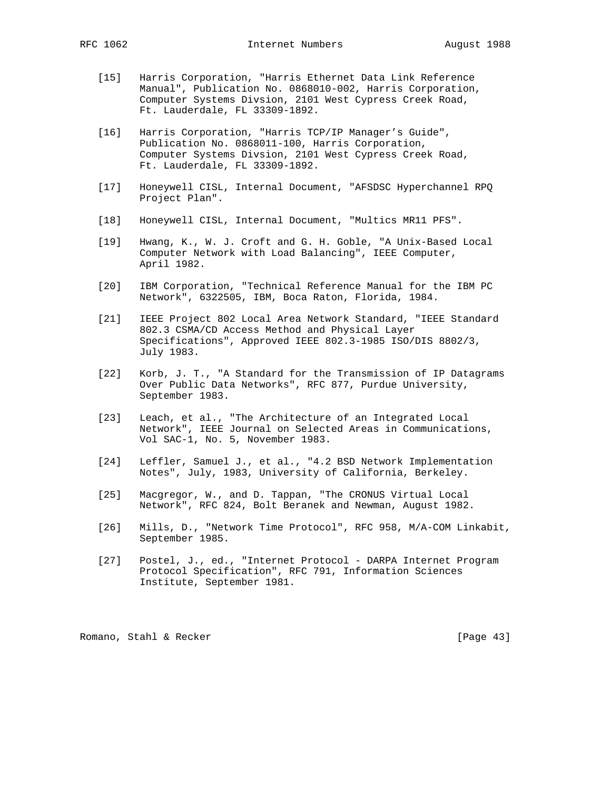- [15] Harris Corporation, "Harris Ethernet Data Link Reference Manual", Publication No. 0868010-002, Harris Corporation, Computer Systems Divsion, 2101 West Cypress Creek Road, Ft. Lauderdale, FL 33309-1892.
- [16] Harris Corporation, "Harris TCP/IP Manager's Guide", Publication No. 0868011-100, Harris Corporation, Computer Systems Divsion, 2101 West Cypress Creek Road, Ft. Lauderdale, FL 33309-1892.
- [17] Honeywell CISL, Internal Document, "AFSDSC Hyperchannel RPQ Project Plan".
- [18] Honeywell CISL, Internal Document, "Multics MR11 PFS".
- [19] Hwang, K., W. J. Croft and G. H. Goble, "A Unix-Based Local Computer Network with Load Balancing", IEEE Computer, April 1982.
- [20] IBM Corporation, "Technical Reference Manual for the IBM PC Network", 6322505, IBM, Boca Raton, Florida, 1984.
- [21] IEEE Project 802 Local Area Network Standard, "IEEE Standard 802.3 CSMA/CD Access Method and Physical Layer Specifications", Approved IEEE 802.3-1985 ISO/DIS 8802/3, July 1983.
- [22] Korb, J. T., "A Standard for the Transmission of IP Datagrams Over Public Data Networks", RFC 877, Purdue University, September 1983.
- [23] Leach, et al., "The Architecture of an Integrated Local Network", IEEE Journal on Selected Areas in Communications, Vol SAC-1, No. 5, November 1983.
- [24] Leffler, Samuel J., et al., "4.2 BSD Network Implementation Notes", July, 1983, University of California, Berkeley.
- [25] Macgregor, W., and D. Tappan, "The CRONUS Virtual Local Network", RFC 824, Bolt Beranek and Newman, August 1982.
- [26] Mills, D., "Network Time Protocol", RFC 958, M/A-COM Linkabit, September 1985.
- [27] Postel, J., ed., "Internet Protocol DARPA Internet Program Protocol Specification", RFC 791, Information Sciences Institute, September 1981.

Romano, Stahl & Recker [Page 43]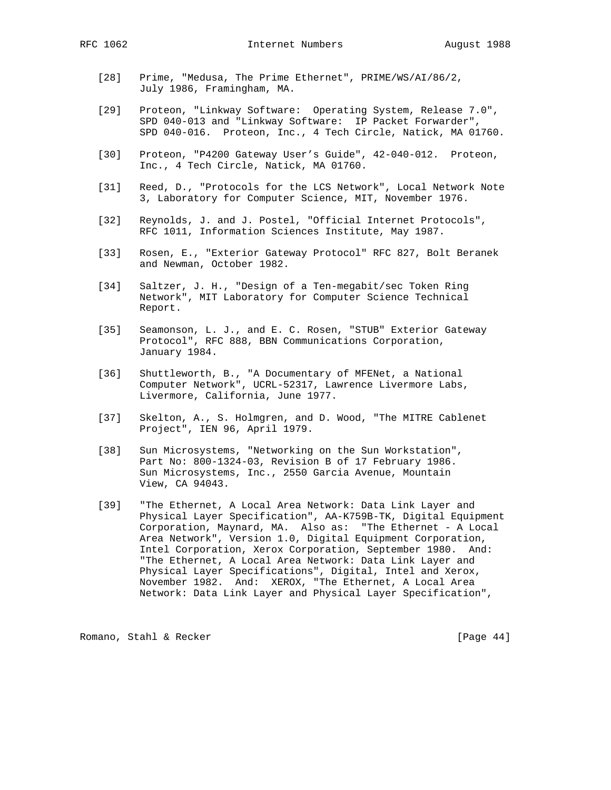- [28] Prime, "Medusa, The Prime Ethernet", PRIME/WS/AI/86/2, July 1986, Framingham, MA.
- [29] Proteon, "Linkway Software: Operating System, Release 7.0", SPD 040-013 and "Linkway Software: IP Packet Forwarder", SPD 040-016. Proteon, Inc., 4 Tech Circle, Natick, MA 01760.
- [30] Proteon, "P4200 Gateway User's Guide", 42-040-012. Proteon, Inc., 4 Tech Circle, Natick, MA 01760.
- [31] Reed, D., "Protocols for the LCS Network", Local Network Note 3, Laboratory for Computer Science, MIT, November 1976.
- [32] Reynolds, J. and J. Postel, "Official Internet Protocols", RFC 1011, Information Sciences Institute, May 1987.
- [33] Rosen, E., "Exterior Gateway Protocol" RFC 827, Bolt Beranek and Newman, October 1982.
- [34] Saltzer, J. H., "Design of a Ten-megabit/sec Token Ring Network", MIT Laboratory for Computer Science Technical Report.
- [35] Seamonson, L. J., and E. C. Rosen, "STUB" Exterior Gateway Protocol", RFC 888, BBN Communications Corporation, January 1984.
- [36] Shuttleworth, B., "A Documentary of MFENet, a National Computer Network", UCRL-52317, Lawrence Livermore Labs, Livermore, California, June 1977.
	- [37] Skelton, A., S. Holmgren, and D. Wood, "The MITRE Cablenet Project", IEN 96, April 1979.
	- [38] Sun Microsystems, "Networking on the Sun Workstation", Part No: 800-1324-03, Revision B of 17 February 1986. Sun Microsystems, Inc., 2550 Garcia Avenue, Mountain View, CA 94043.
	- [39] "The Ethernet, A Local Area Network: Data Link Layer and Physical Layer Specification", AA-K759B-TK, Digital Equipment Corporation, Maynard, MA. Also as: "The Ethernet - A Local Area Network", Version 1.0, Digital Equipment Corporation, Intel Corporation, Xerox Corporation, September 1980. And: "The Ethernet, A Local Area Network: Data Link Layer and Physical Layer Specifications", Digital, Intel and Xerox, November 1982. And: XEROX, "The Ethernet, A Local Area Network: Data Link Layer and Physical Layer Specification",

Romano, Stahl & Recker [Page 44]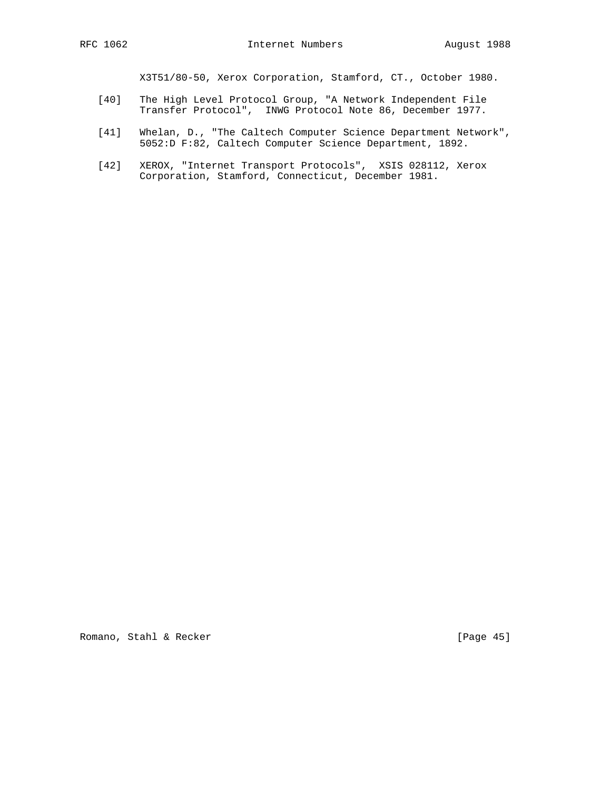X3T51/80-50, Xerox Corporation, Stamford, CT., October 1980.

- [40] The High Level Protocol Group, "A Network Independent File Transfer Protocol", INWG Protocol Note 86, December 1977.
- [41] Whelan, D., "The Caltech Computer Science Department Network", 5052:D F:82, Caltech Computer Science Department, 1892.
- [42] XEROX, "Internet Transport Protocols", XSIS 028112, Xerox Corporation, Stamford, Connecticut, December 1981.

Romano, Stahl & Recker [Page 45]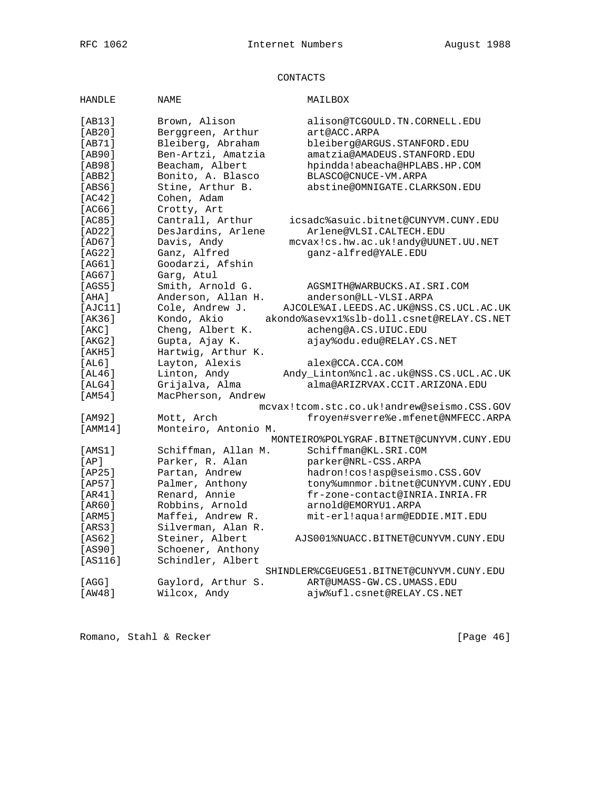# CONTACTS

| <b>HANDLE</b> | <b>NAME</b>          | MAILBOX                                     |
|---------------|----------------------|---------------------------------------------|
| [AB13]        | Brown, Alison        | alison@TCGOULD.TN.CORNELL.EDU               |
| [AB20]        | Berggreen, Arthur    | art@ACC.ARPA                                |
| [AB71]        | Bleiberg, Abraham    | bleiberg@ARGUS.STANFORD.EDU                 |
| [AB90]        | Ben-Artzi, Amatzia   | amatzia@AMADEUS.STANFORD.EDU                |
| [AB98]        | Beacham, Albert      | hpindda!abeacha@HPLABS.HP.COM               |
| [ABB2]        | Bonito, A. Blasco    | BLASCO@CNUCE-VM.ARPA                        |
| [ABS6]        | Stine, Arthur B.     | abstine@OMNIGATE.CLARKSON.EDU               |
| [AC42]        | Cohen, Adam          |                                             |
| [AC66]        | Crotty, Art          |                                             |
| [AC85]        | Cantrall, Arthur     | icsadc%asuic.bitnet@CUNYVM.CUNY.EDU         |
| [AD22]        | DesJardins, Arlene   | Arlene@VLSI.CALTECH.EDU                     |
| [AD67]        | Davis, Andy          | mcvax!cs.hw.ac.uk!andy@UUNET.UU.NET         |
| [AG22]        | Ganz, Alfred         | qanz-alfred@YALE.EDU                        |
| [AG61]        | Goodarzi, Afshin     |                                             |
| [AG67]        | Garg, Atul           |                                             |
| [AGS5]        | Smith, Arnold G.     | AGSMITH@WARBUCKS.AI.SRI.COM                 |
| [AHA]         | Anderson, Allan H.   | anderson@LL-VLSI.ARPA                       |
| [AJC11]       | Cole, Andrew J.      | AJCOLE & AI.LEEDS. AC.UK@NSS. CS.UCL. AC.UK |
| [AK36]        | Kondo, Akio          | akondo%asevx1%slb-doll.csnet@RELAY.CS.NET   |
| [AKC]         | Cheng, Albert K.     | acheng@A.CS.UIUC.EDU                        |
| [AKG2]        | Gupta, Ajay K.       | ajay%odu.edu@RELAY.CS.NET                   |
| [AKH5]        | Hartwig, Arthur K.   |                                             |
| [AL6]         | Layton, Alexis       | alex@CCA.CCA.COM                            |
| [AL46]        | Linton, Andy         | Andy_Linton%ncl.ac.uk@NSS.CS.UCL.AC.UK      |
| [ALG4]        | Grijalva, Alma       | alma@ARIZRVAX.CCIT.ARIZONA.EDU              |
| [AM54]        | MacPherson, Andrew   |                                             |
|               |                      | mcvax!tcom.stc.co.uk!andrew@seismo.CSS.GOV  |
| [AM92]        | Mott, Arch           | froyen#sverre%e.mfenet@NMFECC.ARPA          |
| MM14          | Monteiro, Antonio M. |                                             |
|               |                      | MONTEIRO%POLYGRAF.BITNET@CUNYVM.CUNY.EDU    |
| [AMS1]        | Schiffman, Allan M.  | Schiffman@KL.SRI.COM                        |
| [AP]          | Parker, R. Alan      | parker@NRL-CSS.ARPA                         |
| [AP25]        | Partan, Andrew       | hadron!cos!asp@seismo.CSS.GOV               |
| [AP57]        | Palmer, Anthony      | tony%umnmor.bitnet@CUNYVM.CUNY.EDU          |
| [AR41]        | Renard, Annie        | fr-zone-contact@INRIA.INRIA.FR              |
| [AR60]        | Robbins, Arnold      | arnold@EMORYU1.ARPA                         |
| [ARM5]        | Maffei, Andrew R.    | mit-erl!aqua!arm@EDDIE.MIT.EDU              |
| [ARS3]        | Silverman, Alan R.   |                                             |
| [AS62]        | Steiner, Albert      | AJS001%NUACC.BITNET@CUNYVM.CUNY.EDU         |
| [AS90]        | Schoener, Anthony    |                                             |
| [AS116]       | Schindler, Albert    |                                             |
|               |                      | SHINDLER%CGEUGE51.BITNET@CUNYVM.CUNY.EDU    |
| [AGG]         | Gaylord, Arthur S.   | ART@UMASS-GW.CS.UMASS.EDU                   |
| [AW48]        | Wilcox, Andy         | ajw%ufl.csnet@RELAY.CS.NET                  |

Romano, Stahl & Recker [Page 46]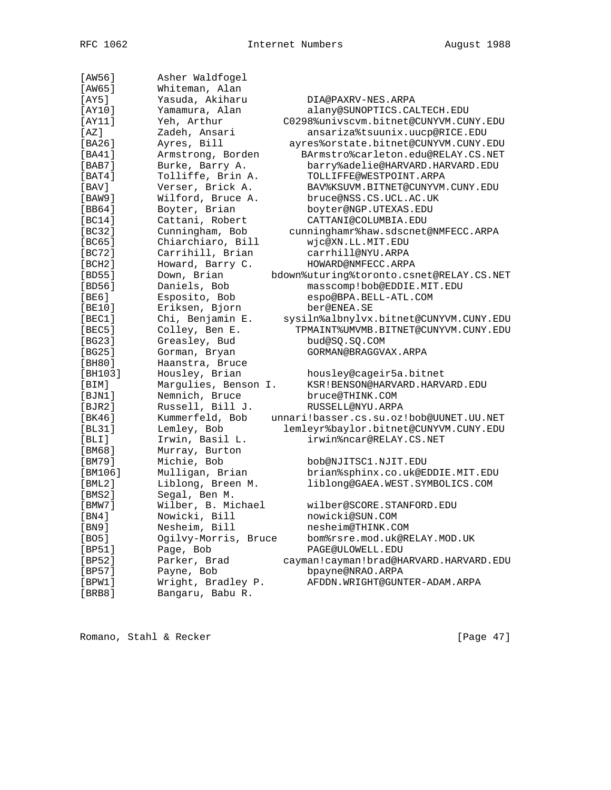| [AW56]<br>[AW65] | Asher Waldfogel<br>Whiteman, Alan |                                          |
|------------------|-----------------------------------|------------------------------------------|
|                  |                                   |                                          |
| [AY5]            | Yasuda, Akiharu                   | DIA@PAXRV-NES.ARPA                       |
| [AY10]           | Yamamura, Alan                    | alany@SUNOPTICS.CALTECH.EDU              |
| [AY11]           | Yeh, Arthur                       | C0298%univscvm.bitnet@CUNYVM.CUNY.EDU    |
| [AZ]             | Zadeh, Ansari                     | ansariza%tsuunix.uucp@RICE.EDU           |
| [BA26]           | Ayres, Bill                       | ayres%orstate.bitnet@CUNYVM.CUNY.EDU     |
| [BA41]           | Armstrong, Borden                 | BArmstro%carleton.edu@RELAY.CS.NET       |
| [BAB7]           | Burke, Barry A.                   | barry%adelie@HARVARD.HARVARD.EDU         |
| [BAT4]           | Tolliffe, Brin A.                 | TOLLIFFE@WESTPOINT.ARPA                  |
| [BAV]            | Verser, Brick A.                  | BAV%KSUVM.BITNET@CUNYVM.CUNY.EDU         |
| [BAW9]           | Wilford, Bruce A.                 | bruce@NSS.CS.UCL.AC.UK                   |
| [BB64]           | Boyter, Brian                     | boyter@NGP.UTEXAS.EDU                    |
| [BC14]           | Cattani, Robert                   | CATTANI@COLUMBIA.EDU                     |
| [BC32]           | Cunningham, Bob                   | cunninghamr%haw.sdscnet@NMFECC.ARPA      |
| [BC65]           | Chiarchiaro, Bill                 | wjc@XN.LL.MIT.EDU                        |
| [BC72]           | Carrihill, Brian                  | carrhill@NYU.ARPA                        |
| [BCH2]           | Howard, Barry C.                  | HOWARD@NMFECC.ARPA                       |
| [BD55]           | Down, Brian                       | bdown%uturing%toronto.csnet@RELAY.CS.NET |
| [BD56]           | Daniels, Bob                      | masscomp!bob@EDDIE.MIT.EDU               |
| [BE6]            | Esposito, Bob                     | espo@BPA.BELL-ATL.COM                    |
| [BE10]           | Eriksen, Bjorn                    | ber@ENEA.SE                              |
| [BEC1]           | Chi, Benjamin E.                  | sysiln%albnylvx.bitnet@CUNYVM.CUNY.EDU   |
| [BEC5]           | Colley, Ben E.                    | TPMAINT%UMVMB.BITNET@CUNYVM.CUNY.EDU     |
| [BG23]           | Greasley, Bud                     | bud@SQ.SQ.COM                            |
| [BG25]           | Gorman, Bryan                     | GORMAN@BRAGGVAX.ARPA                     |
| [BH80]           | Haanstra, Bruce                   |                                          |
| [BH103]          | Housley, Brian                    | housley@cageir5a.bitnet                  |
| [BIM]            | Margulies, Benson I.              | KSR!BENSON@HARVARD.HARVARD.EDU           |
| [BJN1]           | Nemnich, Bruce                    | bruce@THINK.COM                          |
| [BJR2]           | Russell, Bill J.                  | RUSSELL@NYU.ARPA                         |
| [BK46]           | Kummerfeld, Bob                   | unnari!basser.cs.su.oz!bob@UUNET.UU.NET  |
| [BL31]           | Lemley, Bob                       | lemleyr%baylor.bitnet@CUNYVM.CUNY.EDU    |
| [BLI]            | Irwin, Basil L.                   | irwin%ncar@RELAY.CS.NET                  |
| [BM68]           | Murray, Burton                    |                                          |
| [BM79]           | Michie, Bob                       | bob@NJITSC1.NJIT.EDU                     |
| [BM106]          | Mulligan, Brian                   | brian%sphinx.co.uk@EDDIE.MIT.EDU         |
| [BML2]           | Liblong, Breen M.                 | liblong@GAEA.WEST.SYMBOLICS.COM          |
| [BMS2]           | Segal, Ben M.                     |                                          |
| [BMW7]           | Wilber, B. Michael                | wilber@SCORE.STANFORD.EDU                |
| [BN4]            | Nowicki, Bill                     | nowicki@SUN.COM                          |
| [BN9]            | Nesheim, Bill                     | nesheim@THINK.COM                        |
| [BO5]            | Ogilvy-Morris, Bruce              | bom%rsre.mod.uk@RELAY.MOD.UK             |
| [BP51]           | Page, Bob                         | PAGE@ULOWELL.EDU                         |
| [BP52]           | Parker, Brad                      | cayman!cayman!brad@HARVARD.HARVARD.EDU   |
| [BP57]           | Payne, Bob                        | bpayne@NRAO.ARPA                         |
| [BPW1]           | Wright, Bradley P.                | AFDDN.WRIGHT@GUNTER-ADAM.ARPA            |
| [BRB8]           | Bangaru, Babu R.                  |                                          |
|                  |                                   |                                          |

Romano, Stahl & Recker [Page 47]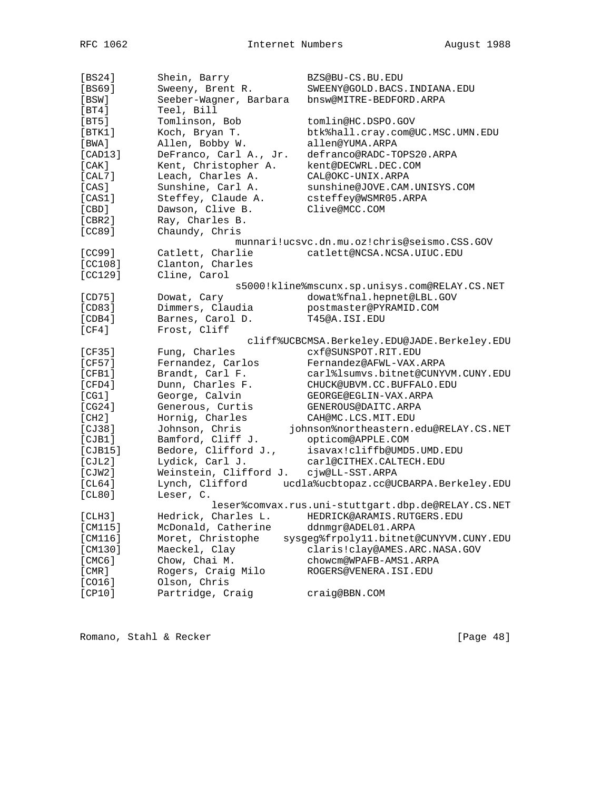| [BS24]  | Shein, Barry           | BZS@BU-CS.BU.EDU                                   |
|---------|------------------------|----------------------------------------------------|
| [BS69]  | Sweeny, Brent R.       | SWEENY@GOLD.BACS.INDIANA.EDU                       |
| [BSW]   | Seeber-Wagner, Barbara | bnsw@MITRE-BEDFORD.ARPA                            |
| [BT4]   | Teel, Bill             |                                                    |
| [BT5]   | Tomlinson, Bob         | tomlin@HC.DSPO.GOV                                 |
| [BTK1]  | Koch, Bryan T.         | btk%hall.cray.com@UC.MSC.UMN.EDU                   |
| [BWA]   | Allen, Bobby W.        | allen@YUMA.ARPA                                    |
| [CAD13] | DeFranco, Carl A., Jr. | defranco@RADC-TOPS20.ARPA                          |
| [CAK]   | Kent, Christopher A.   | kent@DECWRL.DEC.COM                                |
| [CAL7]  | Leach, Charles A.      | CAL@OKC-UNIX.ARPA                                  |
| [CAS]   | Sunshine, Carl A.      | sunshine@JOVE.CAM.UNISYS.COM                       |
| [CAS1]  | Steffey, Claude A.     | csteffey@WSMR05.ARPA                               |
| [CBD]   | Dawson, Clive B.       | Clive@MCC.COM                                      |
| [CBR2]  | Ray, Charles B.        |                                                    |
| [CC89]  | Chaundy, Chris         |                                                    |
|         |                        | munnari!ucsvc.dn.mu.oz!chris@seismo.CSS.GOV        |
| [CC99]  | Catlett, Charlie       | catlett@NCSA.NCSA.UIUC.EDU                         |
| [CC108] | Clanton, Charles       |                                                    |
| [CC129] | Cline, Carol           |                                                    |
|         |                        | s5000!kline%mscunx.sp.unisys.com@RELAY.CS.NET      |
| [CD75]  | Dowat, Cary            | dowat%fnal.hepnet@LBL.GOV                          |
| [CD83]  | Dimmers, Claudia       | postmaster@PYRAMID.COM                             |
| [CDB4]  | Barnes, Carol D.       | T45@A.ISI.EDU                                      |
| [CF4]   | Frost, Cliff           |                                                    |
|         |                        | cliff%UCBCMSA.Berkeley.EDU@JADE.Berkeley.EDU       |
| [CF35]  | Fung, Charles          | cxf@SUNSPOT.RIT.EDU                                |
| [CF57]  | Fernandez, Carlos      | Fernandez@AFWL-VAX.ARPA                            |
| [CFB1]  | Brandt, Carl F.        | carl%lsumvs.bitnet@CUNYVM.CUNY.EDU                 |
| [CFD4]  | Dunn, Charles F.       | CHUCK@UBVM.CC.BUFFALO.EDU                          |
| [CG1]   | George, Calvin         | GEORGE@EGLIN-VAX.ARPA                              |
| [CG24]  | Generous, Curtis       | GENEROUS@DAITC.ARPA                                |
| [CH2]   | Hornig, Charles        | CAH@MC.LCS.MIT.EDU                                 |
| [CI38]  | Johnson, Chris         | johnson%northeastern.edu@RELAY.CS.NET              |
| [CIB1]  | Bamford, Cliff J.      | opticom@APPLE.COM                                  |
| [CIB15] | Bedore, Clifford J.,   | isavax!cliffb@UMD5.UMD.EDU                         |
| [CIL2]  | Lydick, Carl J.        | carl@CITHEX.CALTECH.EDU                            |
| [CIW2]  | Weinstein, Clifford J. | cjw@LL-SST.ARPA                                    |
| [CL64]  | Lynch, Clifford        | ucdla%ucbtopaz.cc@UCBARPA.Berkeley.EDU             |
| [CL80]  | Leser, C.              |                                                    |
|         |                        | leser%comvax.rus.uni-stuttgart.dbp.de@RELAY.CS.NET |
| [CLH3]  | Hedrick, Charles L.    | HEDRICK@ARAMIS.RUTGERS.EDU                         |
| [CM115] | McDonald, Catherine    | ddnmqr@ADEL01.ARPA                                 |
| [CM116] | Moret, Christophe      | sysgeg%frpoly11.bitnet@CUNYVM.CUNY.EDU             |
| [CM130] | Maeckel, Clay          | claris!clay@AMES.ARC.NASA.GOV                      |
| [CMC6]  | Chow, Chai M.          | chowcm@WPAFB-AMS1.ARPA                             |
| [CMR]   | Rogers, Craig Milo     | ROGERS@VENERA.ISI.EDU                              |
| [CO16]  | Olson, Chris           |                                                    |
| [CP10]  | Partridge, Craig       | craig@BBN.COM                                      |
|         |                        |                                                    |

Romano, Stahl & Recker [Page 48]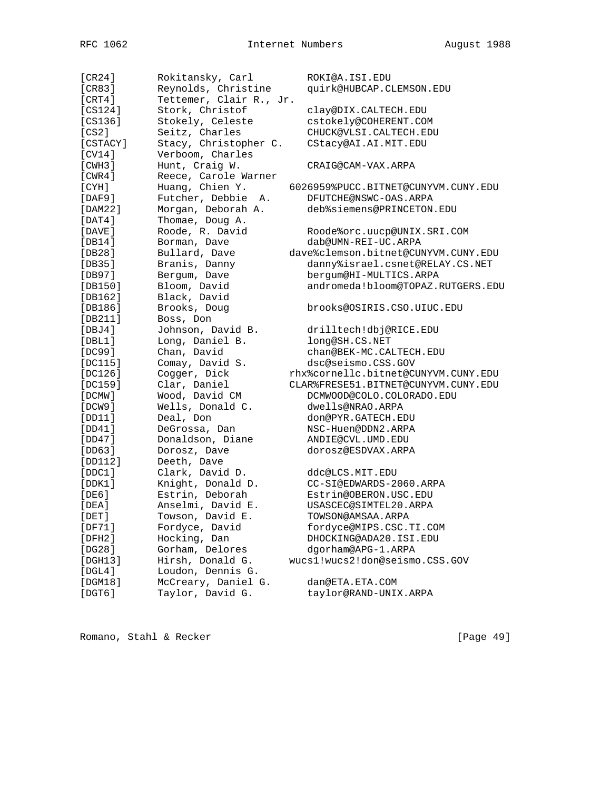| [CR24]        | Rokitansky, Carl        | ROKI@A.ISI.EDU                      |
|---------------|-------------------------|-------------------------------------|
| [CR83]        | Reynolds, Christine     | quirk@HUBCAP.CLEMSON.EDU            |
| [CRT4]        | Tettemer, Clair R., Jr. |                                     |
| [CS124]       | Stork, Christof         | clay@DIX.CALTECH.EDU                |
| [CS136]       | Stokely, Celeste        | cstokely@COHERENT.COM               |
| [CS2]         | Seitz, Charles          | CHUCK@VLSI.CALTECH.EDU              |
| [CSTACY]      | Stacy, Christopher C.   | CStacy@AI.AI.MIT.EDU                |
| [CV14]        | Verboom, Charles        |                                     |
| [CHH3]        | Hunt, Craig W.          | CRAIG@CAM-VAX.ARPA                  |
| [CWR4]        | Reece, Carole Warner    |                                     |
| [CYH]         | Huang, Chien Y.         | 6026959%PUCC.BITNET@CUNYVM.CUNY.EDU |
| [DAF9]        | Futcher, Debbie<br>Α.   | DFUTCHE@NSWC-OAS.ARPA               |
| [DAM22]       | Morgan, Deborah A.      | deb%siemens@PRINCETON.EDU           |
| $[$ DAT $4$ ] | Thomae, Doug A.         |                                     |
| [DAVE]        | Roode, R. David         | Roode%orc.uucp@UNIX.SRI.COM         |
| [DB14]        | Borman, Dave            | dab@UMN-REI-UC.ARPA                 |
| [DB28]        | Bullard, Dave           | dave%clemson.bitnet@CUNYVM.CUNY.EDU |
| [DB35]        | Branis, Danny           | danny%israel.csnet@RELAY.CS.NET     |
| [DB97]        | Bergum, Dave            | bergum@HI-MULTICS.ARPA              |
| [DB150]       | Bloom, David            | andromeda!bloom@TOPAZ.RUTGERS.EDU   |
| [DB162]       | Black, David            |                                     |
| [DB186]       | Brooks, Doug            | brooks@OSIRIS.CSO.UIUC.EDU          |
| [DB211]       | Boss, Don               |                                     |
| [DBJ4]        | Johnson, David B.       | drilltech!dbj@RICE.EDU              |
| [DBL1]        | Long, Daniel B.         | long@SH.CS.NET                      |
| [DC99]        | Chan, David             | chan@BEK-MC.CALTECH.EDU             |
| [DC115]       | Comay, David S.         | dsc@seismo.CSS.GOV                  |
| [DC126]       | Cogger, Dick            | rhx%cornellc.bitnet@CUNYVM.CUNY.EDU |
| [DC159]       | Clar, Daniel            | CLAR%FRESE51.BITNET@CUNYVM.CUNY.EDU |
| [DCMW]        | Wood, David CM          | DCMWOOD@COLO.COLORADO.EDU           |
| [DCW9]        | Wells, Donald C.        | dwells@NRAO.ARPA                    |
| [DD11]        | Deal, Don               | don@PYR.GATECH.EDU                  |
| [DD41]        | DeGrossa, Dan           | NSC-Huen@DDN2.ARPA                  |
| [DD47]        | Donaldson, Diane        | ANDIE@CVL.UMD.EDU                   |
| [DD63]        | Dorosz, Dave            | dorosz@ESDVAX.ARPA                  |
| [DD112]       | Deeth, Dave             |                                     |
| [DDC1]        | Clark, David D.         | ddc@LCS.MIT.EDU                     |
| [DDK1]        | Knight, Donald D.       | CC-SI@EDWARDS-2060.ARPA             |
| [DE6]         | Estrin, Deborah         | Estrin@OBERON.USC.EDU               |
| [DEA]         | Anselmi, David E.       | USASCEC@SIMTEL20.ARPA               |
| $[$ DET $]$   | Towson, David E.        | TOWSON@AMSAA.ARPA                   |
| [DF71]        | Fordyce, David          | fordyce@MIPS.CSC.TI.COM             |
| [DFH2]        | Hocking, Dan            | DHOCKING@ADA20.ISI.EDU              |
| [DG28]        | Gorham, Delores         | dgorham@APG-1.ARPA                  |
| [DA13]        | Hirsh, Donald G.        | wucs1!wucs2!don@seismo.CSS.GOV      |
| $[$ DGL4 $]$  | Loudon, Dennis G.       |                                     |
| [DGM18]       | McCreary, Daniel G.     | dan@ETA.ETA.COM                     |
| $[$ DGT $6$ ] | Taylor, David G.        | taylor@RAND-UNIX.ARPA               |

Romano, Stahl & Recker [Page 49]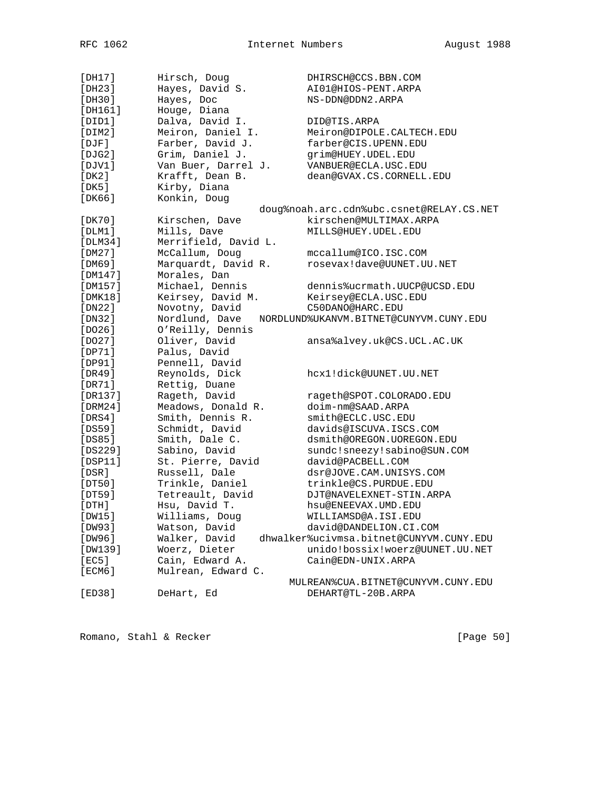| [DH17]        | Hirsch, Doug         | DHIRSCH@CCS.BBN.COM                      |
|---------------|----------------------|------------------------------------------|
| [DH23]        | Hayes, David S.      | AI01@HIOS-PENT.ARPA                      |
| [DH30]        | Hayes, Doc           | NS-DDN@DDN2.ARPA                         |
| [DH161]       | Houge, Diana         |                                          |
| [DIDI]        | Dalva, David I.      | DID@TIS.ARPA                             |
| [DIM2]        | Meiron, Daniel I.    | Meiron@DIPOLE.CALTECH.EDU                |
| $[$ $DJF]$    | Farber, David J.     | farber@CIS.UPENN.EDU                     |
| [DJG2]        | Grim, Daniel J.      | qrim@HUEY.UDEL.EDU                       |
| [DJV1]        | Van Buer, Darrel J.  | VANBUER@ECLA.USC.EDU                     |
| [DK2]         | Krafft, Dean B.      | dean@GVAX.CS.CORNELL.EDU                 |
| [DK5]         | Kirby, Diana         |                                          |
| [DK66]        | Konkin, Doug         |                                          |
|               |                      | doug%noah.arc.cdn%ubc.csnet@RELAY.CS.NET |
| [DK70]        | Kirschen, Dave       | kirschen@MULTIMAX.ARPA                   |
| [DIM1]        | Mills, Dave          | MILLS@HUEY.UDEL.EDU                      |
|               |                      |                                          |
| [DLM34]       | Merrifield, David L. |                                          |
| [DM27]        | McCallum, Doug       | mccallum@ICO.ISC.COM                     |
| [DM69]        | Marquardt, David R.  | rosevax!dave@UUNET.UU.NET                |
| [DM147]       | Morales, Dan         |                                          |
| [DM157]       | Michael, Dennis      | dennis%ucrmath.UUCP@UCSD.EDU             |
| [DMK18]       | Keirsey, David M.    | Keirsey@ECLA.USC.EDU                     |
| [DN22]        | Novotny, David       | C50DANO@HARC.EDU                         |
| [DN32]        | Nordlund, Dave       | NORDLUND%UKANVM.BITNET@CUNYVM.CUNY.EDU   |
| [DO26]        | O'Reilly, Dennis     |                                          |
| [DO27]        | Oliver, David        | ansa%alvey.uk@CS.UCL.AC.UK               |
| [DP71]        | Palus, David         |                                          |
| [DP91]        | Pennell, David       |                                          |
| [DR49]        | Reynolds, Dick       | hcx1!dick@UUNET.UU.NET                   |
| [DR71]        | Rettig, Duane        |                                          |
| [DR137]       | Rageth, David        | rageth@SPOT.COLORADO.EDU                 |
| [DRM24]       | Meadows, Donald R.   | doim-nm@SAAD.ARPA                        |
| [DRS4]        | Smith, Dennis R.     | smith@ECLC.USC.EDU                       |
| [DS59]        | Schmidt, David       | davids@ISCUVA.ISCS.COM                   |
| [DS85]        | Smith, Dale C.       | dsmith@OREGON.UOREGON.EDU                |
| [DS229]       | Sabino, David        | sundc!sneezy!sabino@SUN.COM              |
| $[$ DSP11 $]$ | St. Pierre, David    | david@PACBELL.COM                        |
| [DSR]         | Russell, Dale        | dsr@JOVE.CAM.UNISYS.COM                  |
| [DT50]        | Trinkle, Daniel      | trinkle@CS.PURDUE.EDU                    |
| [DT59]        | Tetreault, David     | DJT@NAVELEXNET-STIN.ARPA                 |
| [DTH]         | Hsu, David T.        | hsu@ENEEVAX.UMD.EDU                      |
| [DW15]        | Williams, Doug       | WILLIAMSD@A.ISI.EDU                      |
| [DW93]        | Watson, David        | david@DANDELION.CI.COM                   |
| [DW96]        | Walker, David        | dhwalker%ucivmsa.bitnet@CUNYVM.CUNY.EDU  |
| [DW139]       | Woerz, Dieter        | unido!bossix!woerz@UUNET.UU.NET          |
| [EC5]         | Cain, Edward A.      | Cain@EDN-UNIX.ARPA                       |
| [ECM6]        | Mulrean, Edward C.   |                                          |
|               |                      | MULREAN%CUA.BITNET@CUNYVM.CUNY.EDU       |
| [ED38]        | DeHart, Ed           | DEHART@TL-20B.ARPA                       |
|               |                      |                                          |

Romano, Stahl & Recker [Page 50]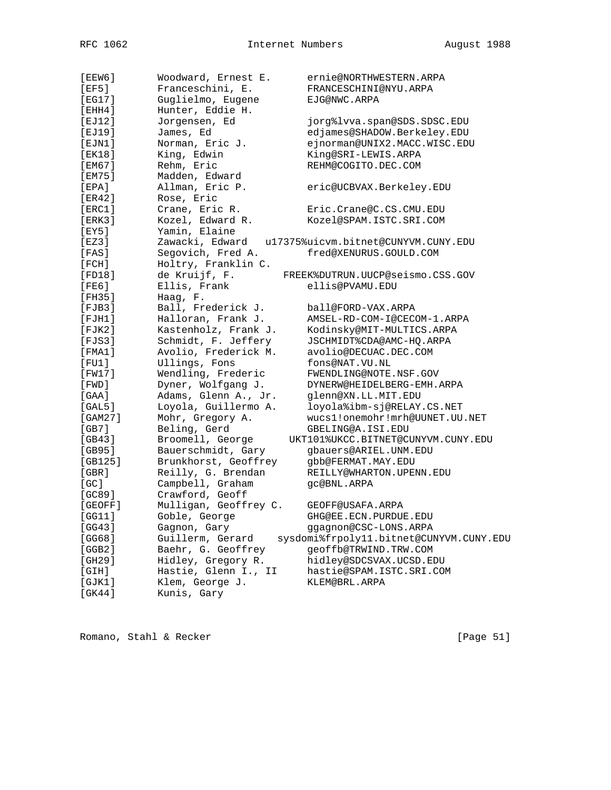| [EEW6]          | Woodward, Ernest E.   | ernie@NORTHWESTERN.ARPA                 |
|-----------------|-----------------------|-----------------------------------------|
| [EF5]           | Franceschini, E.      | FRANCESCHINI@NYU.ARPA                   |
| [EG17]          | Guglielmo, Eugene     | EJG@NWC.ARPA                            |
| [EHH4]          | Hunter, Eddie H.      |                                         |
| [EJ12]          | Jorgensen, Ed         | jorg%lvva.span@SDS.SDSC.EDU             |
| [EJ19]          | James, Ed             | edjames@SHADOW.Berkeley.EDU             |
| $[$ EJN1 $]$    | Norman, Eric J.       | ejnorman@UNIX2.MACC.WISC.EDU            |
| [EK18]          | King, Edwin           | King@SRI-LEWIS.ARPA                     |
| [EM67]          | Rehm, Eric            | REHM@COGITO.DEC.COM                     |
| [EM75]          | Madden, Edward        |                                         |
| [EPA]           | Allman, Eric P.       | eric@UCBVAX.Berkeley.EDU                |
| [ER42]          | Rose, Eric            |                                         |
| [ERC1]          | Crane, Eric R.        | Eric.Crane@C.CS.CMU.EDU                 |
| [ERK3]          | Kozel, Edward R.      | Kozel@SPAM.ISTC.SRI.COM                 |
| [EY5]           | Yamin, Elaine         |                                         |
| [EZ3]           | Zawacki, Edward       | u17375%uicvm.bitnet@CUNYVM.CUNY.EDU     |
| [FAS]           | Segovich, Fred A.     | fred@XENURUS.GOULD.COM                  |
| [FCH]           | Holtry, Franklin C.   |                                         |
| [FD18]          | de Kruijf, F.         | FREEK%DUTRUN.UUCP@seismo.CSS.GOV        |
| [FE6]           | Ellis, Frank          | ellis@PVAMU.EDU                         |
| [FH35]          | Haag, F.              |                                         |
| $[$ FJB $3$ ]   | Ball, Frederick J.    | ball@FORD-VAX.ARPA                      |
| $[$ FJH $1$ $]$ | Halloran, Frank J.    | AMSEL-RD-COM-I@CECOM-1.ARPA             |
| $[$ FJK $2$ ]   | Kastenholz, Frank J.  | Kodinsky@MIT-MULTICS.ARPA               |
| [FJS3]          | Schmidt, F. Jeffery   | JSCHMIDT%CDA@AMC-HQ.ARPA                |
| [FMA1]          | Avolio, Frederick M.  | avolio@DECUAC.DEC.COM                   |
| $[$ FU1 $]$     | Ullings, Fons         | fons@NAT.VU.NL                          |
| [FW17]          | Wendling, Frederic    | FWENDLING@NOTE.NSF.GOV                  |
| [FWD]           | Dyner, Wolfgang J.    | DYNERW@HEIDELBERG-EMH.ARPA              |
| [GAA]           | Adams, Glenn A., Jr.  | glenn@XN.LL.MIT.EDU                     |
| [GAL5]          | Loyola, Guillermo A.  | loyola%ibm-sj@RELAY.CS.NET              |
| [GAM27]         | Mohr, Gregory A.      | wucs1!onemohr!mrh@UUNET.UU.NET          |
| [GB7]           | Beling, Gerd          | GBELING@A.ISI.EDU                       |
| [GB43]          | Broomell, George      | UKT101%UKCC.BITNET@CUNYVM.CUNY.EDU      |
| [GB95]          | Bauerschmidt, Gary    | gbauers@ARIEL.UNM.EDU                   |
| [GB125]         | Brunkhorst, Geoffrey  | gbb@FERMAT.MAY.EDU                      |
| [GBR]           | Reilly, G. Brendan    | REILLY@WHARTON.UPENN.EDU                |
| [GC]            | Campbell, Graham      | gc@BNL.ARPA                             |
| [GC89]          | Crawford, Geoff       |                                         |
| [GEOFF]         | Mulligan, Geoffrey C. | GEOFF@USAFA.ARPA                        |
| [GG11]          | Goble, George         | GHG@EE.ECN.PURDUE.EDU                   |
| [GG43]          | Gagnon, Gary          | ggagnon@CSC-LONS.ARPA                   |
| [GG68]          | Guillerm, Gerard      | sysdomi%frpoly11.bitnet@CUNYVM.CUNY.EDU |
| [GGB2]          | Baehr, G. Geoffrey    | geoffb@TRWIND.TRW.COM                   |
|                 | Hidley, Gregory R.    | hidley@SDCSVAX.UCSD.EDU                 |
| [GH29]          |                       |                                         |
| [GH]            | Hastie, Glenn I., II  | hastie@SPAM.ISTC.SRI.COM                |
| [GJK1]          | Klem, George J.       | KLEM@BRL.ARPA                           |
| [GK44]          | Kunis, Gary           |                                         |

Romano, Stahl & Recker [Page 51]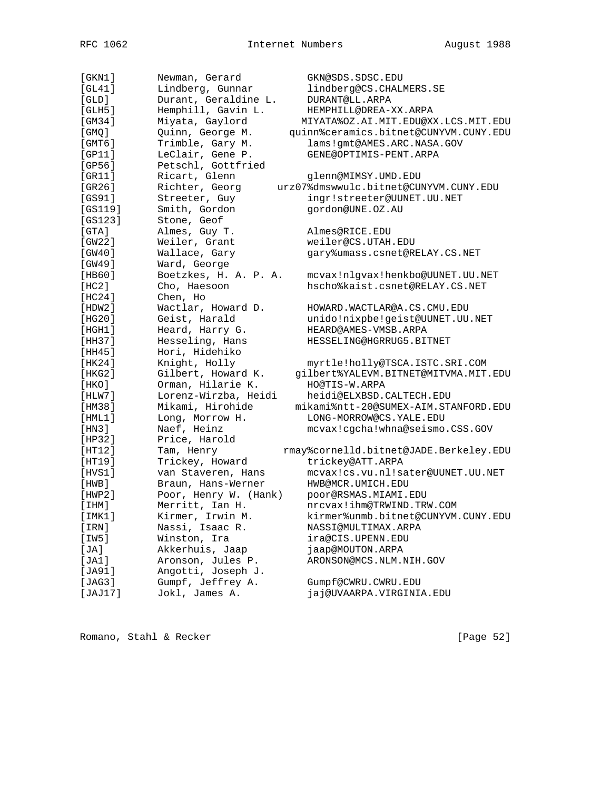| $[$ GKN $1$ ]    | Newman, Gerard        | GKN@SDS.SDSC.EDU                       |
|------------------|-----------------------|----------------------------------------|
| [GL41]           | Lindberg, Gunnar      | lindberg@CS.CHALMERS.SE                |
| [GLD]            | Durant, Geraldine L.  | DURANT@LL.ARPA                         |
| [GLH5]           | Hemphill, Gavin L.    | HEMPHILL@DREA-XX.ARPA                  |
| [GM34]           | Miyata, Gaylord       | MIYATA%OZ.AI.MIT.EDU@XX.LCS.MIT.EDU    |
| $[$ GMQ $]$      | Quinn, George M.      | quinn%ceramics.bitnet@CUNYVM.CUNY.EDU  |
| $[$ GMT $6$ ]    | Trimble, Gary M.      | lams!gmt@AMES.ARC.NASA.GOV             |
| [GP11]           | LeClair, Gene P.      | GENE@OPTIMIS-PENT.ARPA                 |
| [GP56]           | Petschl, Gottfried    |                                        |
| [GR11]           | Ricart, Glenn         | glenn@MIMSY.UMD.EDU                    |
| [GR26]           | Richter, Georg        | urz07%dmswwulc.bitnet@CUNYVM.CUNY.EDU  |
| [GS91]           | Streeter, Guy         | ingr!streeter@UUNET.UU.NET             |
| [GS119]          | Smith, Gordon         | gordon@UNE.0Z.AU                       |
| [GS123]          | Stone, Geof           |                                        |
| [GTA]            | Almes, Guy T.         | Almes@RICE.EDU                         |
| [GW22]           | Weiler, Grant         | weiler@CS.UTAH.EDU                     |
| [GW40]           | Wallace, Gary         | gary%umass.csnet@RELAY.CS.NET          |
| [GW49]           | Ward, George          |                                        |
| [HB60]           | Boetzkes, H. A. P. A. | mcvax!nlgvax!henkbo@UUNET.UU.NET       |
| [HC2]            | Cho, Haesoon          | hscho%kaist.csnet@RELAY.CS.NET         |
| [HC24]           | Chen, Ho              |                                        |
|                  |                       | HOWARD. WACTLAR@A.CS.CMU.EDU           |
| [HDW2]<br>[HG20] | Wactlar, Howard D.    |                                        |
|                  | Geist, Harald         | unido!nixpbe!geist@UUNET.UU.NET        |
| [HGH1]           | Heard, Harry G.       | HEARD@AMES-VMSB.ARPA                   |
| [HH37]           | Hesseling, Hans       | HESSELING@HGRRUG5.BITNET               |
| [HH45]           | Hori, Hidehiko        |                                        |
| [HK24]           | Knight, Holly         | myrtle!holly@TSCA.ISTC.SRI.COM         |
| [HKG2]           | Gilbert, Howard K.    | gilbert%YALEVM.BITNET@MITVMA.MIT.EDU   |
| [HKO]            | Orman, Hilarie K.     | HO@TIS-W.ARPA                          |
| [HIW7]           | Lorenz-Wirzba, Heidi  | heidi@ELXBSD.CALTECH.EDU               |
| [HM38]           | Mikami, Hirohide      | mikami%ntt-20@SUMEX-AIM.STANFORD.EDU   |
| [HML1]           | Long, Morrow H.       | LONG-MORROW@CS.YALE.EDU                |
| [HM3]            | Naef, Heinz           | mcvax!cgcha!whna@seismo.CSS.GOV        |
| [HP32]           | Price, Harold         |                                        |
| [HT12]           | Tam, Henry            | rmay%cornelld.bitnet@JADE.Berkeley.EDU |
| [HT19]           | Trickey, Howard       | trickey@ATT.ARPA                       |
| [HVS1]           | van Staveren, Hans    | mcvax!cs.vu.nl!sater@UUNET.UU.NET      |
| [HWB]            | Braun, Hans-Werner    | HWB@MCR.UMICH.EDU                      |
| [HWP2]           | Poor, Henry W. (Hank) | poor@RSMAS.MIAMI.EDU                   |
| [IHM]            | Merritt, Ian H.       | nrcvax!ihm@TRWIND.TRW.COM              |
| [IMK1]           | Kirmer, Irwin M.      | kirmer%unmb.bitnet@CUNYVM.CUNY.EDU     |
| [IRN]            | Nassi, Isaac R.       | NASSI@MULTIMAX.ARPA                    |
| [IW5]            | Winston, Ira          | ira@CIS.UPENN.EDU                      |
| [JA]             | Akkerhuis, Jaap       | jaap@MOUTON.ARPA                       |
| [JA1]            | Aronson, Jules P.     | ARONSON@MCS.NLM.NIH.GOV                |
| [JA91]           | Angotti, Joseph J.    |                                        |
| [JAG3]           | Gumpf, Jeffrey A.     | Gumpf@CWRU.CWRU.EDU                    |
| [JAJ17]          | Jokl, James A.        | jaj@UVAARPA.VIRGINIA.EDU               |

Romano, Stahl & Recker [Page 52]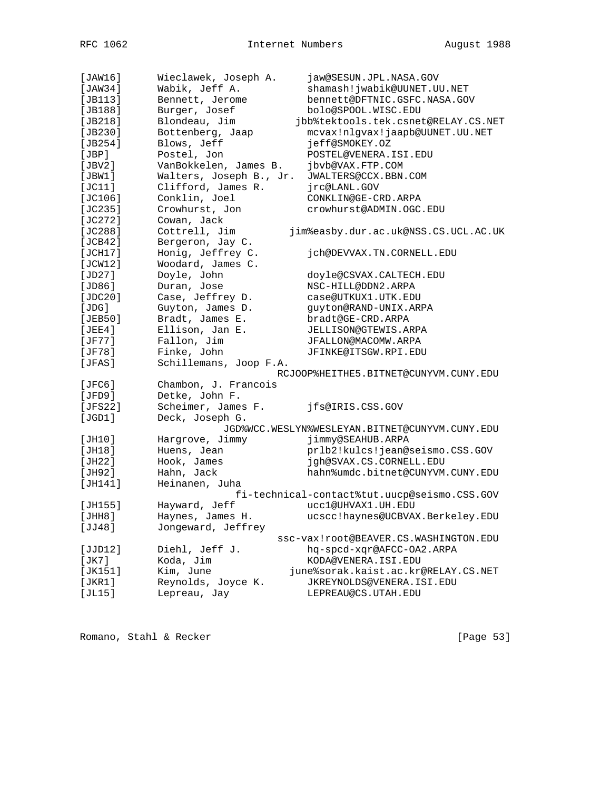| [JAW16]     | Wieclawek, Joseph A.    | jaw@SESUN.JPL.NASA.GOV                         |
|-------------|-------------------------|------------------------------------------------|
| [JAW34]     | Wabik, Jeff A.          | shamash!jwabik@UUNET.UU.NET                    |
| $[JBI13]$   | Bennett, Jerome         | bennett@DFTNIC.GSFC.NASA.GOV                   |
| [JB188]     | Burger, Josef           | bolo@SPOOL.WISC.EDU                            |
| [JB218]     | Blondeau, Jim           | jbb%tektools.tek.csnet@RELAY.CS.NET            |
| [ $JB230$ ] | Bottenberg, Jaap        | mcvax!nlgvax!jaapb@UUNET.UU.NET                |
| [JB254]     | Blows, Jeff             | jeff@SMOKEY.0Z                                 |
| [JBP]       | Postel, Jon             | POSTEL@VENERA.ISI.EDU                          |
| [JBV2]      | VanBokkelen, James B.   | jbvb@VAX.FTP.COM                               |
| [JBW1]      | Walters, Joseph B., Jr. | JWALTERS@CCX.BBN.COM                           |
| [JC11]      | Clifford, James R.      | jrc@LANL.GOV                                   |
| [JC106]     | Conklin, Joel           | CONKLIN@GE-CRD.ARPA                            |
| [JC235]     | Crowhurst, Jon          | crowhurst@ADMIN.OGC.EDU                        |
| [JC272]     | Cowan, Jack             |                                                |
| [JC288]     | Cottrell, Jim           | jim%easby.dur.ac.uk@NSS.CS.UCL.AC.UK           |
| [JCB42]     | Bergeron, Jay C.        |                                                |
| [JCH17]     | Honig, Jeffrey C.       | jch@DEVVAX.TN.CORNELL.EDU                      |
| [JCW12]     | Woodard, James C.       |                                                |
| [JD27]      | Doyle, John             | doyle@CSVAX.CALTECH.EDU                        |
| [JD86]      | Duran, Jose             | NSC-HILL@DDN2.ARPA                             |
| [JDC20]     | Case, Jeffrey D.        | case@UTKUX1.UTK.EDU                            |
| [JDG]       | Guyton, James D.        | guyton@RAND-UNIX.ARPA                          |
| [JEB50]     | Bradt, James E.         | bradt@GE-CRD.ARPA                              |
|             |                         |                                                |
| [JEE4]      | Ellison, Jan E.         | JELLISON@GTEWIS.ARPA                           |
| [JF77]      | Fallon, Jim             | JFALLON@MACOMW.ARPA                            |
| [JF78]      | Finke, John             | JFINKE@ITSGW.RPI.EDU                           |
| [JFAS]      | Schillemans, Joop F.A.  |                                                |
|             |                         | RCJOOP%HEITHE5.BITNET@CUNYVM.CUNY.EDU          |
| [JFC6]      | Chambon, J. Francois    |                                                |
| [JFD9]      | Detke, John F.          |                                                |
| [JFS22]     | Scheimer, James F.      | jfs@IRIS.CSS.GOV                               |
| [JGD1]      | Deck, Joseph G.         |                                                |
|             |                         | JGD%WCC.WESLYN%WESLEYAN.BITNET@CUNYVM.CUNY.EDU |
| [JH10]      | Hargrove, Jimmy         | jimmy@SEAHUB.ARPA                              |
| [JH18]      | Huens, Jean             | prlb2!kulcs!jean@seismo.CSS.GOV                |
| [JH22]      | Hook, James             | jgh@SVAX.CS.CORNELL.EDU                        |
| [JH92]      | Hahn, Jack              | hahn%umdc.bitnet@CUNYVM.CUNY.EDU               |
| [JH141]     | Heinanen, Juha          |                                                |
|             |                         | fi-technical-contact%tut.uucp@seismo.CSS.GOV   |
| [JH155]     | Hayward, Jeff           | uccl@UHVAX1.UH.EDU                             |
| [JHH8]      | Haynes, James H.        | ucscc!haynes@UCBVAX.Berkeley.EDU               |
| [JJ48]      | Jongeward, Jeffrey      |                                                |
|             |                         | ssc-vax!root@BEAVER.CS.WASHINGTON.EDU          |
| [JJD12]     | Diehl, Jeff J.          | hq-spcd-xqr@AFCC-OA2.ARPA                      |
| [JK7]       | Koda, Jim               | KODA@VENERA.ISI.EDU                            |
| [JK151]     | Kim, June               | june%sorak.kaist.ac.kr@RELAY.CS.NET            |
| [JKR1]      | Reynolds, Joyce K.      | JKREYNOLDS@VENERA.ISI.EDU                      |
| [JL15]      | Lepreau, Jay            | LEPREAU@CS.UTAH.EDU                            |
|             |                         |                                                |

Romano, Stahl & Recker [Page 53]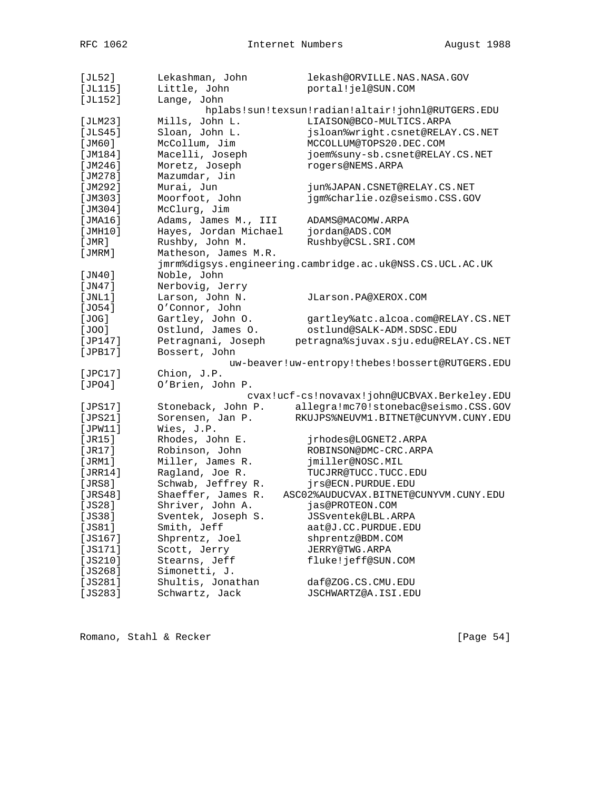| [JL52]      | Lekashman, John       | lekash@ORVILLE.NAS.NASA.GOV                              |
|-------------|-----------------------|----------------------------------------------------------|
| [JL115]     | Little, John          | portal!jel@SUN.COM                                       |
| [JL152]     | Lange, John           |                                                          |
|             |                       | hplabs!sun!texsun!radian!altair!johnl@RUTGERS.EDU        |
| [JLM23]     | Mills, John L.        | LIAISON@BCO-MULTICS.ARPA                                 |
| [JLS45]     | Sloan, John L.        | jsloan%wright.csnet@RELAY.CS.NET                         |
| [JM60]      | McCollum, Jim         | MCCOLLUM@TOPS20.DEC.COM                                  |
| [JM184]     | Macelli, Joseph       | joem%suny-sb.csnet@RELAY.CS.NET                          |
| [JM246]     | Moretz, Joseph        | rogers@NEMS.ARPA                                         |
| [JM278]     | Mazumdar, Jin         |                                                          |
| [JM292]     | Murai, Jun            | jun%JAPAN.CSNET@RELAY.CS.NET                             |
| [JM303]     | Moorfoot, John        | jgm%charlie.oz@seismo.CSS.GOV                            |
| [JM304]     | McClurg, Jim          |                                                          |
| [JMA16]     | Adams, James M., III  | ADAMS@MACOMW.ARPA                                        |
| [JMH10]     | Hayes, Jordan Michael | jordan@ADS.COM                                           |
| [JMR]       | Rushby, John M.       | Rushby@CSL.SRI.COM                                       |
| [JMRM]      | Matheson, James M.R.  |                                                          |
|             |                       | jmrm%digsys.engineering.cambridge.ac.uk@NSS.CS.UCL.AC.UK |
| [JN40]      | Noble, John           |                                                          |
| [JN47]      | Nerbovig, Jerry       |                                                          |
| [JNL1]      | Larson, John N.       | JLarson.PA@XEROX.COM                                     |
| [J054]      | O'Connor, John        |                                                          |
| [JOG]       | Gartley, John O.      | gartley%atc.alcoa.com@RELAY.CS.NET                       |
| [JOO]       | Ostlund, James O.     | ostlund@SALK-ADM.SDSC.EDU                                |
| [JP147]     | Petragnani, Joseph    | petragna%sjuvax.sju.edu@RELAY.CS.NET                     |
| [JPB17]     | Bossert, John         |                                                          |
|             |                       | uw-beaver!uw-entropy!thebes!bossert@RUTGERS.EDU          |
| [JPC17]     | Chion, J.P.           |                                                          |
| [JPO4]      | O'Brien, John P.      |                                                          |
|             |                       | cvax!ucf-cs!novavax!john@UCBVAX.Berkeley.EDU             |
| [JPS17]     | Stoneback, John P.    | allegra!mc70!stonebac@seismo.CSS.GOV                     |
| [JPS21]     | Sorensen, Jan P.      | RKUJPS%NEUVM1.BITNET@CUNYVM.CUNY.EDU                     |
|             | Wies, J.P.            |                                                          |
| [JPW11]     |                       |                                                          |
| [JR15]      | Rhodes, John E.       | jrhodes@LOGNET2.ARPA<br>ROBINSON@DMC-CRC.ARPA            |
| [JR17]      | Robinson, John        |                                                          |
| [JRM1]      | Miller, James R.      | jmiller@NOSC.MIL                                         |
| [JRR14]     | Ragland, Joe R.       | TUCJRR@TUCC.TUCC.EDU                                     |
| [JRS8]      | Schwab, Jeffrey R.    | jrs@ECN.PURDUE.EDU                                       |
| [JRS48]     | Shaeffer, James R.    | ASC02%AUDUCVAX.BITNET@CUNYVM.CUNY.EDU                    |
| [JS28]      | Shriver, John A.      | jas@PROTEON.COM                                          |
| [JS38]      | Sventek, Joseph S.    | JSSventek@LBL.ARPA                                       |
| [JSS1]      | Smith, Jeff           | aat@J.CC.PURDUE.EDU                                      |
| [JS167]     | Shprentz, Joel        | shprentz@BDM.COM                                         |
| [JS171]     | Scott, Jerry          | JERRY@TWG.ARPA                                           |
| [JS210]     | Stearns, Jeff         | fluke!jeff@SUN.COM                                       |
| [JS268]     | Simonetti, J.         |                                                          |
| [JS281]     | Shultis, Jonathan     | daf@ZOG.CS.CMU.EDU                                       |
| [ $JS283$ ] | Schwartz, Jack        | JSCHWARTZ@A.ISI.EDU                                      |

Romano, Stahl & Recker [Page 54]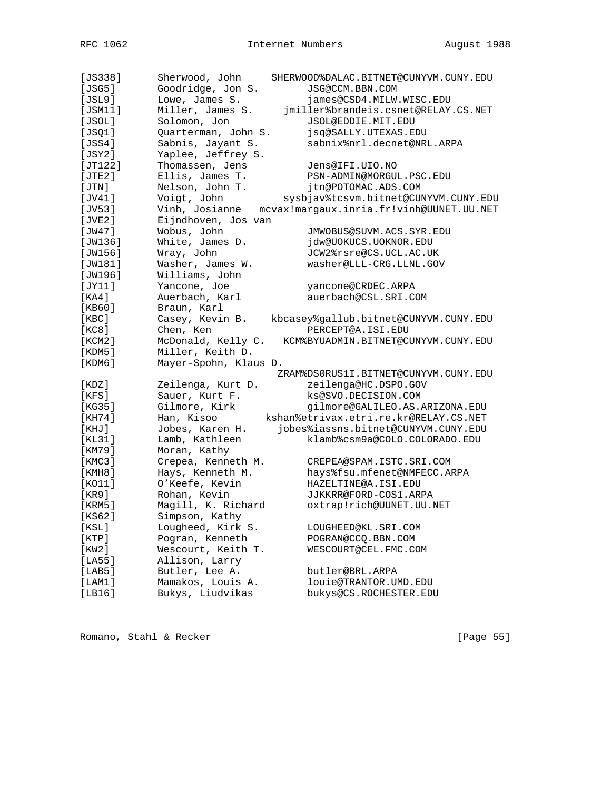| $[JS338]$ | Sherwood, John        | SHERWOOD%DALAC.BITNET@CUNYVM.CUNY.EDU    |
|-----------|-----------------------|------------------------------------------|
| [JSG5]    | Goodridge, Jon S.     | JSG@CCM.BBN.COM                          |
| [JSL9]    | Lowe, James S.        | james@CSD4.MILW.WISC.EDU                 |
| [JSM11]   | Miller, James S.      | jmiller%brandeis.csnet@RELAY.CS.NET      |
| [JSOL]    | Solomon, Jon          | JSOL@EDDIE.MIT.EDU                       |
| [JSQ1]    | Quarterman, John S.   | jsq@SALLY.UTEXAS.EDU                     |
| [JSS4]    | Sabnis, Jayant S.     | sabnix%nrl.decnet@NRL.ARPA               |
| [JSY2]    | Yaplee, Jeffrey S.    |                                          |
| [JT122]   | Thomassen, Jens       | Jens@IFI.UIO.NO                          |
| [JTE2]    | Ellis, James T.       | PSN-ADMIN@MORGUL.PSC.EDU                 |
| [JTN]     | Nelson, John T.       | jtn@POTOMAC.ADS.COM                      |
| [JV41]    | Voigt, John           | sysbjav%tcsvm.bitnet@CUNYVM.CUNY.EDU     |
| [JV53]    | Vinh, Josianne        | mcvax!margaux.inria.fr!vinh@UUNET.UU.NET |
| [JVE2]    | Eijndhoven, Jos van   |                                          |
| [JW47]    | Wobus, John           | JMWOBUS@SUVM.ACS.SYR.EDU                 |
| [JW136]   | White, James D.       | jdw@UOKUCS.UOKNOR.EDU                    |
| [JW156]   | Wray, John            | JCW2%rsre@CS.UCL.AC.UK                   |
| [JW181]   | Washer, James W.      | washer@LLL-CRG.LLNL.GOV                  |
| [JW196]   | Williams, John        |                                          |
| [JY11]    | Yancone, Joe          | yancone@CRDEC.ARPA                       |
| [ KA4 ]   | Auerbach, Karl        | auerbach@CSL.SRI.COM                     |
| [KB60]    | Braun, Karl           |                                          |
| [KBC]     | Casey, Kevin B.       | kbcasey%gallub.bitnet@CUNYVM.CUNY.EDU    |
| [KC8]     | Chen, Ken             | PERCEPT@A.ISI.EDU                        |
| [KCM2]    | McDonald, Kelly C.    | KCM%BYUADMIN.BITNET@CUNYVM.CUNY.EDU      |
| [KDM5]    | Miller, Keith D.      |                                          |
| [KDM6]    | Mayer-Spohn, Klaus D. |                                          |
|           |                       | ZRAM%DS0RUS1I.BITNET@CUNYVM.CUNY.EDU     |
| [ KDZ ]   | Zeilenga, Kurt D.     | zeilenga@HC.DSPO.GOV                     |
| [KFS]     | Sauer, Kurt F.        | ks@SVO.DECISION.COM                      |
| [KG35]    | Gilmore, Kirk         | gilmore@GALILEO.AS.ARIZONA.EDU           |
| [KH74]    | Han, Kisoo            | kshan%etrivax.etri.re.kr@RELAY.CS.NET    |
| [KHJ]     | Jobes, Karen H.       | jobes%iassns.bitnet@CUNYVM.CUNY.EDU      |
| [KL31]    | Lamb, Kathleen        | klamb%csm9a@COLO.COLORADO.EDU            |
| [KM79]    | Moran, Kathy          |                                          |
| [KMC3]    | Crepea, Kenneth M.    | CREPEA@SPAM.ISTC.SRI.COM                 |
| [KMH8]    | Hays, Kenneth M.      | hays%fsu.mfenet@NMFECC.ARPA              |
| [KO11]    | O'Keefe, Kevin        | HAZELTINE@A.ISI.EDU                      |
| [KR9]     | Rohan, Kevin          | JJKKRR@FORD-COS1.ARPA                    |
| [KRM5]    | Magill, K. Richard    | oxtrap!rich@UUNET.UU.NET                 |
| [KS62]    | Simpson, Kathy        |                                          |
| [KSL]     | Lougheed, Kirk S.     | LOUGHEED@KL.SRI.COM                      |
| [KTP]     | Pogran, Kenneth       | POGRAN@CCQ.BBN.COM                       |
| [KW2]     | Wescourt, Keith T.    | WESCOURT@CEL.FMC.COM                     |
| [LA55]    | Allison, Larry        |                                          |
| [LAB5]    | Butler, Lee A.        | butler@BRL.ARPA                          |
| [LAM1]    | Mamakos, Louis A.     | louie@TRANTOR.UMD.EDU                    |
| [LBI6]    | Bukys, Liudvikas      | bukys@CS.ROCHESTER.EDU                   |
|           |                       |                                          |

Romano, Stahl & Recker [Page 55]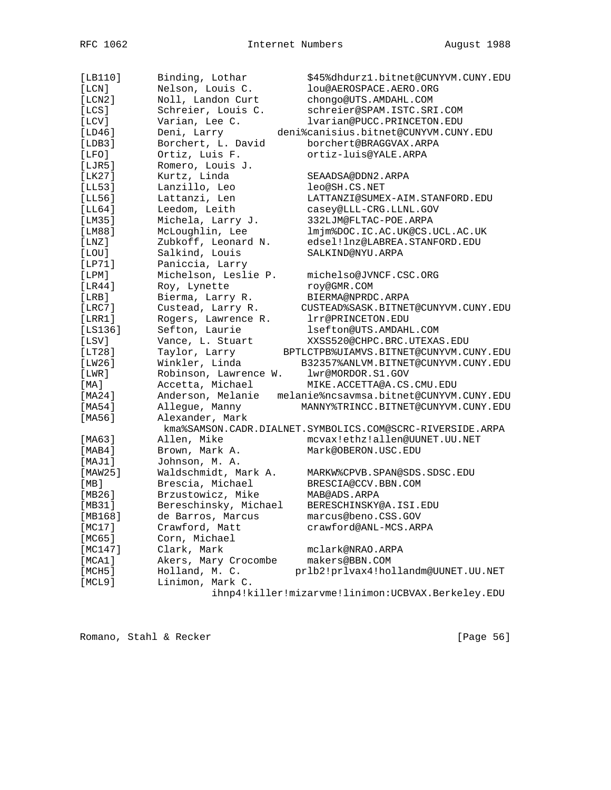| [LB110]   | Binding, Lothar       | \$45%dhdurz1.bitnet@CUNYVM.CUNY.EDU                       |
|-----------|-----------------------|-----------------------------------------------------------|
| [LCN]     | Nelson, Louis C.      | lou@AEROSPACE.AERO.ORG                                    |
| [LCN2]    | Noll, Landon Curt     | chongo@UTS.AMDAHL.COM                                     |
| [LCS]     | Schreier, Louis C.    | schreier@SPAM.ISTC.SRI.COM                                |
| [LCV]     | Varian, Lee C.        | lvarian@PUCC.PRINCETON.EDU                                |
| [LD46]    | Deni, Larry           | deni%canisius.bitnet@CUNYVM.CUNY.EDU                      |
| [LDB3]    | Borchert, L. David    | borchert@BRAGGVAX.ARPA                                    |
| [LFO]     | Ortiz, Luis F.        | ortiz-luis@YALE.ARPA                                      |
| [LJR5]    | Romero, Louis J.      |                                                           |
| [LK27]    | Kurtz, Linda          | SEAADSA@DDN2.ARPA                                         |
| [LL53]    | Lanzillo, Leo         | leo@SH.CS.NET                                             |
| [LL56]    | Lattanzi, Len         | LATTANZI@SUMEX-AIM.STANFORD.EDU                           |
| [LL64]    | Leedom, Leith         | casey@LLL-CRG.LLNL.GOV                                    |
| [LM35]    | Michela, Larry J.     | 332LJM@FLTAC-POE.ARPA                                     |
| [LM88]    | McLoughlin, Lee       | lmjm%DOC.IC.AC.UK@CS.UCL.AC.UK                            |
| [LMZ]     | Zubkoff, Leonard N.   | edsel!lnz@LABREA.STANFORD.EDU                             |
| [LOU]     | Salkind, Louis        | SALKIND@NYU.ARPA                                          |
| [LP71]    | Paniccia, Larry       |                                                           |
| [LPM]     | Michelson, Leslie P.  | michelso@JVNCF.CSC.ORG                                    |
| [LR44]    | Roy, Lynette          | roy@GMR.COM                                               |
| [LRB]     | Bierma, Larry R.      | BIERMA@NPRDC.ARPA                                         |
| [LRC7]    | Custead, Larry R.     | CUSTEAD%SASK.BITNET@CUNYVM.CUNY.EDU                       |
| [LRR1]    | Rogers, Lawrence R.   | lrr@PRINCETON.EDU                                         |
| $[LS136]$ | Sefton, Laurie        | lsefton@UTS.AMDAHL.COM                                    |
| [LSV]     | Vance, L. Stuart      | XXSS520@CHPC.BRC.UTEXAS.EDU                               |
| [LT28]    | Taylor, Larry         | BPTLCTPB%UIAMVS.BITNET@CUNYVM.CUNY.EDU                    |
| [LW26]    | Winkler, Linda        | B32357%ANLVM.BITNET@CUNYVM.CUNY.EDU                       |
| [LWR]     | Robinson, Lawrence W. | lwr@MORDOR.S1.GOV                                         |
| [MA]      | Accetta, Michael      | MIKE.ACCETTA@A.CS.CMU.EDU                                 |
| [MA24]    | Anderson, Melanie     | melanie%ncsavmsa.bitnet@CUNYVM.CUNY.EDU                   |
| [MA54]    | Allegue, Manny        | MANNY%TRINCC.BITNET@CUNYVM.CUNY.EDU                       |
| [MA56]    | Alexander, Mark       |                                                           |
|           |                       | kma%SAMSON.CADR.DIALNET.SYMBOLICS.COM@SCRC-RIVERSIDE.ARPA |
| [MA63]    | Allen, Mike           | mcvax!ethz!allen@UUNET.UU.NET                             |
| [MAB4]    | Brown, Mark A.        | Mark@OBERON.USC.EDU                                       |
| [MAJ1]    | Johnson, M. A.        |                                                           |
| [MAW25]   | Waldschmidt, Mark A.  | MARKW%CPVB.SPAN@SDS.SDSC.EDU                              |
| [MB]      | Brescia, Michael      | BRESCIA@CCV.BBN.COM                                       |
| [MB26]    | Brzustowicz, Mike     | MAB@ADS.ARPA                                              |
| [MB31]    | Bereschinsky, Michael | BERESCHINSKY@A.ISI.EDU                                    |
| [MB168]   | de Barros, Marcus     | marcus@beno.CSS.GOV                                       |
| [MC17]    | Crawford, Matt        | crawford@ANL-MCS.ARPA                                     |
| [MC65]    | Corn, Michael         |                                                           |
| [MC147]   | Clark, Mark           | mclark@NRAO.ARPA                                          |
| [MCA1]    | Akers, Mary Crocombe  | makers@BBN.COM                                            |
| [MCH5]    | Holland, M. C.        | prlb2!prlvax4!hollandm@UUNET.UU.NET                       |
| [MCL9]    |                       |                                                           |
|           | Linimon, Mark C.      |                                                           |

Romano, Stahl & Recker [Page 56]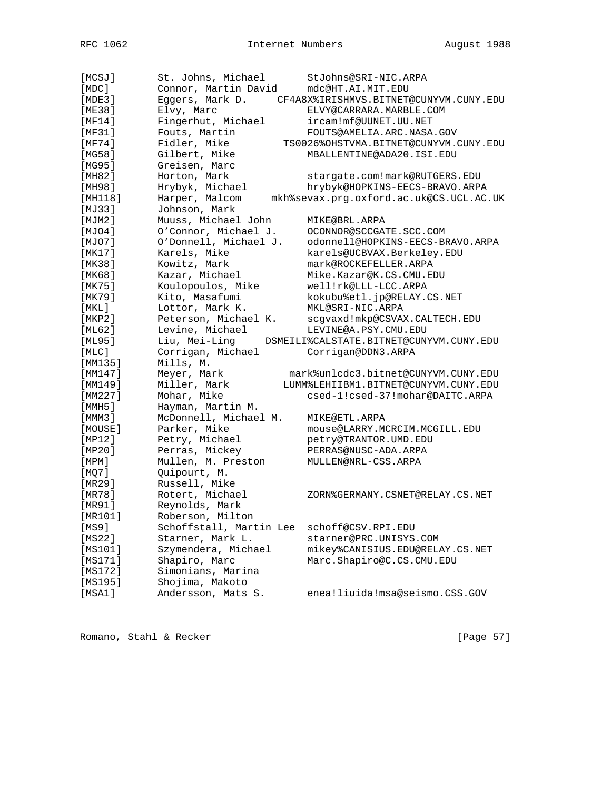| [MCSJ]      | St. Johns, Michael      | StJohns@SRI-NIC.ARPA                    |
|-------------|-------------------------|-----------------------------------------|
| $[$ MDC $]$ | Connor, Martin David    | mdc@HT.AI.MIT.EDU                       |
| [MDE3]      | Eggers, Mark D.         | CF4A8X%IRISHMVS.BITNET@CUNYVM.CUNY.EDU  |
| [ME38]      | Elvy, Marc              | ELVY@CARRARA.MARBLE.COM                 |
| [MF14]      | Fingerhut, Michael      | ircam!mf@UUNET.UU.NET                   |
| [MF31]      | Fouts, Martin           | FOUTS@AMELIA.ARC.NASA.GOV               |
| [MF74]      | Fidler, Mike            | TS0026%OHSTVMA.BITNET@CUNYVM.CUNY.EDU   |
| [MG58]      | Gilbert, Mike           | MBALLENTINE@ADA20.ISI.EDU               |
| [MG95]      | Greisen, Marc           |                                         |
| [MH82]      | Horton, Mark            | stargate.com!mark@RUTGERS.EDU           |
| [MH98]      | Hrybyk, Michael         | hrybyk@HOPKINS-EECS-BRAVO.ARPA          |
| [MH118]     | Harper, Malcom          | mkh%sevax.prg.oxford.ac.uk@CS.UCL.AC.UK |
| [MJ33]      | Johnson, Mark           |                                         |
| [MJM2]      | Muuss, Michael John     | MIKE@BRL.ARPA                           |
| [MJO4]      | O'Connor, Michael J.    | OCONNOR@SCCGATE.SCC.COM                 |
| [MJO7]      | O'Donnell, Michael J.   | odonnell@HOPKINS-EECS-BRAVO.ARPA        |
| [MK17]      | Karels, Mike            | karels@UCBVAX.Berkeley.EDU              |
| [MK38]      | Kowitz, Mark            | mark@ROCKEFELLER.ARPA                   |
| [MK68]      | Kazar, Michael          | Mike.Kazar@K.CS.CMU.EDU                 |
| [MK75]      | Koulopoulos, Mike       | well!rk@LLL-LCC.ARPA                    |
| [MK79]      | Kito, Masafumi          | kokubu%etl.jp@RELAY.CS.NET              |
| [MKL]       | Lottor, Mark K.         | MKL@SRI-NIC.ARPA                        |
| [MEP2]      | Peterson, Michael K.    | scgvaxd!mkp@CSVAX.CALTECH.EDU           |
| [ML62]      | Levine, Michael         | LEVINE@A.PSY.CMU.EDU                    |
| [ML95]      | Liu, Mei-Ling           | DSMEILI%CALSTATE.BITNET@CUNYVM.CUNY.EDU |
| [MLC]       | Corrigan, Michael       | Corrigan@DDN3.ARPA                      |
| [MM135]     | Mills, M.               |                                         |
| [MM147]     | Meyer, Mark             | mark%unlcdc3.bitnet@CUNYVM.CUNY.EDU     |
| [MM149]     | Miller, Mark            | LUMM%LEHIIBM1.BITNET@CUNYVM.CUNY.EDU    |
| [MM227]     | Mohar, Mike             | csed-1!csed-37!mohar@DAITC.ARPA         |
| [MMH5]      | Hayman, Martin M.       |                                         |
| [MMM3]      | McDonnell, Michael M.   | MIKE@ETL.ARPA                           |
| [MOUSE]     | Parker, Mike            | mouse@LARRY.MCRCIM.MCGILL.EDU           |
| [MP12]      | Petry, Michael          | petry@TRANTOR.UMD.EDU                   |
| [MP20]      | Perras, Mickey          | PERRAS@NUSC-ADA.ARPA                    |
| [MPM]       | Mullen, M. Preston      | MULLEN@NRL-CSS.ARPA                     |
| [MQ7]       | Quipourt, M.            |                                         |
| [MR29]      | Russell, Mike           |                                         |
| [MR78]      | Rotert, Michael         | ZORN%GERMANY.CSNET@RELAY.CS.NET         |
| [MR91]      | Reynolds, Mark          |                                         |
| [MR101]     | Roberson, Milton        |                                         |
| [MS9]       | Schoffstall, Martin Lee | schoff@CSV.RPI.EDU                      |
| [MS22]      | Starner, Mark L.        | starner@PRC.UNISYS.COM                  |
| [MS101]     | Szymendera, Michael     | mikey%CANISIUS.EDU@RELAY.CS.NET         |
| [MS171]     | Shapiro, Marc           | Marc.Shapiro@C.CS.CMU.EDU               |
| [MS172]     | Simonians, Marina       |                                         |
| [MS195]     | Shojima, Makoto         |                                         |
| [MSA1]      | Andersson, Mats S.      | enea!liuida!msa@seismo.CSS.GOV          |

Romano, Stahl & Recker [Page 57]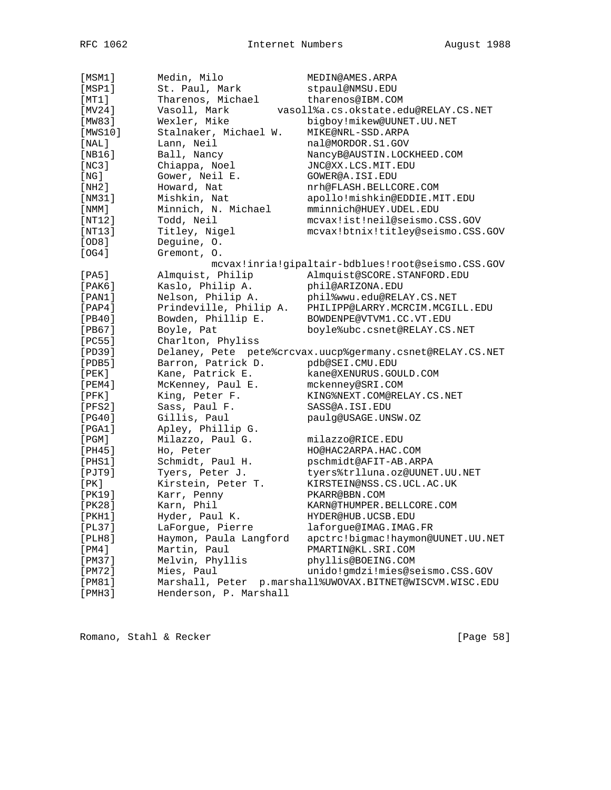| [MSM1]       | Medin, Milo            | MEDIN@AMES.ARPA                                           |
|--------------|------------------------|-----------------------------------------------------------|
| [MSP1]       | St. Paul, Mark         | stpaul@NMSU.EDU                                           |
| [MT1]        | Tharenos, Michael      | tharenos@IBM.COM                                          |
| [MV24]       | Vasoll, Mark           | vasoll%a.cs.okstate.edu@RELAY.CS.NET                      |
| [MW83]       | Wexler, Mike           | bigboy!mikew@UUNET.UU.NET                                 |
| [MWS10]      | Stalnaker, Michael W.  | MIKE@NRL-SSD.ARPA                                         |
| $[$ NAL $]$  | Lann, Neil             | nal@MORDOR.S1.GOV                                         |
| [NB16]       | Ball, Nancy            | NancyB@AUSTIN.LOCKHEED.COM                                |
| [NC3]        | Chiappa, Noel          | JNC@XX.LCS.MIT.EDU                                        |
| [ NG ]       | Gower, Neil E.         | GOWER@A.ISI.EDU                                           |
| [NH2]        | Howard, Nat            | nrh@FLASH.BELLCORE.COM                                    |
| [NM31]       | Mishkin, Nat           | apollo!mishkin@EDDIE.MIT.EDU                              |
| [ NMM ]      | Minnich, N. Michael    | mminnich@HUEY.UDEL.EDU                                    |
| [NT12]       | Todd, Neil             | mcvax!ist!neil@seismo.CSS.GOV                             |
| [NT13]       | Titley, Nigel          | mcvax!btnix!titley@seismo.CSS.GOV                         |
| [OD8]        | Deguine, O.            |                                                           |
| [OG4]        | Gremont, O.            |                                                           |
|              |                        | mcvax!inria!gipaltair-bdblues!root@seismo.CSS.GOV         |
| [PA5]        | Almquist, Philip       | Almquist@SCORE.STANFORD.EDU                               |
| [PAK6]       | Kaslo, Philip A.       | phil@ARIZONA.EDU                                          |
| [PAN1]       | Nelson, Philip A.      | phil%wwu.edu@RELAY.CS.NET                                 |
| $[$ PAP4 $]$ | Prindeville, Philip A. | PHILIPP@LARRY.MCRCIM.MCGILL.EDU                           |
| [PB40]       | Bowden, Phillip E.     | BOWDENPE@VTVM1.CC.VT.EDU                                  |
| [PB67]       | Boyle, Pat             | boyle%ubc.csnet@RELAY.CS.NET                              |
| [PC55]       | Charlton, Phyliss      |                                                           |
| [PD39]       |                        | Delaney, Pete pete%crcvax.uucp%germany.csnet@RELAY.CS.NET |
| [PDB5]       | Barron, Patrick D.     | pdb@SEI.CMU.EDU                                           |
| [PEK]        | Kane, Patrick E.       | kane@XENURUS.GOULD.COM                                    |
| [PEM4]       | McKenney, Paul E.      | mckenney@SRI.COM                                          |
| $[$ PFK $]$  | King, Peter F.         | KING%NEXT.COM@RELAY.CS.NET                                |
| [PFS2]       | Sass, Paul F.          | SASS@A.ISI.EDU                                            |
| [PG40]       | Gillis, Paul           | paulg@USAGE.UNSW.OZ                                       |
| [PGA1]       | Apley, Phillip G.      |                                                           |
| [PGM]        | Milazzo, Paul G.       | milazzo@RICE.EDU                                          |
| [PH45]       | Ho, Peter              | HO@HAC2ARPA.HAC.COM                                       |
| [PHS1]       | Schmidt, Paul H.       | pschmidt@AFIT-AB.ARPA                                     |
| $[$ PJT9 $]$ | Tyers, Peter J.        | tyers%trlluna.oz@UUNET.UU.NET                             |
| [PK]         | Kirstein, Peter T.     | KIRSTEIN@NSS.CS.UCL.AC.UK                                 |
| [PK19]       | Karr, Penny            | PKARR@BBN.COM                                             |
| [PK28]       | Karn, Phil             | KARN@THUMPER.BELLCORE.COM                                 |
| [PKH1]       | Hyder, Paul K.         | HYDER@HUB.UCSB.EDU                                        |
| [PL37]       | LaForgue, Pierre       | laforgue@IMAG.IMAG.FR                                     |
| [PLH8]       | Haymon, Paula Langford | apctrc!bigmac!haymon@UUNET.UU.NET                         |
| [PM4]        | Martin, Paul           | PMARTIN@KL.SRI.COM                                        |
| [PM37]       | Melvin, Phyllis        | phyllis@BOEING.COM                                        |
| [PM72]       | Mies, Paul             | unido!gmdzi!mies@seismo.CSS.GOV                           |
| [PM81]       | Marshall, Peter        | p.marshall%UWOVAX.BITNET@WISCVM.WISC.EDU                  |
| [PMH3]       | Henderson, P. Marshall |                                                           |

Romano, Stahl & Recker [Page 58]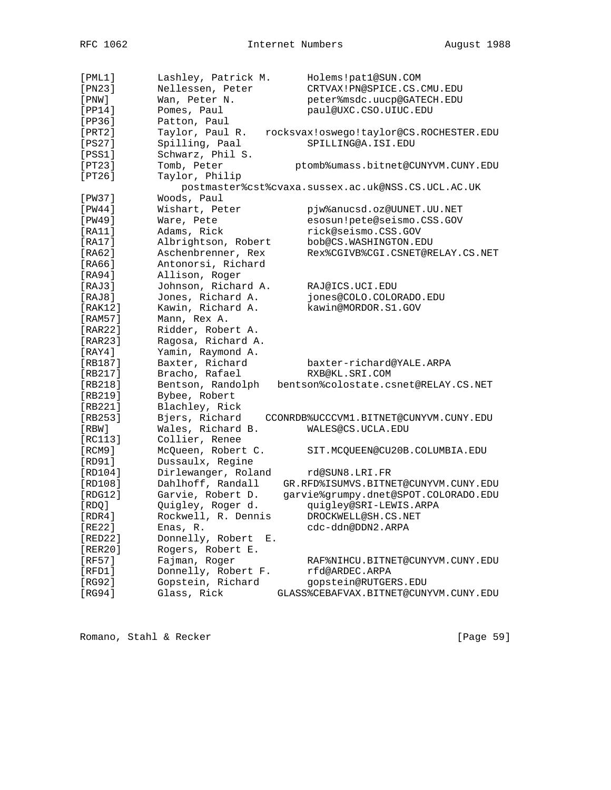| $[$ PML $1]$ | Lashley, Patrick M.    | Holems!pat1@SUN.COM                                |
|--------------|------------------------|----------------------------------------------------|
| [PN23]       | Nellessen, Peter       | CRTVAX!PN@SPICE.CS.CMU.EDU                         |
| $[$ PNW $]$  | Wan, Peter N.          | peter%msdc.uucp@GATECH.EDU                         |
| [PP14]       | Pomes, Paul            | paul@UXC.CSO.UIUC.EDU                              |
| [PP36]       | Patton, Paul           |                                                    |
| [PRT2]       | Taylor, Paul R.        | rocksvax!oswego!taylor@CS.ROCHESTER.EDU            |
| [PS27]       | Spilling, Paal         | SPILLING@A.ISI.EDU                                 |
| [PSS1]       | Schwarz, Phil S.       |                                                    |
| [PT23]       | Tomb, Peter            | ptomb%umass.bitnet@CUNYVM.CUNY.EDU                 |
| [PT26]       | Taylor, Philip         |                                                    |
|              |                        | postmaster%cst%cvaxa.sussex.ac.uk@NSS.CS.UCL.AC.UK |
| [PW37]       | Woods, Paul            |                                                    |
| [PW44]       | Wishart, Peter         | pjw%anucsd.oz@UUNET.UU.NET                         |
| [PW49]       | Ware, Pete             | esosun!pete@seismo.CSS.GOV                         |
| [RA11]       | Adams, Rick            | rick@seismo.CSS.GOV                                |
| [RA17]       | Albrightson, Robert    | bob@CS.WASHINGTON.EDU                              |
| [RA62]       | Aschenbrenner, Rex     | Rex%CGIVB%CGI.CSNET@RELAY.CS.NET                   |
| [RA66]       | Antonorsi, Richard     |                                                    |
| [RA94]       | Allison, Roger         |                                                    |
| [RAJ3]       | Johnson, Richard A.    | RAJ@ICS.UCI.EDU                                    |
| [RAJ8]       | Jones, Richard A.      | jones@COLO.COLORADO.EDU                            |
| [RAK12]      | Kawin, Richard A.      | kawin@MORDOR.S1.GOV                                |
| [RAM57]      |                        |                                                    |
|              | Mann, Rex A.           |                                                    |
| [RAR22]      | Ridder, Robert A.      |                                                    |
| [RAR23]      | Ragosa, Richard A.     |                                                    |
| [RAY4]       | Yamin, Raymond A.      |                                                    |
| [RB187]      | Baxter, Richard        | baxter-richard@YALE.ARPA                           |
| [RB217]      | Bracho, Rafael         | RXB@KL.SRI.COM                                     |
| [RB218]      | Bentson, Randolph      | bentson%colostate.csnet@RELAY.CS.NET               |
| [RB219]      | Bybee, Robert          |                                                    |
| [RB221]      | Blachley, Rick         |                                                    |
| [RB253]      | Bjers, Richard         | CCONRDB%UCCCVM1.BITNET@CUNYVM.CUNY.EDU             |
| [RBW]        | Wales, Richard B.      | WALES@CS.UCLA.EDU                                  |
| [RC113]      | Collier, Renee         |                                                    |
| [RCM9]       | McQueen, Robert C.     | SIT.MCQUEEN@CU20B.COLUMBIA.EDU                     |
| [RD91]       | Dussaulx, Regine       |                                                    |
| [RD104]      | Dirlewanger, Roland    | rd@SUN8.LRI.FR                                     |
| [RD108]      | Dahlhoff, Randall      | GR.RFD%ISUMVS.BITNET@CUNYVM.CUNY.EDU               |
| [RDG12]      | Garvie, Robert D.      | garvie%grumpy.dnet@SPOT.COLORADO.EDU               |
| [RDQ]        | Quigley, Roger d.      | quigley@SRI-LEWIS.ARPA                             |
| [RDR4]       | Rockwell, R. Dennis    | DROCKWELL@SH.CS.NET                                |
| [RE22]       | Enas, R.               | cdc-ddn@DDN2.ARPA                                  |
| [RED22]      | Donnelly, Robert<br>Е. |                                                    |
| [RER20]      | Rogers, Robert E.      |                                                    |
| [RF57]       | Fajman, Roger          | RAF%NIHCU.BITNET@CUNYVM.CUNY.EDU                   |
| [RFD1]       | Donnelly, Robert F.    | rfd@ARDEC.ARPA                                     |
| [RG92]       | Gopstein, Richard      | gopstein@RUTGERS.EDU                               |
| [RG94]       | Glass, Rick            | GLASS%CEBAFVAX.BITNET@CUNYVM.CUNY.EDU              |

Romano, Stahl & Recker [Page 59]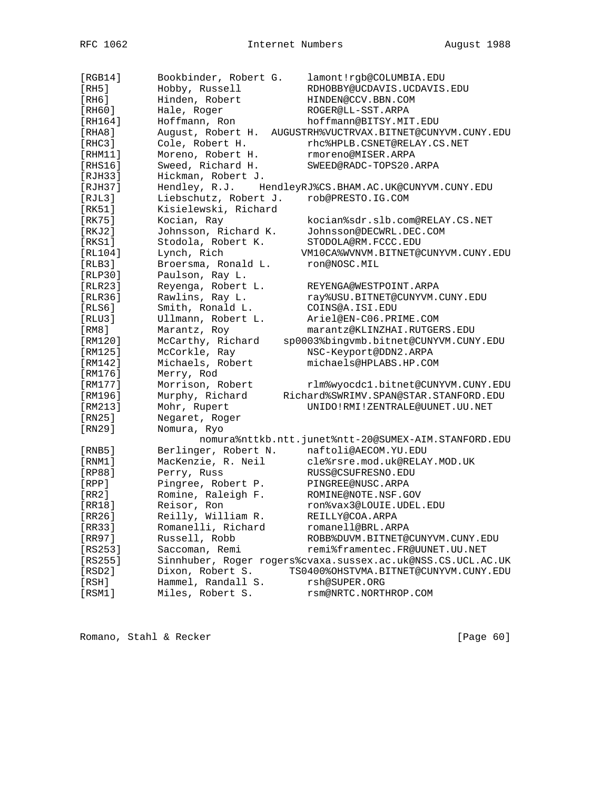| [RGB14]        | Bookbinder, Robert G. | lamont!rgb@COLUMBIA.EDU                                     |
|----------------|-----------------------|-------------------------------------------------------------|
| [RH5]          | Hobby, Russell        | RDHOBBY@UCDAVIS.UCDAVIS.EDU                                 |
| [RH6]          | Hinden, Robert        | HINDEN@CCV.BBN.COM                                          |
| [RH60]         | Hale, Roger           | ROGER@LL-SST.ARPA                                           |
| [RH164]        | Hoffmann, Ron         | hoffmann@BITSY.MIT.EDU                                      |
| [RHA8]         | August, Robert H.     | AUGUSTRH%VUCTRVAX.BITNET@CUNYVM.CUNY.EDU                    |
| [RHC3]         | Cole, Robert H.       | rhc%HPLB.CSNET@RELAY.CS.NET                                 |
| [RHM11]        | Moreno, Robert H.     | rmoreno@MISER.ARPA                                          |
| [RHS16]        | Sweed, Richard H.     | SWEED@RADC-TOPS20.ARPA                                      |
| [RJH33]        | Hickman, Robert J.    |                                                             |
| [RJH37]        | Hendley, R.J.         | HendleyRJ%CS.BHAM.AC.UK@CUNYVM.CUNY.EDU                     |
| [RIL3]         | Liebschutz, Robert J. | rob@PRESTO.IG.COM                                           |
| [RK51]         | Kisielewski, Richard  |                                                             |
| [RK75]         | Kocian, Ray           | kocian%sdr.slb.com@RELAY.CS.NET                             |
| [RKJ2]         | Johnsson, Richard K.  | Johnsson@DECWRL.DEC.COM                                     |
| [RKS1]         | Stodola, Robert K.    | STODOLA@RM.FCCC.EDU                                         |
| [RL104]        | Lynch, Rich           | VM10CA%WVNVM.BITNET@CUNYVM.CUNY.EDU                         |
| [RLB3]         | Broersma, Ronald L.   | ron@NOSC.MIL                                                |
| [RLP30]        | Paulson, Ray L.       |                                                             |
| [RLR23]        | Reyenga, Robert L.    | REYENGA@WESTPOINT.ARPA                                      |
| <b>[RLR36]</b> | Rawlins, Ray L.       | ray%USU.BITNET@CUNYVM.CUNY.EDU                              |
| [RLS6]         | Smith, Ronald L.      | COINS@A.ISI.EDU                                             |
| [RLU3]         | Ullmann, Robert L.    | Ariel@EN-C06.PRIME.COM                                      |
| [RM8]          | Marantz, Roy          | marantz@KLINZHAI.RUTGERS.EDU                                |
| [RM120]        | McCarthy, Richard     | sp0003%bingvmb.bitnet@CUNYVM.CUNY.EDU                       |
| [RM125]        | McCorkle, Ray         | NSC-Keyport@DDN2.ARPA                                       |
| [RM142]        | Michaels, Robert      | michaels@HPLABS.HP.COM                                      |
| [RM176]        | Merry, Rod            |                                                             |
| [RM177]        | Morrison, Robert      | rlm%wyocdc1.bitnet@CUNYVM.CUNY.EDU                          |
| [RM196]        | Murphy, Richard       | Richard%SWRIMV.SPAN@STAR.STANFORD.EDU                       |
| [RM213]        | Mohr, Rupert          | UNIDO!RMI!ZENTRALE@UUNET.UU.NET                             |
| [RN25]         | Negaret, Roger        |                                                             |
| [RN29]         | Nomura, Ryo           |                                                             |
|                |                       | nomura%nttkb.ntt.junet%ntt-20@SUMEX-AIM.STANFORD.EDU        |
| [RNB5]         | Berlinger, Robert N.  | naftoli@AECOM.YU.EDU                                        |
| [RNM1]         | MacKenzie, R. Neil    | cle%rsre.mod.uk@RELAY.MOD.UK                                |
| [RP88]         | Perry, Russ           | RUSS@CSUFRESNO.EDU                                          |
| [RPP]          | Pingree, Robert P.    | PINGREE@NUSC.ARPA                                           |
| [RR2]          | Romine, Raleigh F.    | ROMINE@NOTE.NSF.GOV                                         |
| [RR18]         | Reisor, Ron           | ron%vax3@LOUIE.UDEL.EDU                                     |
| IRR26          | Reilly, William R.    | REILLY@COA.ARPA                                             |
| [RR33]         | Romanelli, Richard    | romanell@BRL.ARPA                                           |
| [RR97]         | Russell, Robb         | ROBB%DUVM.BITNET@CUNYVM.CUNY.EDU                            |
| $[RS253]$      | Saccoman, Remi        | remi%framentec.FR@UUNET.UU.NET                              |
| $[RS255]$      |                       | Sinnhuber, Roger rogers%cvaxa.sussex.ac.uk@NSS.CS.UCL.AC.UK |
| [RSD2]         | Dixon, Robert S.      | TS0400%OHSTVMA.BITNET@CUNYVM.CUNY.EDU                       |
| [RSH]          | Hammel, Randall S.    | rsh@SUPER.ORG                                               |
| [RSM1]         | Miles, Robert S.      | rsm@NRTC.NORTHROP.COM                                       |

Romano, Stahl & Recker [Page 60]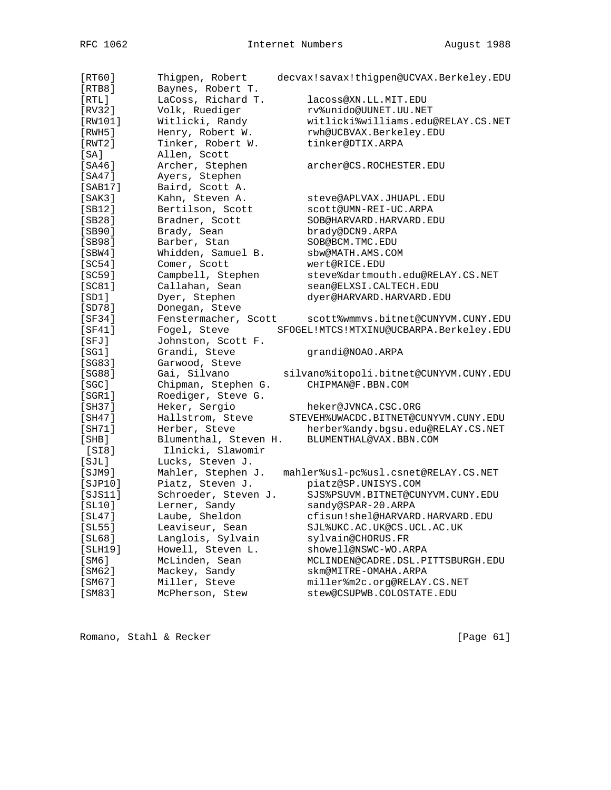| [RT60]           | Thigpen, Robert       | decvax!savax!thigpen@UCVAX.Berkeley.EDU |
|------------------|-----------------------|-----------------------------------------|
| [RTB8]           | Baynes, Robert T.     |                                         |
| [RTL]            | LaCoss, Richard T.    | lacoss@XN.LL.MIT.EDU                    |
| [RV32]           | Volk, Ruediger        | rv%unido@UUNET.UU.NET                   |
| [RW101]          | Witlicki, Randy       | witlicki%williams.edu@RELAY.CS.NET      |
| [RWH5]           | Henry, Robert W.      | rwh@UCBVAX.Berkeley.EDU                 |
| [RWT2]           | Tinker, Robert W.     | tinker@DTIX.ARPA                        |
| [SA]             | Allen, Scott          |                                         |
| [SA46]           | Archer, Stephen       | archer@CS.ROCHESTER.EDU                 |
| [SA47]           | Ayers, Stephen        |                                         |
| [SAB17]          | Baird, Scott A.       |                                         |
| [SAK3]           | Kahn, Steven A.       | steve@APLVAX.JHUAPL.EDU                 |
| [SB12]           | Bertilson, Scott      | scott@UMN-REI-UC.ARPA                   |
| [SB28]           | Bradner, Scott        | SOB@HARVARD.HARVARD.EDU                 |
| [SB90]           | Brady, Sean           | brady@DCN9.ARPA                         |
| [SB98]           | Barber, Stan          | SOB@BCM.TMC.EDU                         |
| [SBW4]           | Whidden, Samuel B.    | sbw@MATH.AMS.COM                        |
| [SC54]           | Comer, Scott          | wert@RICE.EDU                           |
| [SC59]           | Campbell, Stephen     | steve%dartmouth.edu@RELAY.CS.NET        |
| [SC81]           | Callahan, Sean        | sean@ELXSI.CALTECH.EDU                  |
| [SD1]            | Dyer, Stephen         | dyer@HARVARD.HARVARD.EDU                |
| [SD78]           | Donegan, Steve        |                                         |
| [SF34]           | Fenstermacher, Scott  | scott%wmmvs.bitnet@CUNYVM.CUNY.EDU      |
| [SF41]           | Fogel, Steve          | SFOGEL!MTCS!MTXINU@UCBARPA.Berkeley.EDU |
| [SFJ]            | Johnston, Scott F.    |                                         |
| [SG1]            | Grandi, Steve         | qrandi@NOAO.ARPA                        |
| [SG83]           | Garwood, Steve        |                                         |
| [SG88]           | Gai, Silvano          | silvano%itopoli.bitnet@CUNYVM.CUNY.EDU  |
| [SC]             | Chipman, Stephen G.   | CHIPMAN@F.BBN.COM                       |
| [SGR1]           | Roediger, Steve G.    |                                         |
| [SH37]           | Heker, Sergio         | heker@JVNCA.CSC.ORG                     |
| [SH47]           | Hallstrom, Steve      | STEVEH%UWACDC.BITNET@CUNYVM.CUNY.EDU    |
| [SH71]           | Herber, Steve         | herber%andy.bgsu.edu@RELAY.CS.NET       |
| [SHB]            | Blumenthal, Steven H. | BLUMENTHAL@VAX.BBN.COM                  |
| [SI8]            | Ilnicki, Slawomir     |                                         |
| [SJL]            | Lucks, Steven J.      |                                         |
| [SJM9]           | Mahler, Stephen J.    | mahler%usl-pc%usl.csnet@RELAY.CS.NET    |
| [SJP10]          | Piatz, Steven J.      | piatz@SP.UNISYS.COM                     |
| [ <i>SJS11</i> ] | Schroeder, Steven J.  | SJS%PSUVM.BITNET@CUNYVM.CUNY.EDU        |
| [SL10]           | Lerner, Sandy         | sandy@SPAR-20.ARPA                      |
| [SL47]           | Laube, Sheldon        | cfisun!shel@HARVARD.HARVARD.EDU         |
| [SL55]           | Leaviseur, Sean       | SJL%UKC.AC.UK@CS.UCL.AC.UK              |
| [SL68]           | Langlois, Sylvain     | sylvain@CHORUS.FR                       |
| [SLH19]          | Howell, Steven L.     | showell@NSWC-WO.ARPA                    |
| [SM6]            | McLinden, Sean        | MCLINDEN@CADRE.DSL.PITTSBURGH.EDU       |
| [SM62]           | Mackey, Sandy         | skm@MITRE-OMAHA.ARPA                    |
| [SM67]           | Miller, Steve         | miller%m2c.org@RELAY.CS.NET             |
| [SM83]           | McPherson, Stew       | stew@CSUPWB.COLOSTATE.EDU               |
|                  |                       |                                         |

Romano, Stahl & Recker [Page 61]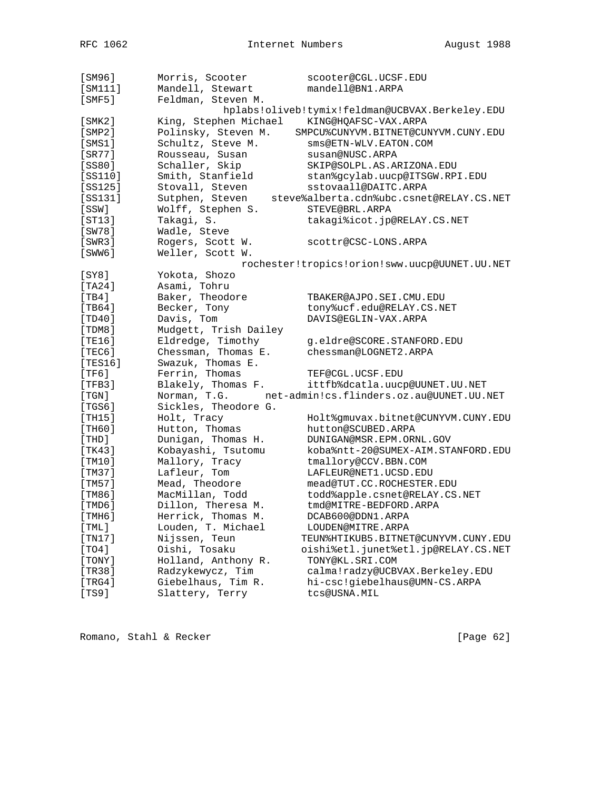| [SM96]       | Morris, Scooter                | scooter@CGL.UCSF.EDU                                     |
|--------------|--------------------------------|----------------------------------------------------------|
| [SM111]      | Mandell, Stewart               | mandell@BN1.ARPA                                         |
| $[$ SMF5 $]$ | Feldman, Steven M.             |                                                          |
|              |                                | hplabs!oliveb!tymix!feldman@UCBVAX.Berkeley.EDU          |
| [SMK2]       | King, Stephen Michael          | KING@HQAFSC-VAX.ARPA                                     |
| $[$ SMP $2]$ | Polinsky, Steven M.            | SMPCU%CUNYVM.BITNET@CUNYVM.CUNY.EDU                      |
| $[$ SMS $1]$ | Schultz, Steve M.              | sms@ETN-WLV.EATON.COM                                    |
| $[$ SR77]    | Rousseau, Susan                | susan@NUSC.ARPA                                          |
| [SS80]       | Schaller, Skip                 | SKIP@SOLPL.AS.ARIZONA.EDU                                |
| [SS110]      | Smith, Stanfield               | stan%gcylab.uucp@ITSGW.RPI.EDU                           |
| $[SS125]$    | Stovall, Steven                | sstovaall@DAITC.ARPA                                     |
| [SS131]      | Sutphen, Steven                | steve%alberta.cdn%ubc.csnet@RELAY.CS.NET                 |
| [SSW]        | Wolff, Stephen S.              | STEVE@BRL.ARPA                                           |
| [ST13]       | Takagi, S.                     | takagi%icot.jp@RELAY.CS.NET                              |
| [SW78]       | Wadle, Steve                   |                                                          |
| [SWR3]       | Rogers, Scott W.               | scottr@CSC-LONS.ARPA                                     |
| [SWW6]       | Weller, Scott W.               |                                                          |
|              |                                | rochester!tropics!orion!sww.uucp@UUNET.UU.NET            |
| [SY8]        | Yokota, Shozo                  |                                                          |
| [TA24]       | Asami, Tohru                   |                                                          |
| [TB4]        | Baker, Theodore                | TBAKER@AJPO.SEI.CMU.EDU                                  |
| [TB64]       | Becker, Tony                   | tony%ucf.edu@RELAY.CS.NET                                |
| [TD40]       | Davis, Tom                     | DAVIS@EGLIN-VAX.ARPA                                     |
| [TDMS]       | Mudgett, Trish Dailey          |                                                          |
| [TE16]       | Eldredge, Timothy              | g.eldre@SCORE.STANFORD.EDU                               |
| [TEC6]       | Chessman, Thomas E.            | chessman@LOGNET2.ARPA                                    |
| [TEST6]      | Swazuk, Thomas E.              |                                                          |
| [TF6]        | Ferrin, Thomas                 | TEF@CGL.UCSF.EDU                                         |
| [TFB3]       | Blakely, Thomas F.             | ittfb%dcatla.uucp@UUNET.UU.NET                           |
| [TGN]        |                                | Norman, T.G. net-admin!cs.flinders.oz.au@UUNET.UU.NET    |
| [TGS6]       | Sickles, Theodore G.           |                                                          |
| [TH15]       | Holt, Tracy                    |                                                          |
|              |                                | Holt%gmuvax.bitnet@CUNYVM.CUNY.EDU<br>hutton@SCUBED.ARPA |
| [TH60]       | Hutton, Thomas                 |                                                          |
| [THD]        | Dunigan, Thomas H.             | DUNIGAN@MSR.EPM.ORNL.GOV                                 |
| [TK43]       | Kobayashi, Tsutomu             | koba%ntt-20@SUMEX-AIM.STANFORD.EDU                       |
| [TM10]       | Mallory, Tracy<br>Lafleur, Tom | tmallory@CCV.BBN.COM                                     |
| [TM37]       |                                | LAFLEUR@NET1.UCSD.EDU                                    |
| [TM57]       | Mead, Theodore                 | mead@TUT.CC.ROCHESTER.EDU                                |
| [TM86]       | MacMillan, Todd                | todd%apple.csnet@RELAY.CS.NET                            |
| [TMD6]       | Dillon, Theresa M.             | tmd@MITRE-BEDFORD.ARPA                                   |
| [THH6]       | Herrick, Thomas M.             | DCAB600@DDN1.ARPA                                        |
| [THL]        | Louden, T. Michael             | LOUDEN@MITRE.ARPA                                        |
| [TM17]       | Nijssen, Teun                  | TEUN%HTIKUB5.BITNET@CUNYVM.CUNY.EDU                      |
| [T04]        | Oishi, Tosaku                  | oishi%etl.junet%etl.jp@RELAY.CS.NET                      |
| [TONY]       | Holland, Anthony R.            | TONY@KL.SRI.COM                                          |
| [TR38]       | Radzykewycz, Tim               | calma!radzy@UCBVAX.Berkeley.EDU                          |
| [TRG4]       | Giebelhaus, Tim R.             | hi-csc!giebelhaus@UMN-CS.ARPA                            |
| [TS9]        | Slattery, Terry                | tcs@USNA.MIL                                             |

Romano, Stahl & Recker [Page 62]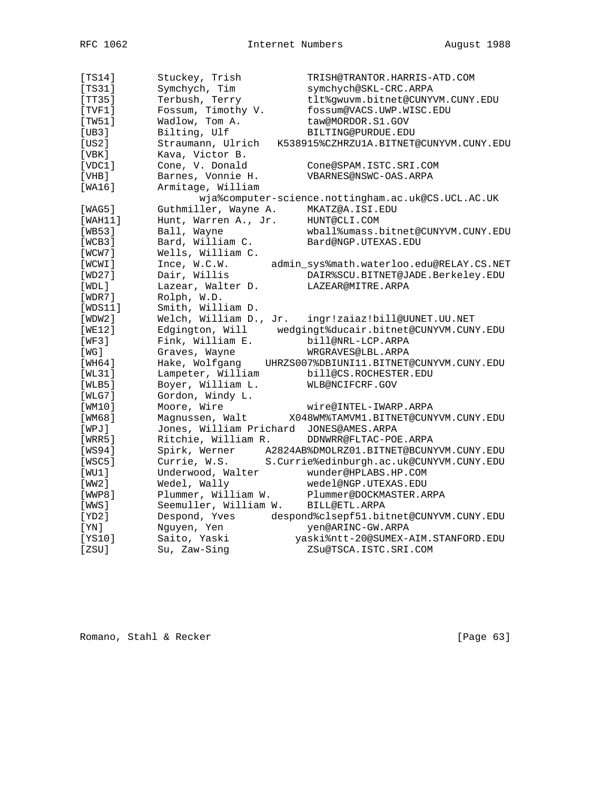| [TS14]  | Stuckey, Trish                          | TRISH@TRANTOR.HARRIS-ATD.COM                           |
|---------|-----------------------------------------|--------------------------------------------------------|
| [TS31]  | Symchych, Tim                           | symchych@SKL-CRC.ARPA                                  |
| [TT35]  | Terbush, Terry                          | tlt%gwuvm.bitnet@CUNYVM.CUNY.EDU                       |
| [TVF1]  | Fossum, Timothy V.                      | fossum@VACS.UWP.WISC.EDU                               |
| [TW51]  | Wadlow, Tom A.                          | taw@MORDOR.S1.GOV                                      |
| [UB3]   | Bilting, Ulf                            | BILTING@PURDUE.EDU                                     |
| [US2]   | Straumann, Ulrich                       | K538915%CZHRZU1A.BITNET@CUNYVM.CUNY.EDU                |
| [VBK]   | Kava, Victor B.                         |                                                        |
| [VDC1]  | Cone, V. Donald                         | Cone@SPAM.ISTC.SRI.COM                                 |
| [VHB]   | Barnes, Vonnie H.                       | VBARNES@NSWC-OAS.ARPA                                  |
| [WA16]  | Armitage, William                       |                                                        |
|         |                                         | wja%computer-science.nottingham.ac.uk@CS.UCL.AC.UK     |
| [WAG5]  | Guthmiller, Wayne A.                    | MKATZ@A.ISI.EDU                                        |
| [WAH11] | Hunt, Warren A., Jr.                    | HUNT@CLI.COM                                           |
| [WB53]  | Ball, Wayne                             | wball%umass.bitnet@CUNYVM.CUNY.EDU                     |
| [WCB3]  | Bard, William C.                        | Bard@NGP.UTEXAS.EDU                                    |
| [WCW7]  | Wells, William C.                       |                                                        |
| [WCWI]  | Ince, W.C.W.                            | admin_sys%math.waterloo.edu@RELAY.CS.NET               |
| [WD27]  | Dair, Willis                            | DAIR%SCU.BITNET@JADE.Berkeley.EDU                      |
| [WDL]   | Lazear, Walter D.                       | LAZEAR@MITRE.ARPA                                      |
| [WDR7]  | Rolph, W.D.                             |                                                        |
| [WDS11] | Smith, William D.                       |                                                        |
| [WDW2]  | Welch, William D., Jr.                  | ingr!zaiaz!bill@UUNET.UU.NET                           |
| [WE12]  |                                         | Edgington, Will wedgingt%ducair.bitnet@CUNYVM.CUNY.EDU |
| [WF3]   | Fink, William E.                        | bill@NRL-LCP.ARPA                                      |
| [ WG ]  | Graves, Wayne                           | WRGRAVES@LBL.ARPA                                      |
| [WH64]  | Hake, Wolfgang                          | UHRZS007%DBIUNI11.BITNET@CUNYVM.CUNY.EDU               |
| [WL31]  | Lampeter, William                       | bill@CS.ROCHESTER.EDU                                  |
| [WLB5]  | Boyer, William L.                       | WLB@NCIFCRF.GOV                                        |
| [WLG7]  | Gordon, Windy L.                        |                                                        |
| [WM10]  | Moore, Wire                             | wire@INTEL-IWARP.ARPA                                  |
| [WM68]  | Magnussen, Walt                         | X048WM%TAMVM1.BITNET@CUNYVM.CUNY.EDU                   |
| [WPJ]   | Jones, William Prichard JONES@AMES.ARPA |                                                        |
| [WRR5]  | Ritchie, William R.                     | DDNWRR@FLTAC-POE.ARPA                                  |
| [WS94]  | Spirk, Werner                           | A2824AB%DMOLRZ01.BITNET@BCUNYVM.CUNY.EDU               |
| [WSC5]  | Currie, W.S.                            | S.Currie%edinburgh.ac.uk@CUNYVM.CUNY.EDU               |
| [WU1]   | Underwood, Walter                       | wunder@HPLABS.HP.COM                                   |
| [ WW2 ] | Wedel, Wally                            | wedel@NGP.UTEXAS.EDU                                   |
| [WWP8]  | Plummer, William W.                     | Plummer@DOCKMASTER.ARPA                                |
| [WWS]   | Seemuller, William W.                   | BILL@ETL.ARPA                                          |
| [YD2]   | Despond, Yves                           | despond%clsepf51.bitnet@CUNYVM.CUNY.EDU                |
| [YN]    | Nguyen, Yen                             | yen@ARINC-GW.ARPA                                      |
| [YS10]  | Saito, Yaski                            | yaski%ntt-20@SUMEX-AIM.STANFORD.EDU                    |
| [ZSU]   | Su, Zaw-Sing                            | ZSu@TSCA.ISTC.SRI.COM                                  |

Romano, Stahl & Recker [Page 63]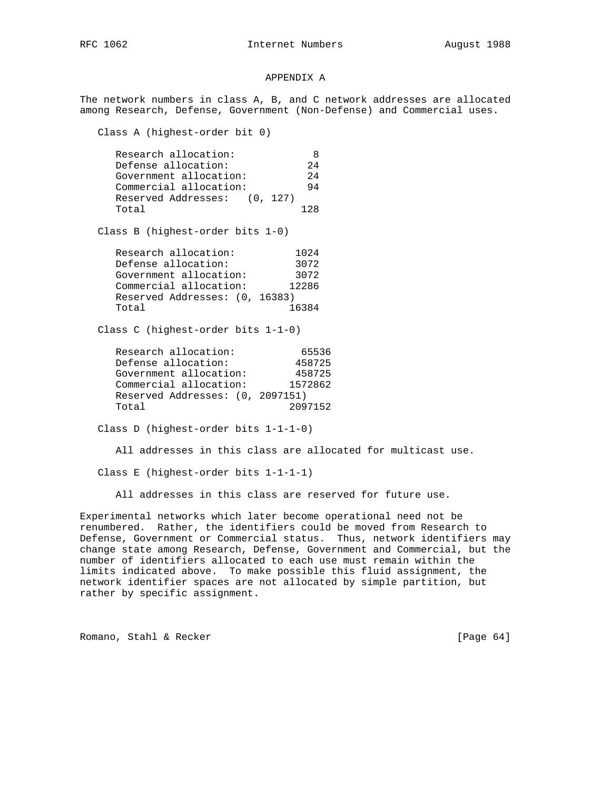## APPENDIX A

The network numbers in class A, B, and C network addresses are allocated among Research, Defense, Government (Non-Defense) and Commercial uses.

Class A (highest-order bit 0)

| Research allocation:         | 8     |
|------------------------------|-------|
| Defense allocation:          | 2.4   |
| Government allocation:       | 2.4   |
| Commercial allocation:       | 94    |
| Reserved Addresses: (0, 127) |       |
| Total                        | 1 2 R |
|                              |       |

Class B (highest-order bits 1-0)

| Research allocation:           | 1024  |
|--------------------------------|-------|
| Defense allocation:            | 3072  |
| Government allocation:         | 3072  |
| Commercial allocation:         | 12286 |
| Reserved Addresses: (0, 16383) |       |
| Total                          | 16384 |

Class C (highest-order bits 1-1-0)

| Research allocation:             | 65536   |
|----------------------------------|---------|
| Defense allocation:              | 458725  |
| Government allocation:           | 458725  |
| Commercial allocation:           | 1572862 |
| Reserved Addresses: (0, 2097151) |         |
| Total                            | 2097152 |

Class D (highest-order bits 1-1-1-0)

All addresses in this class are allocated for multicast use.

Class E (highest-order bits 1-1-1-1)

All addresses in this class are reserved for future use.

Experimental networks which later become operational need not be renumbered. Rather, the identifiers could be moved from Research to Defense, Government or Commercial status. Thus, network identifiers may change state among Research, Defense, Government and Commercial, but the number of identifiers allocated to each use must remain within the limits indicated above. To make possible this fluid assignment, the network identifier spaces are not allocated by simple partition, but rather by specific assignment.

Romano, Stahl & Recker [Page 64]